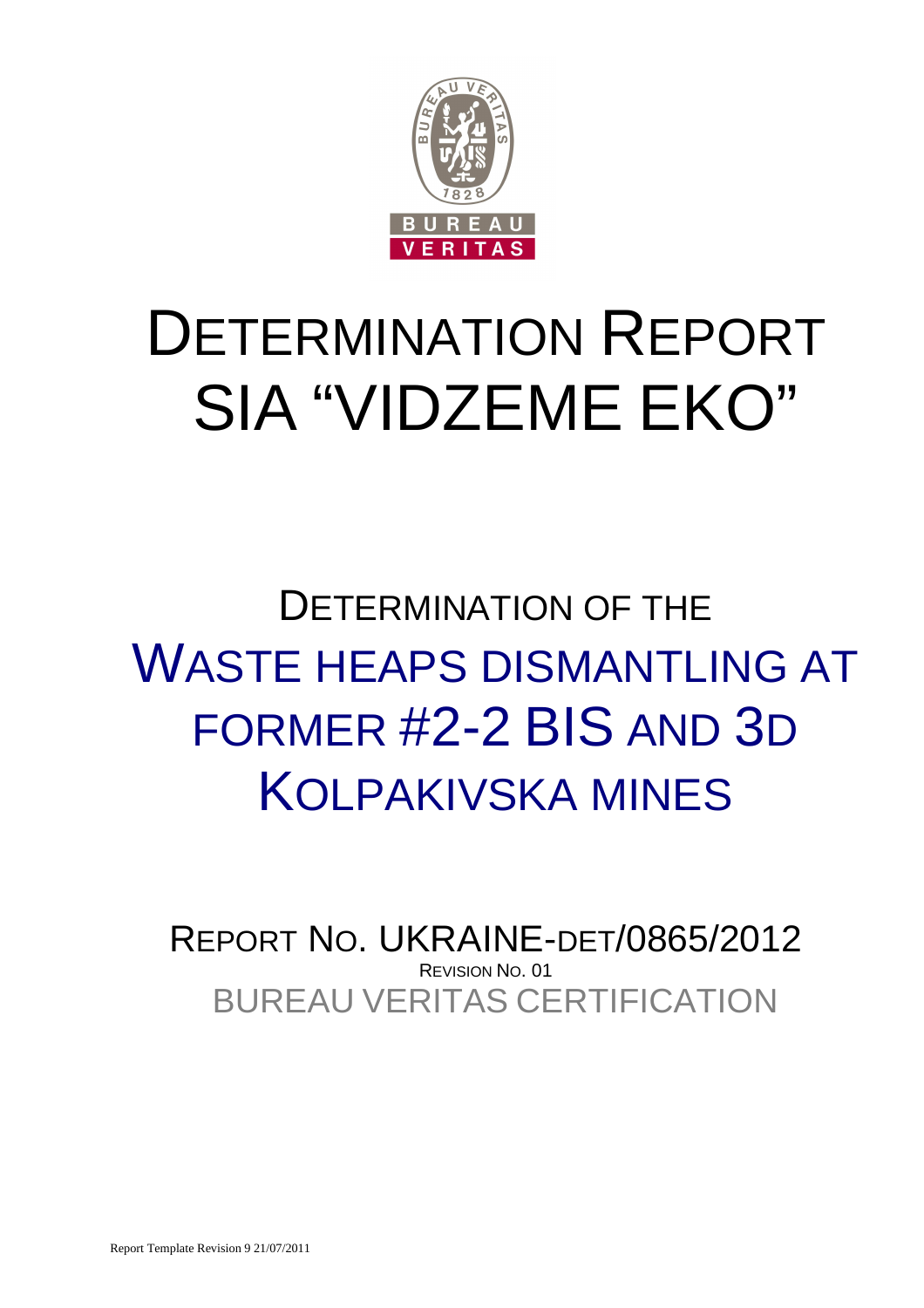

# DETERMINATION REPORT SIA "VIDZEME EKO"

# DETERMINATION OF THE WASTE HEAPS DISMANTLING AT FORMER #2-2 BIS AND 3D KOLPAKIVSKA MINES

BUREAU VERITAS CERTIFICATION REPORT NO. UKRAINE-DET/0865/2012 REVISION NO. 01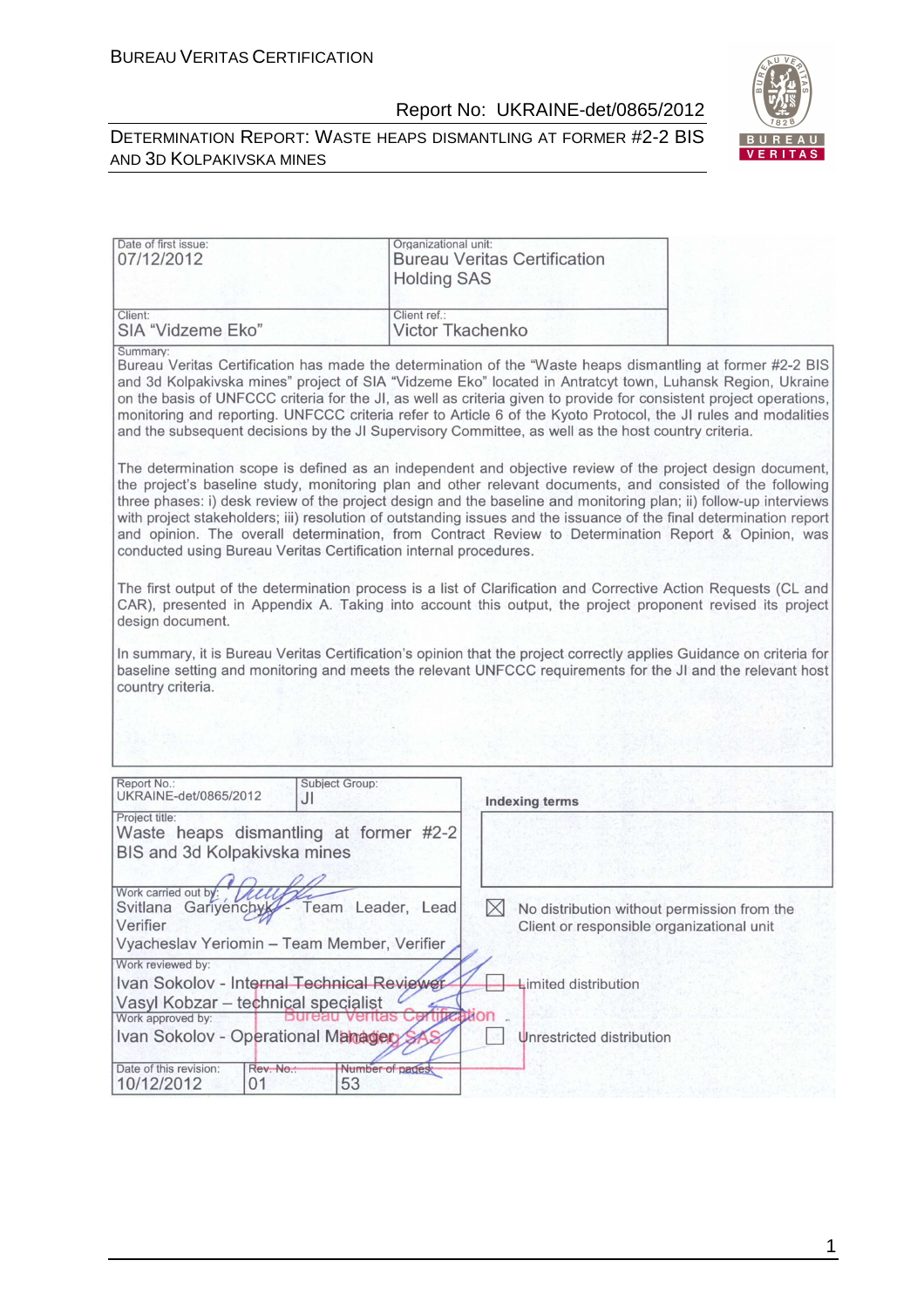#### DETERMINATION REPORT: WASTE HEAPS DISMANTLING AT FORMER #2-2 BIS AND 3D KOLPAKIVSKA MINES



| Date of first issue:<br>07/12/2012                                                                      | Organizational unit:<br><b>Bureau Veritas Certification</b><br><b>Holding SAS</b>                                                                                                                                                                                                                                                                                                                                                                                                                                                                                          |
|---------------------------------------------------------------------------------------------------------|----------------------------------------------------------------------------------------------------------------------------------------------------------------------------------------------------------------------------------------------------------------------------------------------------------------------------------------------------------------------------------------------------------------------------------------------------------------------------------------------------------------------------------------------------------------------------|
| Client:<br>SIA "Vidzeme Eko"                                                                            | Client ref.:<br>Victor Tkachenko                                                                                                                                                                                                                                                                                                                                                                                                                                                                                                                                           |
| Summary:                                                                                                | Bureau Veritas Certification has made the determination of the "Waste heaps dismantling at former #2-2 BIS<br>and 3d Kolpakivska mines" project of SIA "Vidzeme Eko" located in Antratcyt town, Luhansk Region, Ukraine<br>on the basis of UNFCCC criteria for the JI, as well as criteria given to provide for consistent project operations,<br>monitoring and reporting. UNFCCC criteria refer to Article 6 of the Kyoto Protocol, the JI rules and modalities<br>and the subsequent decisions by the JI Supervisory Committee, as well as the host country criteria.   |
| conducted using Bureau Veritas Certification internal procedures.                                       | The determination scope is defined as an independent and objective review of the project design document,<br>the project's baseline study, monitoring plan and other relevant documents, and consisted of the following<br>three phases: i) desk review of the project design and the baseline and monitoring plan; ii) follow-up interviews<br>with project stakeholders; iii) resolution of outstanding issues and the issuance of the final determination report<br>and opinion. The overall determination, from Contract Review to Determination Report & Opinion, was |
| design document.                                                                                        | The first output of the determination process is a list of Clarification and Corrective Action Requests (CL and<br>CAR), presented in Appendix A. Taking into account this output, the project proponent revised its project                                                                                                                                                                                                                                                                                                                                               |
| country criteria.                                                                                       | In summary, it is Bureau Veritas Certification's opinion that the project correctly applies Guidance on criteria for<br>baseline setting and monitoring and meets the relevant UNFCCC requirements for the JI and the relevant host                                                                                                                                                                                                                                                                                                                                        |
|                                                                                                         |                                                                                                                                                                                                                                                                                                                                                                                                                                                                                                                                                                            |
| Report No.:<br>Subject Group:<br>UKRAINE-det/0865/2012<br>JI                                            | <b>Indexing terms</b>                                                                                                                                                                                                                                                                                                                                                                                                                                                                                                                                                      |
| Project title:<br>Waste heaps dismantling at former #2-2<br><b>BIS and 3d Kolpakivska mines</b>         |                                                                                                                                                                                                                                                                                                                                                                                                                                                                                                                                                                            |
| Work carried out by:<br>Svitlana Gariyenchyk<br>Verifier<br>Vyacheslav Yeriomin - Team Member, Verifier | Team Leader, Lead<br>$\boxtimes$<br>No distribution without permission from the<br>Client or responsible organizational unit                                                                                                                                                                                                                                                                                                                                                                                                                                               |
| Work reviewed by:<br>Ivan Sokolov - Internal Technical Reviewer                                         | Limited distribution                                                                                                                                                                                                                                                                                                                                                                                                                                                                                                                                                       |
| Vasyl Kobzar - technical specialist                                                                     |                                                                                                                                                                                                                                                                                                                                                                                                                                                                                                                                                                            |
| Work approved by:                                                                                       | ation                                                                                                                                                                                                                                                                                                                                                                                                                                                                                                                                                                      |
| Ivan Sokolov - Operational Manager                                                                      | Unrestricted distribution                                                                                                                                                                                                                                                                                                                                                                                                                                                                                                                                                  |
| Date of this revision:<br>Rev. No.:<br>53<br>10/12/2012<br>01                                           | Number of pages                                                                                                                                                                                                                                                                                                                                                                                                                                                                                                                                                            |

1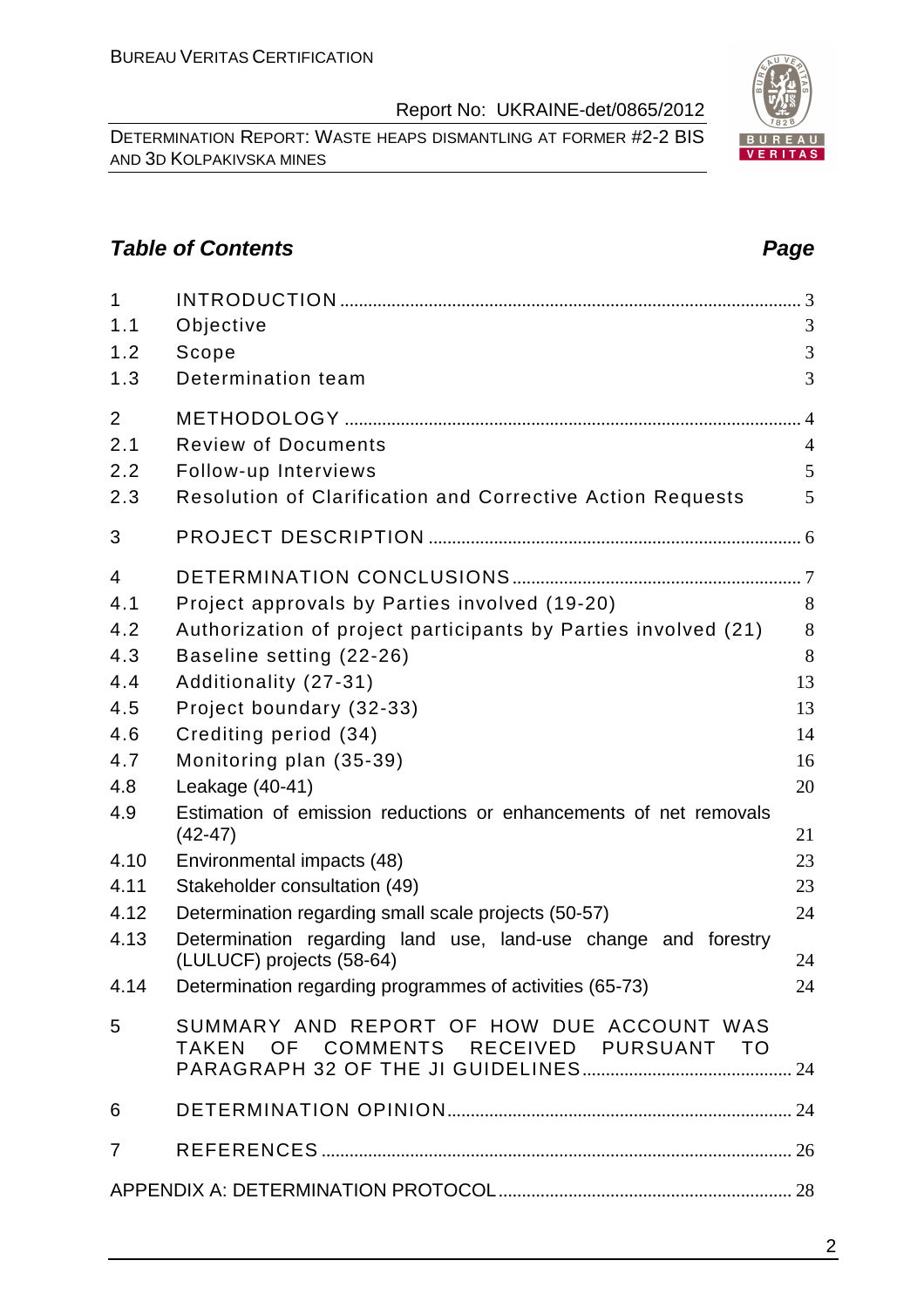DETERMINATION REPORT: WASTE HEAPS DISMANTLING AT FORMER #2-2 BIS AND 3D KOLPAKIVSKA MINES

# **Table of Contents Page 2014**

| $\mathbf{1}$   |                                                                                     |                |
|----------------|-------------------------------------------------------------------------------------|----------------|
| 1.1            | Objective                                                                           | 3              |
| 1.2            | Scope                                                                               | 3              |
| 1.3            | Determination team                                                                  | 3              |
| 2              |                                                                                     |                |
| 2.1            | <b>Review of Documents</b>                                                          | $\overline{4}$ |
| 2.2            | Follow-up Interviews                                                                | 5              |
| 2.3            | <b>Resolution of Clarification and Corrective Action Requests</b>                   | 5              |
| 3              |                                                                                     |                |
| $\overline{4}$ |                                                                                     |                |
| 4.1            | Project approvals by Parties involved (19-20)                                       | 8              |
| 4.2            | Authorization of project participants by Parties involved (21)                      | 8              |
| 4.3            | Baseline setting (22-26)                                                            | 8              |
| 4.4            | Additionality (27-31)                                                               | 13             |
| 4.5            | Project boundary (32-33)                                                            | 13             |
| 4.6            | Crediting period (34)                                                               | 14             |
| 4.7            | Monitoring plan (35-39)                                                             | 16             |
| 4.8            | Leakage (40-41)                                                                     | 20             |
| 4.9            | Estimation of emission reductions or enhancements of net removals<br>$(42-47)$      | 21             |
| 4.10           | Environmental impacts (48)                                                          | 23             |
| 4.11           | Stakeholder consultation (49)                                                       | 23             |
| 4.12           | Determination regarding small scale projects (50-57)                                | 24             |
| 4.13           | Determination regarding land use, land-use change and forestry                      |                |
|                | (LULUCF) projects (58-64)                                                           | 24             |
| 4.14           | Determination regarding programmes of activities (65-73)                            | 24             |
| 5              | SUMMARY AND REPORT OF HOW DUE ACCOUNT WAS<br>TAKEN OF COMMENTS RECEIVED PURSUANT TO |                |
| 6              |                                                                                     |                |
| $\overline{7}$ |                                                                                     |                |
|                |                                                                                     |                |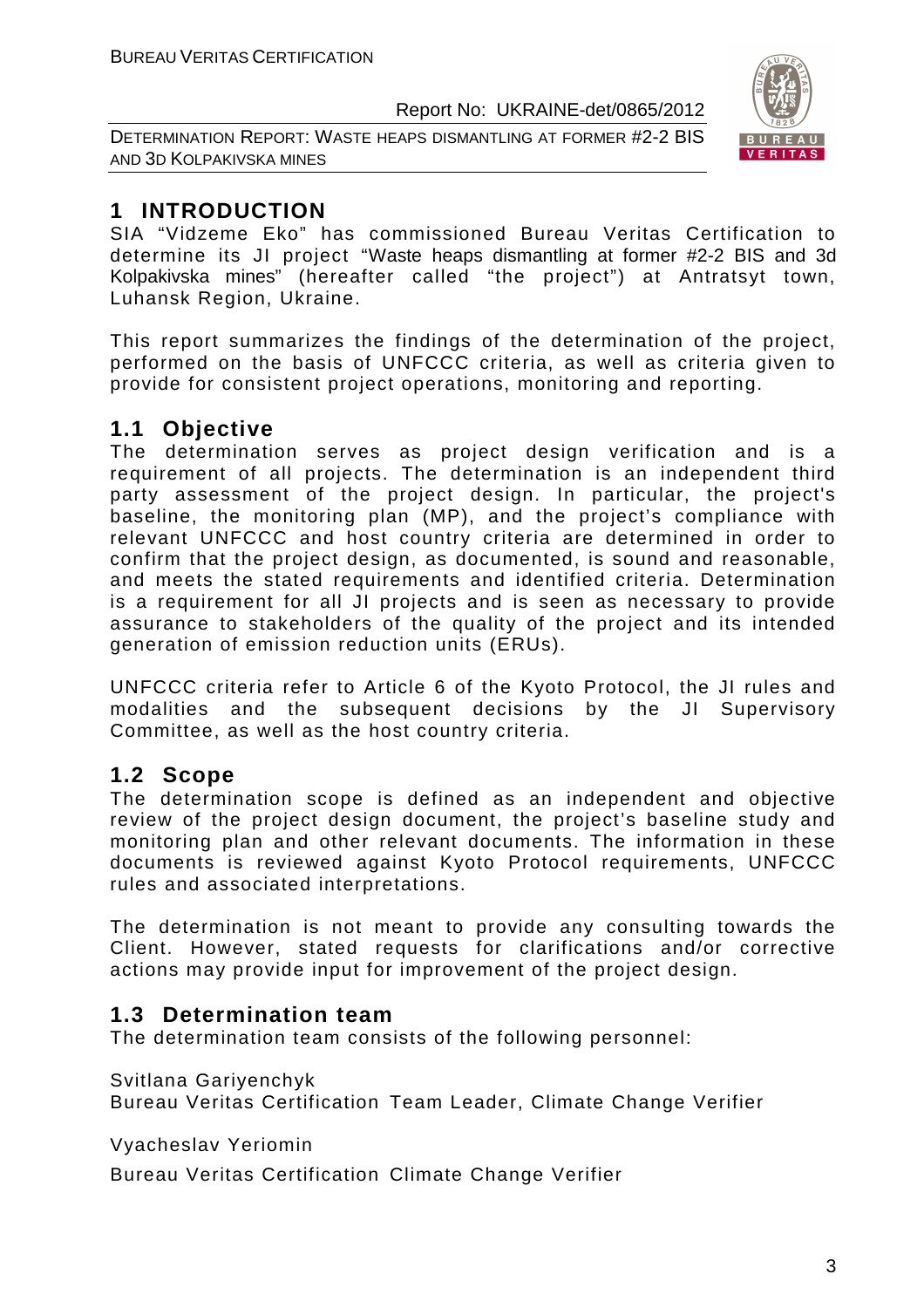DETERMINATION REPORT: WASTE HEAPS DISMANTLING AT FORMER #2-2 BIS AND 3D KOLPAKIVSKA MINES



# **1 INTRODUCTION**

SIA "Vidzeme Eko" has commissioned Bureau Veritas Certification to determine its JI project "Waste heaps dismantling at former #2-2 BIS and 3d Kolpakivska mines" (hereafter called "the project") at Antratsyt town, Luhansk Region, Ukraine.

This report summarizes the findings of the determination of the project, performed on the basis of UNFCCC criteria, as well as criteria given to provide for consistent project operations, monitoring and reporting.

# **1.1 Objective**

The determination serves as project design verification and is a requirement of all projects. The determination is an independent third party assessment of the project design. In particular, the project's baseline, the monitoring plan (MP), and the project's compliance with relevant UNFCCC and host country criteria are determined in order to confirm that the project design, as documented, is sound and reasonable, and meets the stated requirements and identified criteria. Determination is a requirement for all JI projects and is seen as necessary to provide assurance to stakeholders of the quality of the project and its intended generation of emission reduction units (ERUs).

UNFCCC criteria refer to Article 6 of the Kyoto Protocol, the JI rules and modalities and the subsequent decisions by the JI Supervisory Committee, as well as the host country criteria.

# **1.2 Scope**

The determination scope is defined as an independent and objective review of the project design document, the project's baseline study and monitoring plan and other relevant documents. The information in these documents is reviewed against Kyoto Protocol requirements, UNFCCC rules and associated interpretations.

The determination is not meant to provide any consulting towards the Client. However, stated requests for clarifications and/or corrective actions may provide input for improvement of the project design.

# **1.3 Determination team**

The determination team consists of the following personnel:

Svitlana Gariyenchyk

Bureau Veritas Certification Team Leader, Climate Change Verifier

Vyacheslav Yeriomin

Bureau Veritas Certification Climate Change Verifier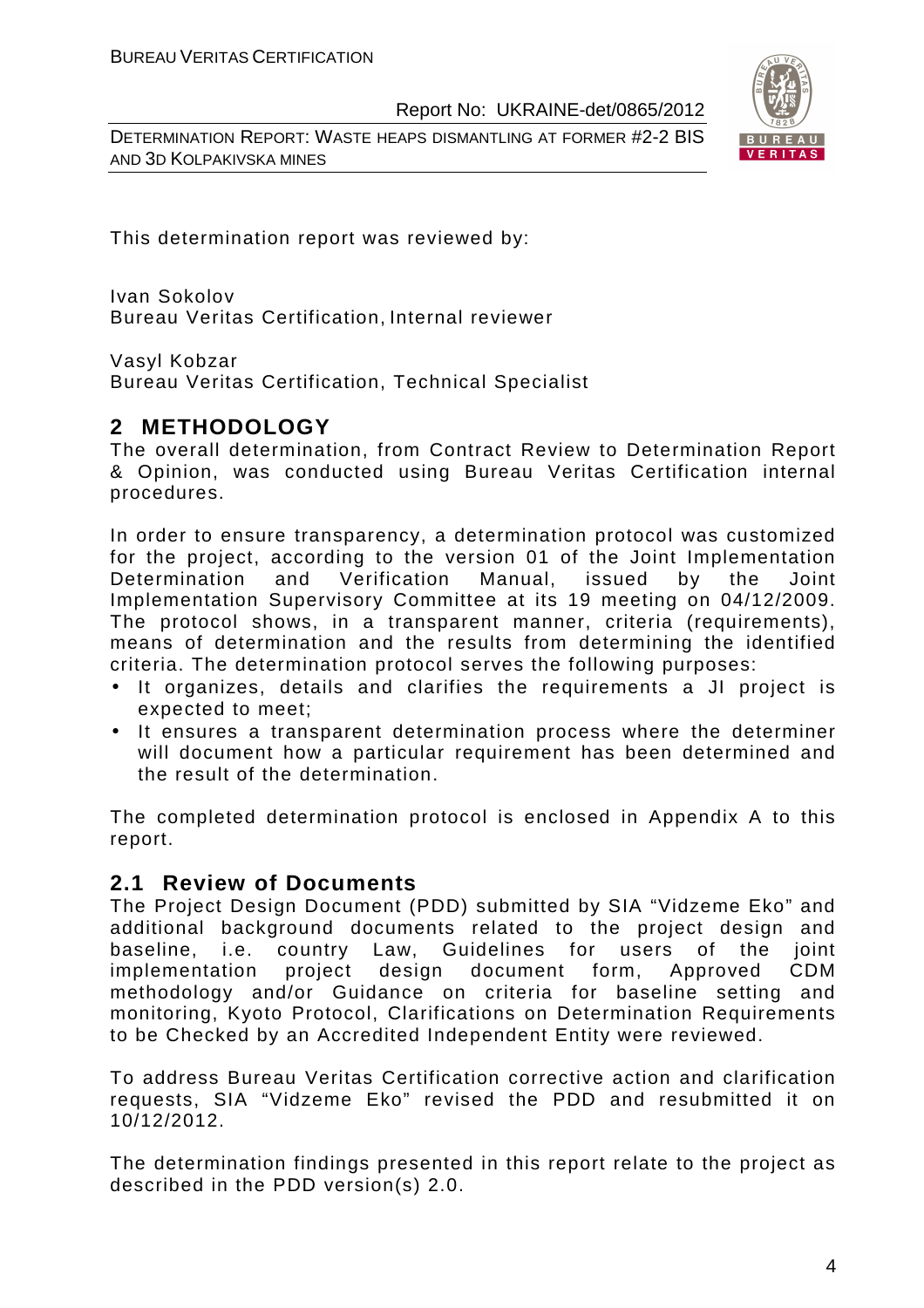DETERMINATION REPORT: WASTE HEAPS DISMANTLING AT FORMER #2-2 BIS AND 3D KOLPAKIVSKA MINES



This determination report was reviewed by:

Ivan Sokolov Bureau Veritas Certification, Internal reviewer

Vasyl Kobzar

Bureau Veritas Certification, Technical Specialist

# **2 METHODOLOGY**

The overall determination, from Contract Review to Determination Report & Opinion, was conducted using Bureau Veritas Certification internal procedures.

In order to ensure transparency, a determination protocol was customized for the project, according to the version 01 of the Joint Implementation Determination and Verification Manual, issued by the Joint Implementation Supervisory Committee at its 19 meeting on 04/12/2009. The protocol shows, in a transparent manner, criteria (requirements), means of determination and the results from determining the identified criteria. The determination protocol serves the following purposes:

- It organizes, details and clarifies the requirements a JI project is expected to meet;
- It ensures a transparent determination process where the determiner will document how a particular requirement has been determined and the result of the determination.

The completed determination protocol is enclosed in Appendix A to this report.

# **2.1 Review of Documents**

The Project Design Document (PDD) submitted by SIA "Vidzeme Eko" and additional background documents related to the project design and baseline, i.e. country Law, Guidelines for users of the joint implementation project design document form, Approved CDM methodology and/or Guidance on criteria for baseline setting and monitoring, Kyoto Protocol, Clarifications on Determination Requirements to be Checked by an Accredited Independent Entity were reviewed.

To address Bureau Veritas Certification corrective action and clarification requests, SIA "Vidzeme Eko" revised the PDD and resubmitted it on 10/12/2012.

The determination findings presented in this report relate to the project as described in the PDD version(s) 2.0.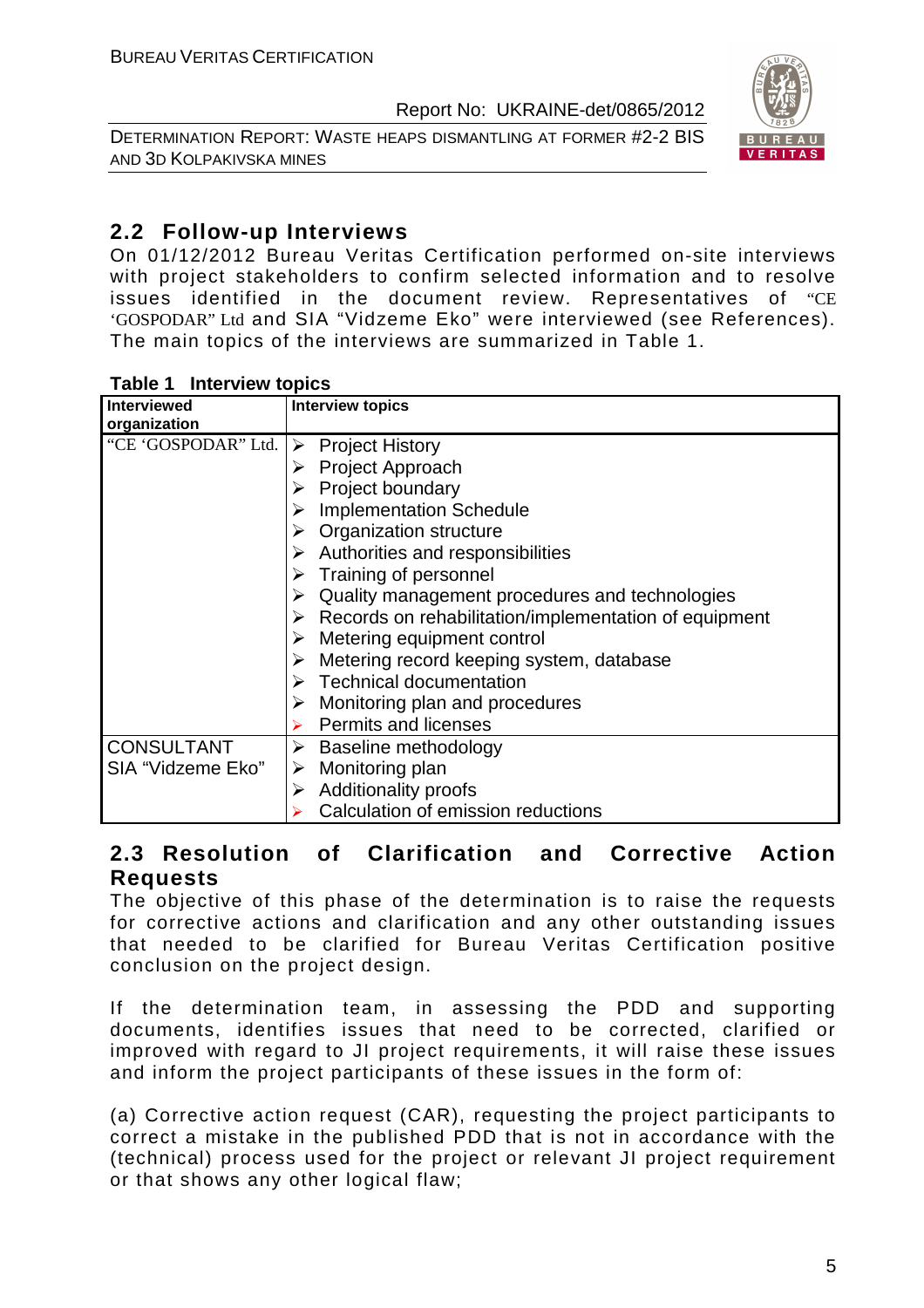DETERMINATION REPORT: WASTE HEAPS DISMANTLING AT FORMER #2-2 BIS AND 3D KOLPAKIVSKA MINES



# **2.2 Follow-up Interviews**

On 01/12/2012 Bureau Veritas Certification performed on-site interviews with project stakeholders to confirm selected information and to resolve issues identified in the document review. Representatives of "CE 'GOSPODAR" Ltd and SIA "Vidzeme Eko" were interviewed (see References). The main topics of the interviews are summarized in Table 1.

#### **Table 1 Interview topics**

| <b>Interviewed</b>                                | <b>Interview topics</b>                                                |
|---------------------------------------------------|------------------------------------------------------------------------|
| organization                                      |                                                                        |
| "CE 'GOSPODAR" Ltd.                               | <b>Project History</b><br>➤                                            |
|                                                   | $\triangleright$ Project Approach                                      |
|                                                   | $\triangleright$ Project boundary                                      |
|                                                   | $\triangleright$ Implementation Schedule                               |
| $\triangleright$ Organization structure           |                                                                        |
| $\triangleright$ Authorities and responsibilities |                                                                        |
|                                                   | $\triangleright$ Training of personnel                                 |
| Quality management procedures and technologies    |                                                                        |
|                                                   | $\triangleright$ Records on rehabilitation/implementation of equipment |
|                                                   | $\triangleright$ Metering equipment control                            |
|                                                   | $\triangleright$ Metering record keeping system, database              |
|                                                   | $\triangleright$ Technical documentation                               |
|                                                   | $\triangleright$ Monitoring plan and procedures                        |
|                                                   | <b>Permits and licenses</b>                                            |
| <b>CONSULTANT</b>                                 | $\triangleright$ Baseline methodology                                  |
| SIA "Vidzeme Eko"                                 | Monitoring plan<br>➤                                                   |
|                                                   | <b>Additionality proofs</b><br>$\blacktriangleright$                   |
|                                                   | Calculation of emission reductions                                     |

# **2.3 Resolution of Clarification and Corrective Action Requests**

The objective of this phase of the determination is to raise the requests for corrective actions and clarification and any other outstanding issues that needed to be clarified for Bureau Veritas Certification positive conclusion on the project design.

If the determination team, in assessing the PDD and supporting documents, identifies issues that need to be corrected, clarified or improved with regard to JI project requirements, it will raise these issues and inform the project participants of these issues in the form of:

(a) Corrective action request (CAR), requesting the project participants to correct a mistake in the published PDD that is not in accordance with the (technical) process used for the project or relevant JI project requirement or that shows any other logical flaw;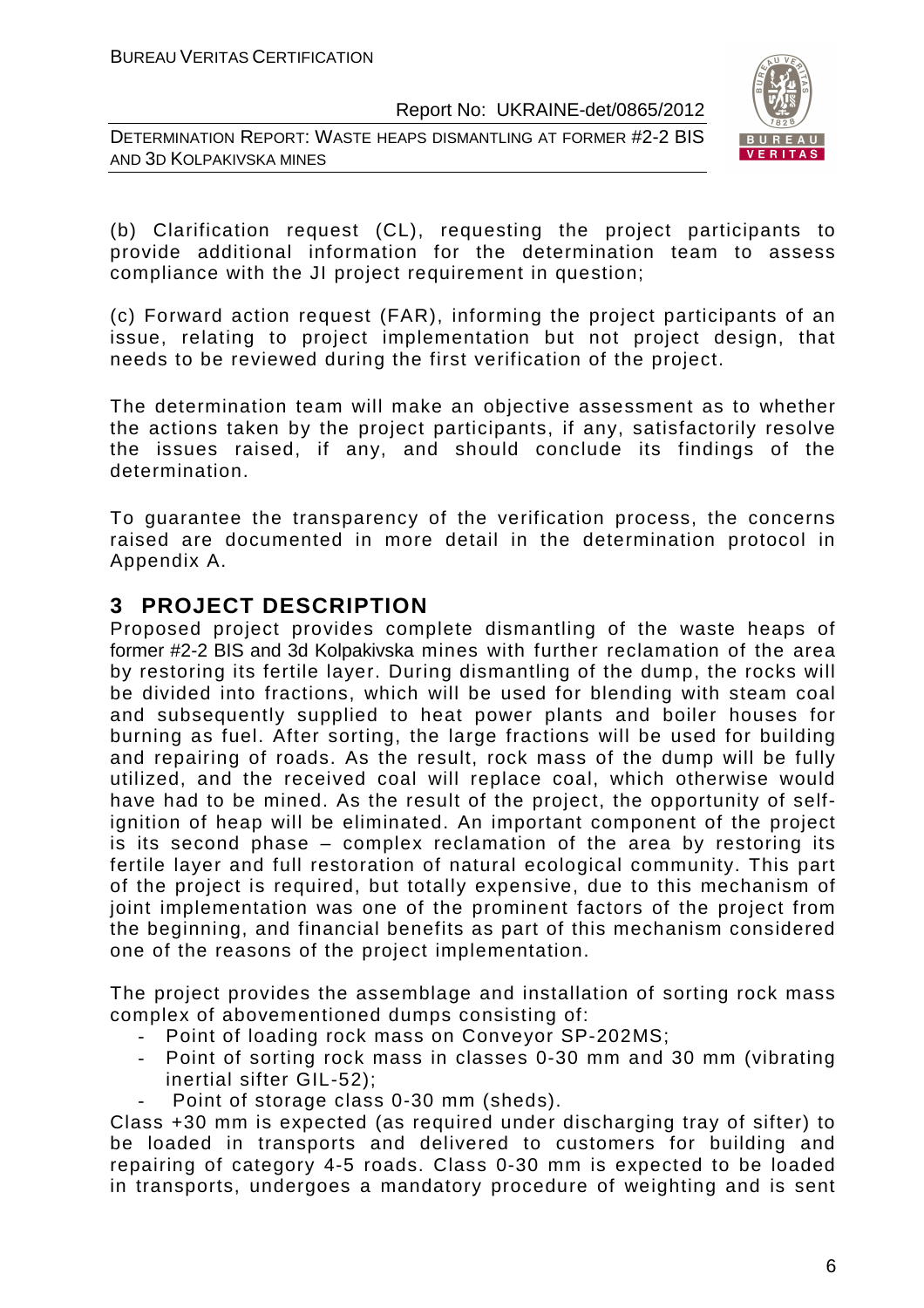DETERMINATION REPORT: WASTE HEAPS DISMANTLING AT FORMER #2-2 BIS AND 3D KOLPAKIVSKA MINES



(b) Clarification request (CL), requesting the project participants to provide additional information for the determination team to assess compliance with the JI project requirement in question;

(c) Forward action request (FAR), informing the project participants of an issue, relating to project implementation but not project design, that needs to be reviewed during the first verification of the project.

The determination team will make an objective assessment as to whether the actions taken by the project participants, if any, satisfactorily resolve the issues raised, if any, and should conclude its findings of the determination.

To guarantee the transparency of the verification process, the concerns raised are documented in more detail in the determination protocol in Appendix A.

# **3 PROJECT DESCRIPTION**

Proposed project provides complete dismantling of the waste heaps of former #2-2 BIS and 3d Kolpakivska mines with further reclamation of the area by restoring its fertile layer. During dismantling of the dump, the rocks will be divided into fractions, which will be used for blending with steam coal and subsequently supplied to heat power plants and boiler houses for burning as fuel. After sorting, the large fractions will be used for building and repairing of roads. As the result, rock mass of the dump will be fully utilized, and the received coal will replace coal, which otherwise would have had to be mined. As the result of the project, the opportunity of selfignition of heap will be eliminated. An important component of the project is its second phase – complex reclamation of the area by restoring its fertile layer and full restoration of natural ecological community. This part of the project is required, but totally expensive, due to this mechanism of joint implementation was one of the prominent factors of the project from the beginning, and financial benefits as part of this mechanism considered one of the reasons of the project implementation.

The project provides the assemblage and installation of sorting rock mass complex of abovementioned dumps consisting of:

- Point of loading rock mass on Conveyor SP-202MS;
- Point of sorting rock mass in classes 0-30 mm and 30 mm (vibrating inertial sifter GIL-52);
- Point of storage class 0-30 mm (sheds).

Class +30 mm is expected (as required under discharging tray of sifter) to be loaded in transports and delivered to customers for building and repairing of category 4-5 roads. Class 0-30 mm is expected to be loaded in transports, undergoes a mandatory procedure of weighting and is sent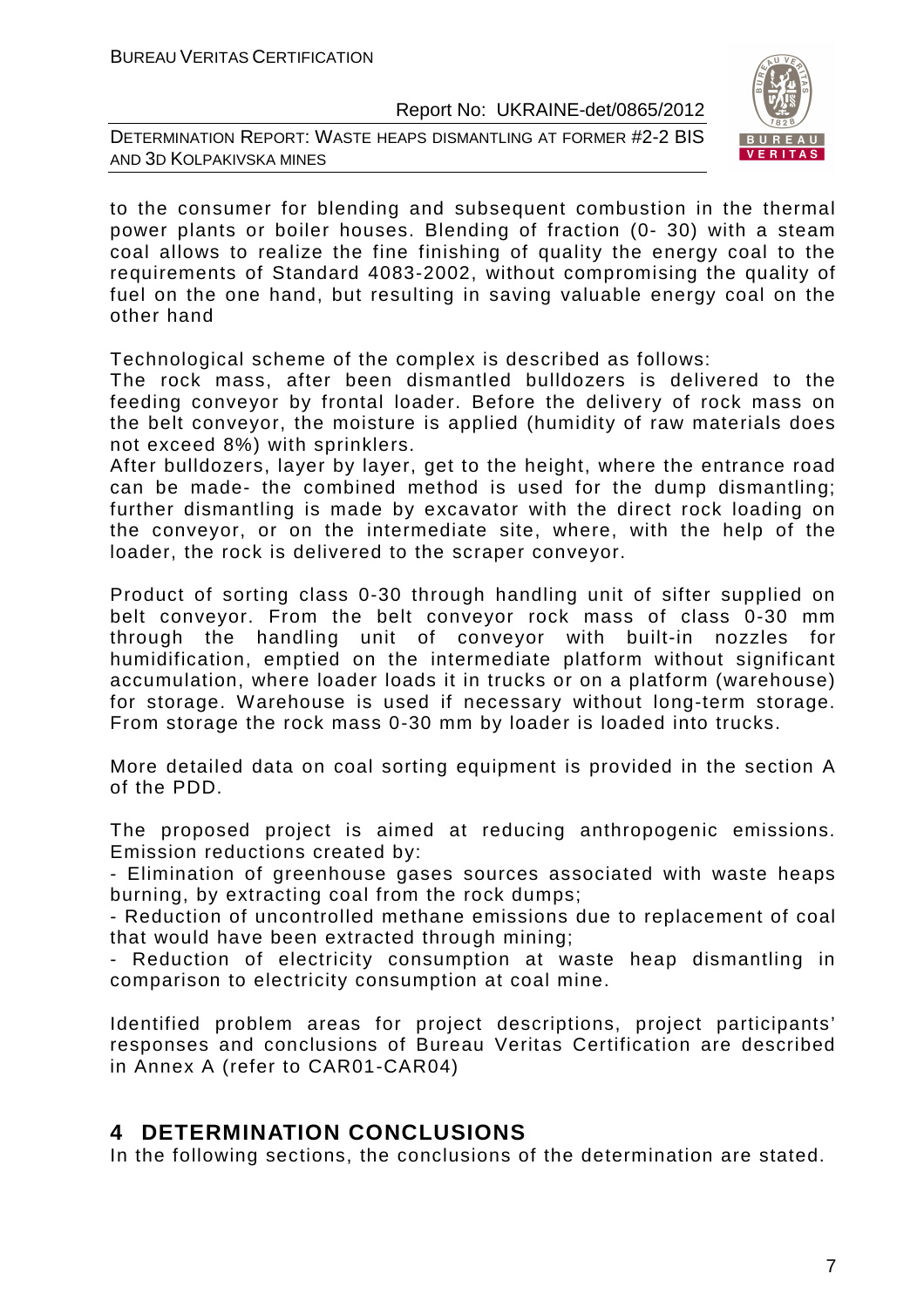DETERMINATION REPORT: WASTE HEAPS DISMANTLING AT FORMER #2-2 BIS AND 3D KOLPAKIVSKA MINES



to the consumer for blending and subsequent combustion in the thermal power plants or boiler houses. Blending of fraction (0- 30) with a steam coal allows to realize the fine finishing of quality the energy coal to the requirements of Standard 4083-2002, without compromising the quality of fuel on the one hand, but resulting in saving valuable energy coal on the other hand

Technological scheme of the complex is described as follows:

The rock mass, after been dismantled bulldozers is delivered to the feeding conveyor by frontal loader. Before the delivery of rock mass on the belt conveyor, the moisture is applied (humidity of raw materials does not exceed 8%) with sprinklers.

After bulldozers, layer by layer, get to the height, where the entrance road can be made- the combined method is used for the dump dismantling; further dismantling is made by excavator with the direct rock loading on the conveyor, or on the intermediate site, where, with the help of the loader, the rock is delivered to the scraper conveyor.

Product of sorting class 0-30 through handling unit of sifter supplied on belt conveyor. From the belt conveyor rock mass of class 0-30 mm through the handling unit of conveyor with built-in nozzles for humidification, emptied on the intermediate platform without significant accumulation, where loader loads it in trucks or on a platform (warehouse) for storage. Warehouse is used if necessary without long-term storage. From storage the rock mass 0-30 mm by loader is loaded into trucks.

More detailed data on coal sorting equipment is provided in the section A of the PDD.

The proposed project is aimed at reducing anthropogenic emissions. Emission reductions created by:

- Elimination of greenhouse gases sources associated with waste heaps burning, by extracting coal from the rock dumps;

- Reduction of uncontrolled methane emissions due to replacement of coal that would have been extracted through mining;

- Reduction of electricity consumption at waste heap dismantling in comparison to electricity consumption at coal mine.

Identified problem areas for project descriptions, project participants' responses and conclusions of Bureau Veritas Certification are described in Annex A (refer to CAR01-CAR04)

# **4 DETERMINATION CONCLUSIONS**

In the following sections, the conclusions of the determination are stated.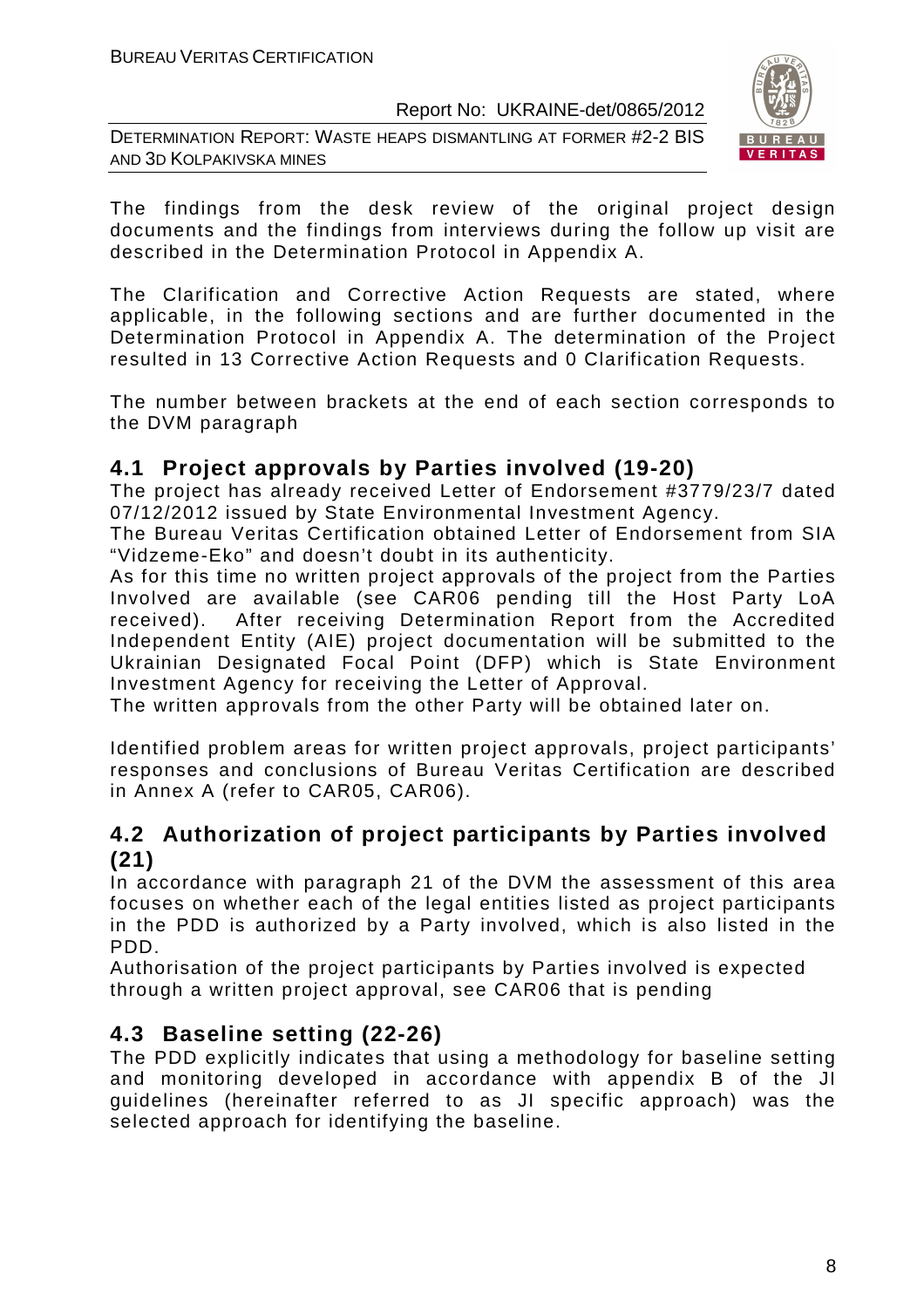DETERMINATION REPORT: WASTE HEAPS DISMANTLING AT FORMER #2-2 BIS AND 3D KOLPAKIVSKA MINES



The findings from the desk review of the original project design documents and the findings from interviews during the follow up visit are described in the Determination Protocol in Appendix A.

The Clarification and Corrective Action Requests are stated, where applicable, in the following sections and are further documented in the Determination Protocol in Appendix A. The determination of the Project resulted in 13 Corrective Action Requests and 0 Clarification Requests.

The number between brackets at the end of each section corresponds to the DVM paragraph

# **4.1 Project approvals by Parties involved (19-20)**

The project has already received Letter of Endorsement #3779/23/7 dated 07/12/2012 issued by State Environmental Investment Agency.

The Bureau Veritas Certification obtained Letter of Endorsement from SIA "Vidzeme-Eko" and doesn't doubt in its authenticity.

As for this time no written project approvals of the project from the Parties Involved are available (see CAR06 pending till the Host Party LoA received). After receiving Determination Report from the Accredited Independent Entity (AIE) project documentation will be submitted to the Ukrainian Designated Focal Point (DFP) which is State Environment Investment Agency for receiving the Letter of Approval.

The written approvals from the other Party will be obtained later on.

Identified problem areas for written project approvals, project participants' responses and conclusions of Bureau Veritas Certification are described in Annex A (refer to CAR05, CAR06).

# **4.2 Authorization of project participants by Parties involved (21)**

In accordance with paragraph 21 of the DVM the assessment of this area focuses on whether each of the legal entities listed as project participants in the PDD is authorized by a Party involved, which is also listed in the PDD.

Authorisation of the project participants by Parties involved is expected through a written project approval, see CAR06 that is pending

# **4.3 Baseline setting (22-26)**

The PDD explicitly indicates that using a methodology for baseline setting and monitoring developed in accordance with appendix B of the JI guidelines (hereinafter referred to as JI specific approach) was the selected approach for identifying the baseline.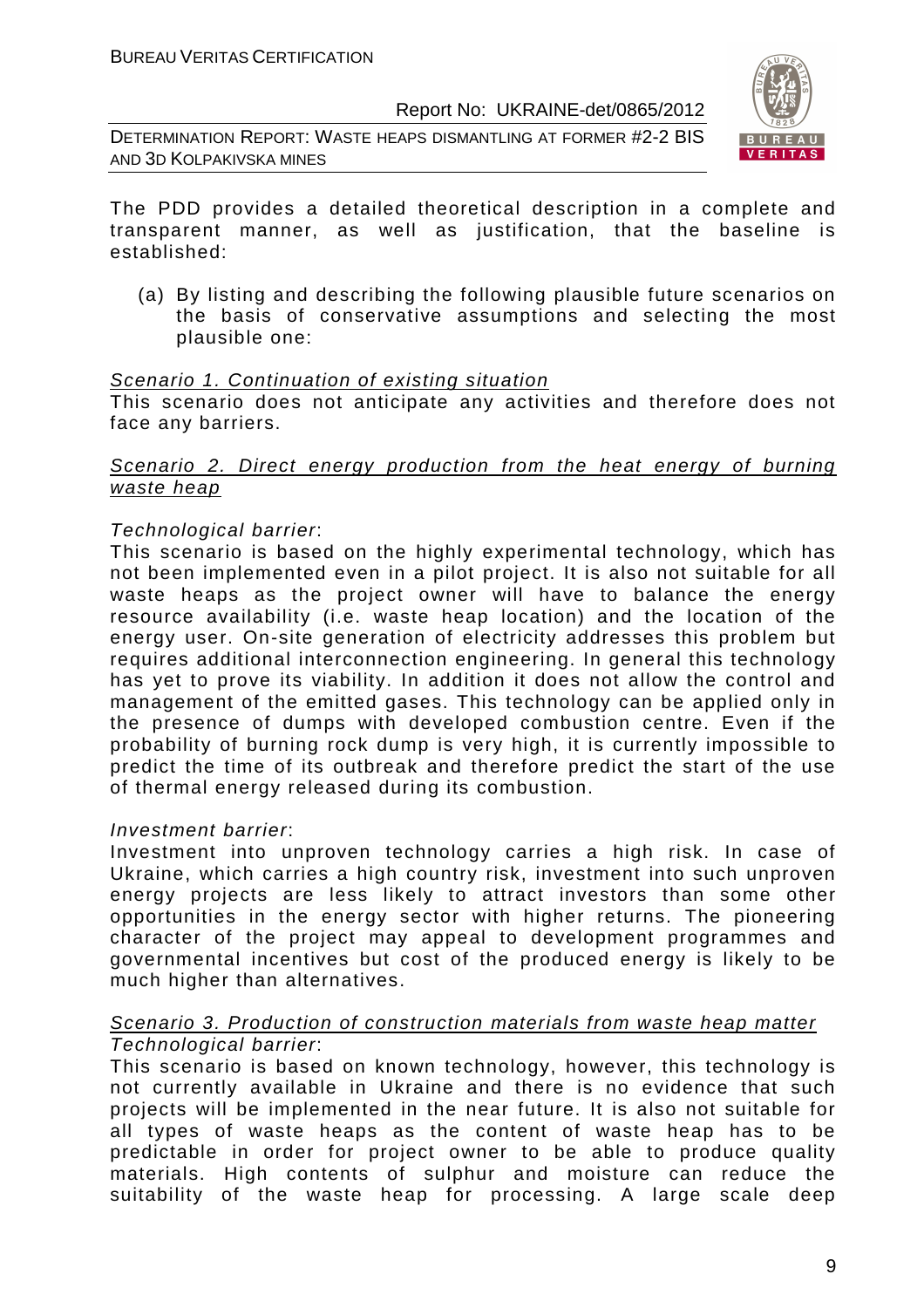DETERMINATION REPORT: WASTE HEAPS DISMANTLING AT FORMER #2-2 BIS AND 3D KOLPAKIVSKA MINES



The PDD provides a detailed theoretical description in a complete and transparent manner, as well as justification, that the baseline is established:

(a) By listing and describing the following plausible future scenarios on the basis of conservative assumptions and selecting the most plausible one:

#### Scenario 1. Continuation of existing situation

This scenario does not anticipate any activities and therefore does not face any barriers.

#### Scenario 2. Direct energy production from the heat energy of burning waste heap

#### Technological barrier:

This scenario is based on the highly experimental technology, which has not been implemented even in a pilot project. It is also not suitable for all waste heaps as the project owner will have to balance the energy resource availability (i.e. waste heap location) and the location of the energy user. On-site generation of electricity addresses this problem but requires additional interconnection engineering. In general this technology has yet to prove its viability. In addition it does not allow the control and management of the emitted gases. This technology can be applied only in the presence of dumps with developed combustion centre. Even if the probability of burning rock dump is very high, it is currently impossible to predict the time of its outbreak and therefore predict the start of the use of thermal energy released during its combustion.

#### Investment barrier:

Investment into unproven technology carries a high risk. In case of Ukraine, which carries a high country risk, investment into such unproven energy projects are less likely to attract investors than some other opportunities in the energy sector with higher returns. The pioneering character of the project may appeal to development programmes and governmental incentives but cost of the produced energy is likely to be much higher than alternatives.

#### Scenario 3. Production of construction materials from waste heap matter Technological barrier:

This scenario is based on known technology, however, this technology is not currently available in Ukraine and there is no evidence that such projects will be implemented in the near future. It is also not suitable for all types of waste heaps as the content of waste heap has to be predictable in order for project owner to be able to produce quality materials. High contents of sulphur and moisture can reduce the suitability of the waste heap for processing. A large scale deep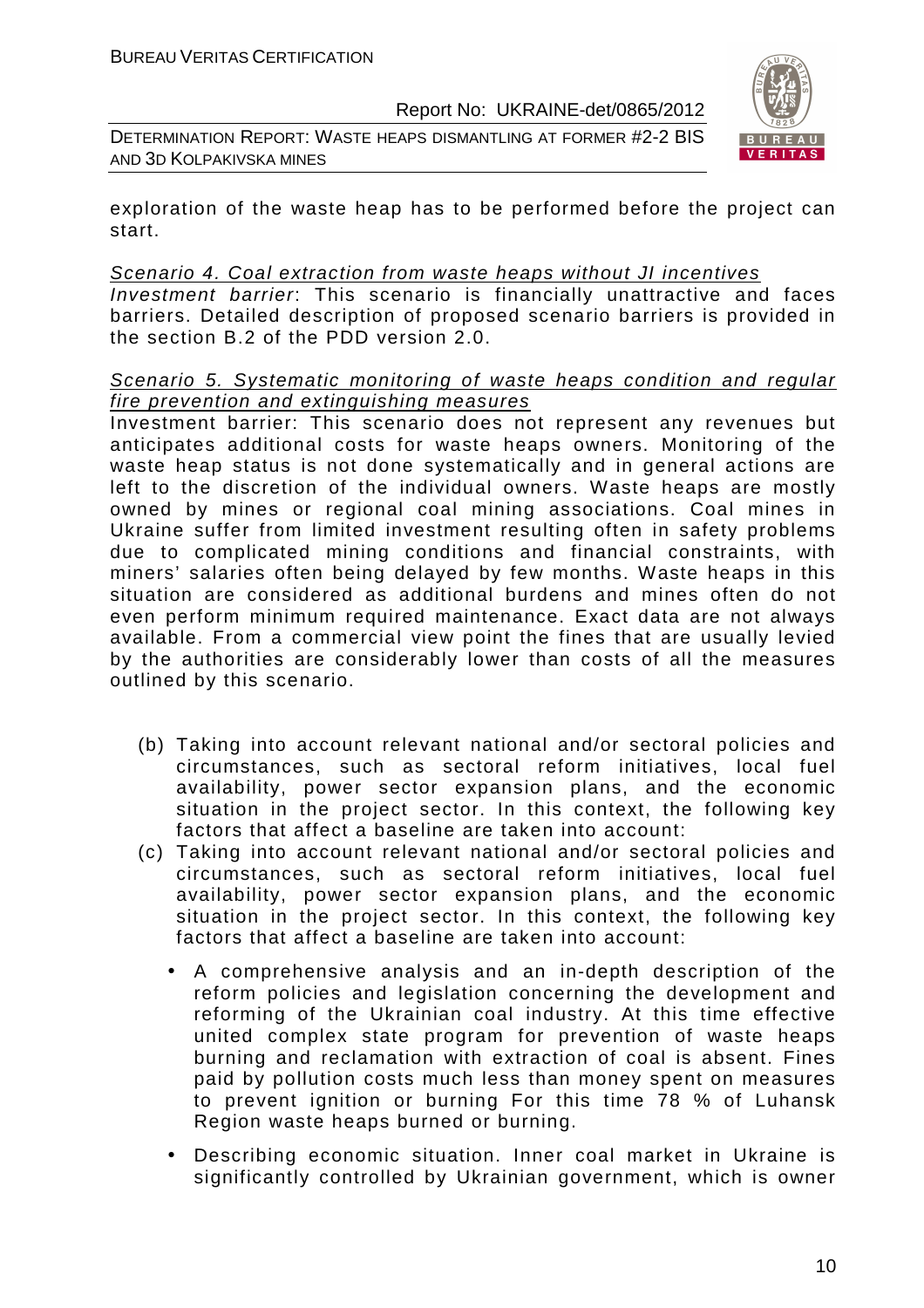DETERMINATION REPORT: WASTE HEAPS DISMANTLING AT FORMER #2-2 BIS AND 3D KOLPAKIVSKA MINES



exploration of the waste heap has to be performed before the project can start.

#### Scenario 4. Coal extraction from waste heaps without JI incentives

Investment barrier: This scenario is financially unattractive and faces barriers. Detailed description of proposed scenario barriers is provided in the section B.2 of the PDD version 2.0.

#### Scenario 5. Systematic monitoring of waste heaps condition and regular fire prevention and extinguishing measures

Investment barrier: This scenario does not represent any revenues but anticipates additional costs for waste heaps owners. Monitoring of the waste heap status is not done systematically and in general actions are left to the discretion of the individual owners. Waste heaps are mostly owned by mines or regional coal mining associations. Coal mines in Ukraine suffer from limited investment resulting often in safety problems due to complicated mining conditions and financial constraints, with miners' salaries often being delayed by few months. Waste heaps in this situation are considered as additional burdens and mines often do not even perform minimum required maintenance. Exact data are not always available. From a commercial view point the fines that are usually levied by the authorities are considerably lower than costs of all the measures outlined by this scenario.

- (b) Taking into account relevant national and/or sectoral policies and circumstances, such as sectoral reform initiatives, local fuel availability, power sector expansion plans, and the economic situation in the project sector. In this context, the following key factors that affect a baseline are taken into account:
- (c) Taking into account relevant national and/or sectoral policies and circumstances, such as sectoral reform initiatives, local fuel availability, power sector expansion plans, and the economic situation in the project sector. In this context, the following key factors that affect a baseline are taken into account:
	- A comprehensive analysis and an in-depth description of the reform policies and legislation concerning the development and reforming of the Ukrainian coal industry. At this time effective united complex state program for prevention of waste heaps burning and reclamation with extraction of coal is absent. Fines paid by pollution costs much less than money spent on measures to prevent ignition or burning For this time 78 % of Luhansk Region waste heaps burned or burning.
	- Describing economic situation. Inner coal market in Ukraine is significantly controlled by Ukrainian government, which is owner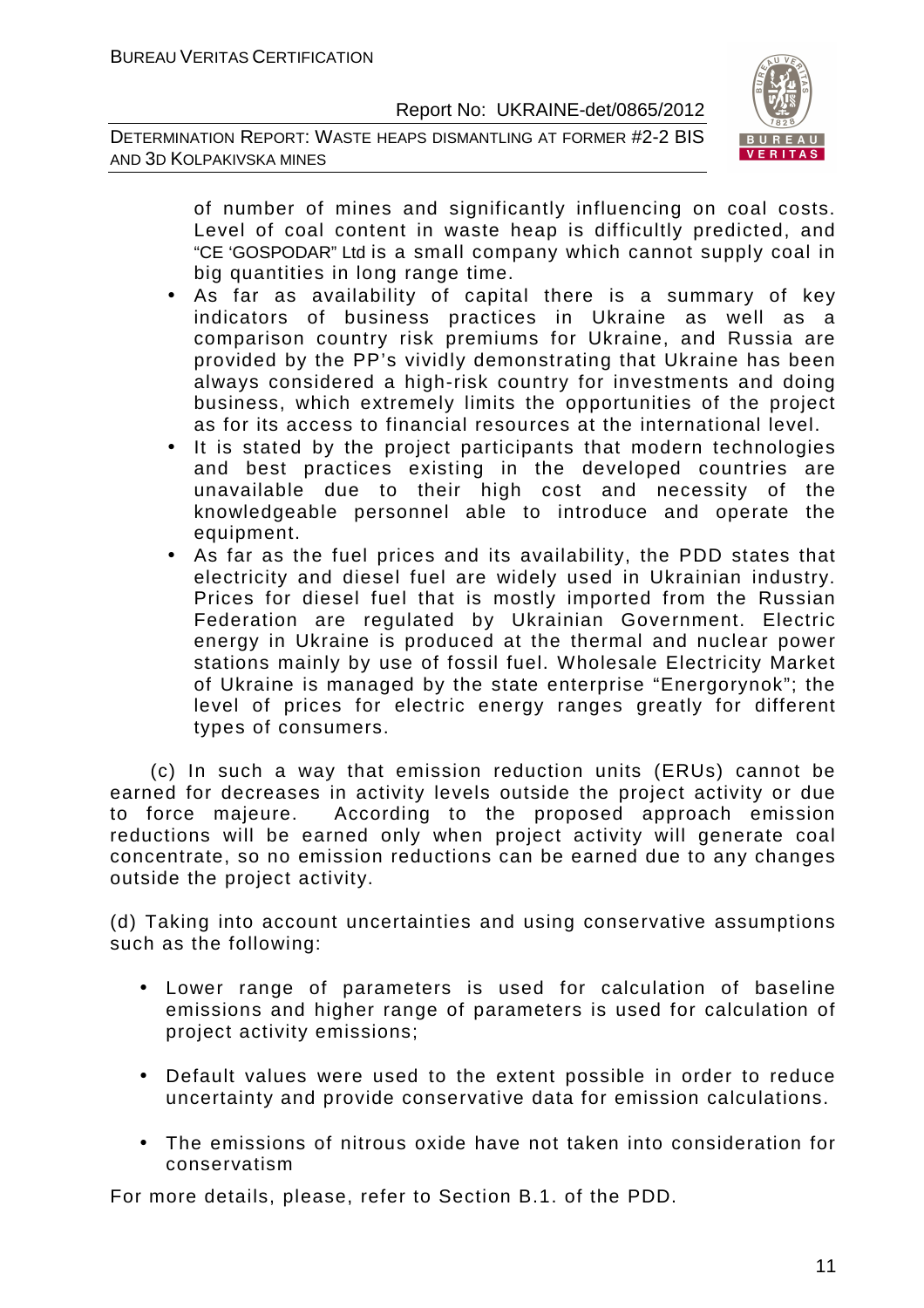DETERMINATION REPORT: WASTE HEAPS DISMANTLING AT FORMER #2-2 BIS AND 3D KOLPAKIVSKA MINES



of number of mines and significantly influencing on coal costs. Level of coal content in waste heap is difficultly predicted, and "CE 'GOSPODAR" Ltd is a small company which cannot supply coal in big quantities in long range time.

- As far as availability of capital there is a summary of key indicators of business practices in Ukraine as well as a comparison country risk premiums for Ukraine, and Russia are provided by the PP's vividly demonstrating that Ukraine has been always considered a high-risk country for investments and doing business, which extremely limits the opportunities of the project as for its access to financial resources at the international level.
- It is stated by the project participants that modern technologies and best practices existing in the developed countries are unavailable due to their high cost and necessity of the knowledgeable personnel able to introduce and operate the equipment.
- As far as the fuel prices and its availability, the PDD states that electricity and diesel fuel are widely used in Ukrainian industry. Prices for diesel fuel that is mostly imported from the Russian Federation are regulated by Ukrainian Government. Electric energy in Ukraine is produced at the thermal and nuclear power stations mainly by use of fossil fuel. Wholesale Electricity Market of Ukraine is managed by the state enterprise "Energorynok"; the level of prices for electric energy ranges greatly for different types of consumers.

 (c) In such a way that emission reduction units (ERUs) cannot be earned for decreases in activity levels outside the project activity or due to force majeure. According to the proposed approach emission reductions will be earned only when project activity will generate coal concentrate, so no emission reductions can be earned due to any changes outside the project activity.

(d) Taking into account uncertainties and using conservative assumptions such as the following:

- Lower range of parameters is used for calculation of baseline emissions and higher range of parameters is used for calculation of project activity emissions;
- Default values were used to the extent possible in order to reduce uncertainty and provide conservative data for emission calculations.
- The emissions of nitrous oxide have not taken into consideration for conservatism

For more details, please, refer to Section B.1. of the PDD.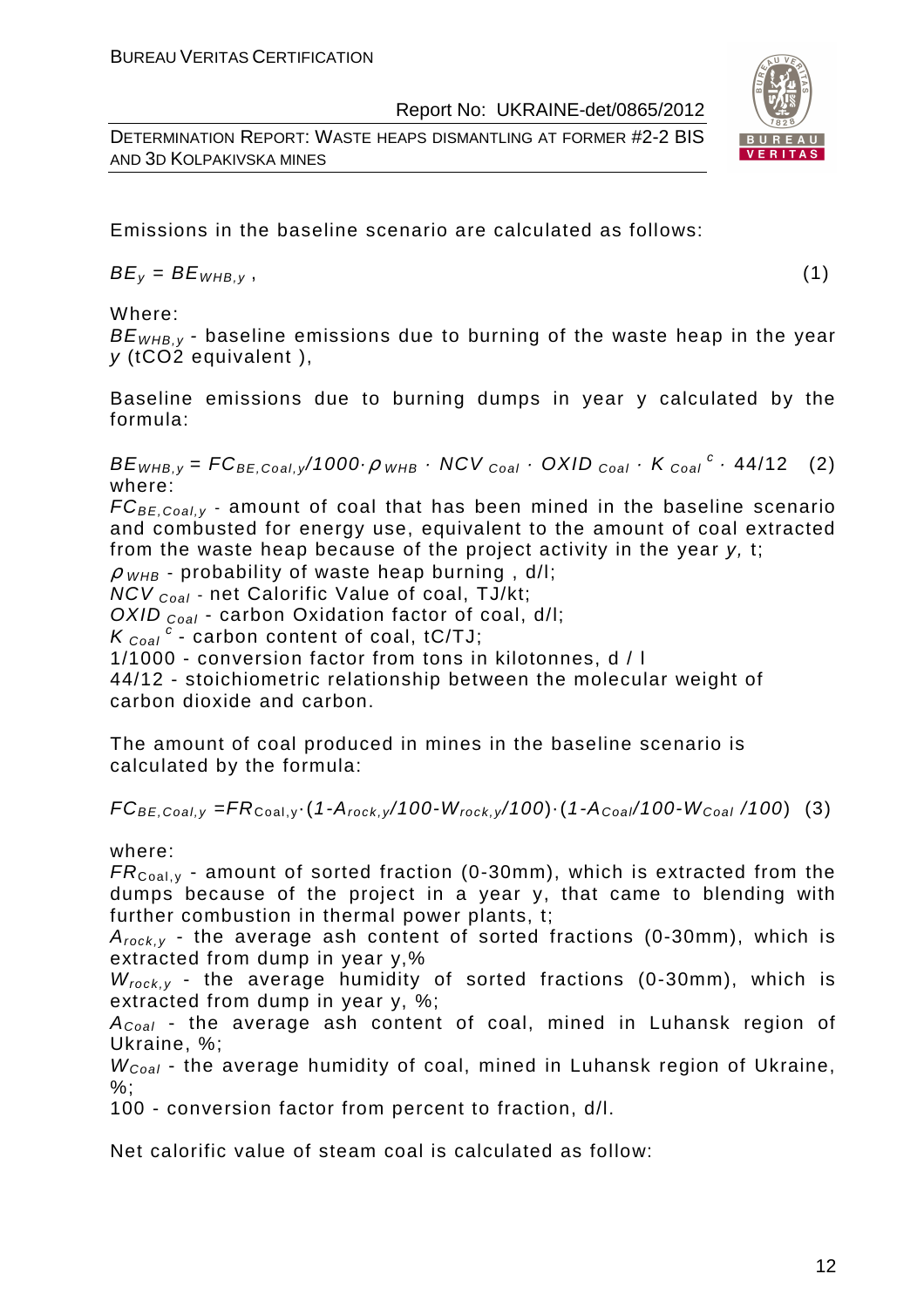DETERMINATION REPORT: WASTE HEAPS DISMANTLING AT FORMER #2-2 BIS AND 3D KOLPAKIVSKA MINES

Emissions in the baseline scenario are calculated as follows:

 $BE_v = BE_{WHB.v}$ , (1)

Where:

 $BE<sub>WHRV</sub>$  - baseline emissions due to burning of the waste heap in the year y (tCO2 equivalent ),

Baseline emissions due to burning dumps in year y calculated by the formula:

 $BE_{WHB,y} = FC_{BE,Coal,y}/1000 \cdot \rho$  whb  $\cdot$  NCV  $_{Coal} \cdot$  OXID  $_{Coal} \cdot K_{Coal}^c \cdot 44/12$  (2) where:

 $FC_{BE, coal,v}$  - amount of coal that has been mined in the baseline scenario and combusted for energy use, equivalent to the amount of coal extracted from the waste heap because of the project activity in the year y, t;

 $\rho$  w<sub>HB</sub> - probability of waste heap burning, d/l;

 $NCV_{Coal}$  - net Calorific Value of coal, TJ/kt;

OXID  $_{Coal}$  - carbon Oxidation factor of coal, d/l;

 $K_{\text{Coal}}^c$  - carbon content of coal, tC/TJ;

1/1000 - conversion factor from tons in kilotonnes, d / l

44/12 - stoichiometric relationship between the molecular weight of carbon dioxide and carbon.

The amount of coal produced in mines in the baseline scenario is calculated by the formula:

 $FC_{BE,Coal,v} = FR_{Coal,v} (1-A_{rock,v}/100-W_{rock,v}/100) (1-A_{Coal}/100-W_{Coal}/100)$  (3)

where:

 $FR_{\text{Coal,v}}$  - amount of sorted fraction (0-30mm), which is extracted from the dumps because of the project in a year y, that came to blending with further combustion in thermal power plants, t;

 $A_{rock, v}$  - the average ash content of sorted fractions (0-30mm), which is extracted from dump in year y,%

 $W_{rock, v}$  - the average humidity of sorted fractions (0-30mm), which is extracted from dump in year y, %;

 $A_{Coal}$  - the average ash content of coal, mined in Luhansk region of Ukraine, %;

 $W_{Coal}$  - the average humidity of coal, mined in Luhansk region of Ukraine,  $\%$ :

100 - conversion factor from percent to fraction, d/l.

Net calorific value of steam coal is calculated as follow:

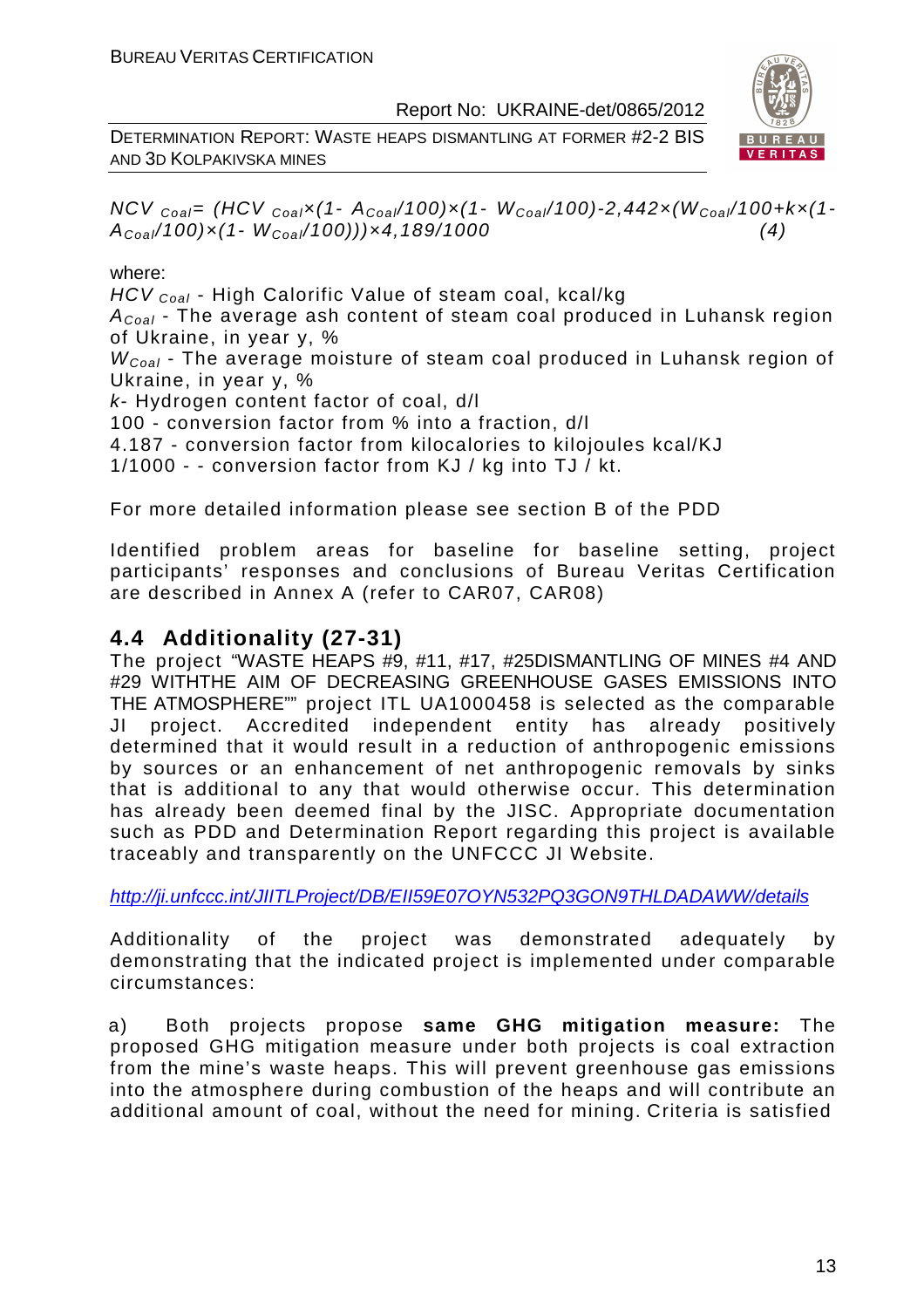DETERMINATION REPORT: WASTE HEAPS DISMANTLING AT FORMER #2-2 BIS AND 3D KOLPAKIVSKA MINES



NCV  $_{Coal}$ = (HCV  $_{Coal}$  $\times$  (1- A<sub>Coal</sub>/100) $\times$ (1- W<sub>Coal</sub>/100)-2,442 $\times$ (W<sub>Coal</sub>/100+k $\times$ (1- $A_{Coal}/100) \times (1-W_{Coal}/100)) \times 4,189/1000$  (4)

#### where:

HCV <sub>Coal</sub> - High Calorific Value of steam coal, kcal/kg

 $A_{Coal}$  - The average ash content of steam coal produced in Luhansk region of Ukraine, in year y, %

 $W_{Coal}$  - The average moisture of steam coal produced in Luhansk region of Ukraine, in year y, %

k- Hydrogen content factor of coal, d/l

100 - conversion factor from % into a fraction, d/l

4.187 - conversion factor from kilocalories to kilojoules kcal/KJ

1/1000 - - conversion factor from KJ / kg into TJ / kt.

For more detailed information please see section B of the PDD

Identified problem areas for baseline for baseline setting, project participants' responses and conclusions of Bureau Veritas Certification are described in Annex A (refer to CAR07, CAR08)

# **4.4 Additionality (27-31)**

The project "WASTE HEAPS #9, #11, #17, #25DISMANTLING OF MINES #4 AND #29 WITHTHE AIM OF DECREASING GREENHOUSE GASES EMISSIONS INTO THE ATMOSPHERE"" project ITL UA1000458 is selected as the comparable JI project. Accredited independent entity has already positively determined that it would result in a reduction of anthropogenic emissions by sources or an enhancement of net anthropogenic removals by sinks that is additional to any that would otherwise occur. This determination has already been deemed final by the JISC. Appropriate documentation such as PDD and Determination Report regarding this project is available traceably and transparently on the UNFCCC JI Website.

http://ji.unfccc.int/JIITLProject/DB/EII59E07OYN532PQ3GON9THLDADAWW/details

Additionality of the project was demonstrated adequately by demonstrating that the indicated project is implemented under comparable circumstances:

a) Both projects propose **same GHG mitigation measure:** The proposed GHG mitigation measure under both projects is coal extraction from the mine's waste heaps. This will prevent greenhouse gas emissions into the atmosphere during combustion of the heaps and will contribute an additional amount of coal, without the need for mining. Criteria is satisfied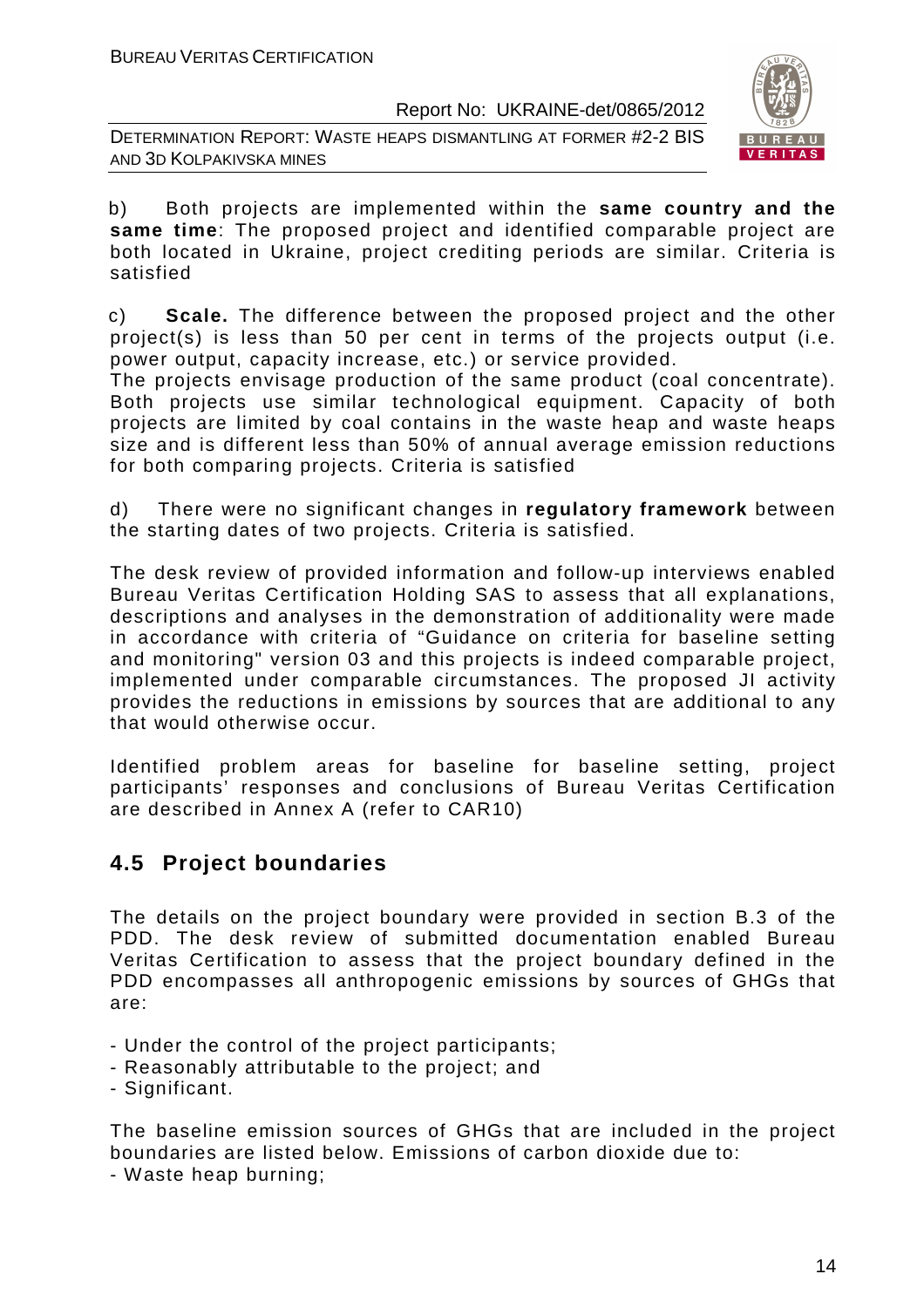DETERMINATION REPORT: WASTE HEAPS DISMANTLING AT FORMER #2-2 BIS AND 3D KOLPAKIVSKA MINES



b) Both projects are implemented within the **same country and the same time**: The proposed project and identified comparable project are both located in Ukraine, project crediting periods are similar. Criteria is satisfied

c) **Scale.** The difference between the proposed project and the other project(s) is less than 50 per cent in terms of the projects output (i.e. power output, capacity increase, etc.) or service provided.

The projects envisage production of the same product (coal concentrate). Both projects use similar technological equipment. Capacity of both projects are limited by coal contains in the waste heap and waste heaps size and is different less than 50% of annual average emission reductions for both comparing projects. Criteria is satisfied

d) There were no significant changes in **regulatory framework** between the starting dates of two projects. Criteria is satisfied.

The desk review of provided information and follow-up interviews enabled Bureau Veritas Certification Holding SAS to assess that all explanations, descriptions and analyses in the demonstration of additionality were made in accordance with criteria of "Guidance on criteria for baseline setting and monitoring" version 03 and this projects is indeed comparable project, implemented under comparable circumstances. The proposed JI activity provides the reductions in emissions by sources that are additional to any that would otherwise occur.

Identified problem areas for baseline for baseline setting, project participants' responses and conclusions of Bureau Veritas Certification are described in Annex A (refer to CAR10)

# **4.5 Project boundaries**

The details on the project boundary were provided in section B.3 of the PDD. The desk review of submitted documentation enabled Bureau Veritas Certification to assess that the project boundary defined in the PDD encompasses all anthropogenic emissions by sources of GHGs that are:

- Under the control of the project participants;
- Reasonably attributable to the project; and
- Significant.

The baseline emission sources of GHGs that are included in the project boundaries are listed below. Emissions of carbon dioxide due to:

- Waste heap burning;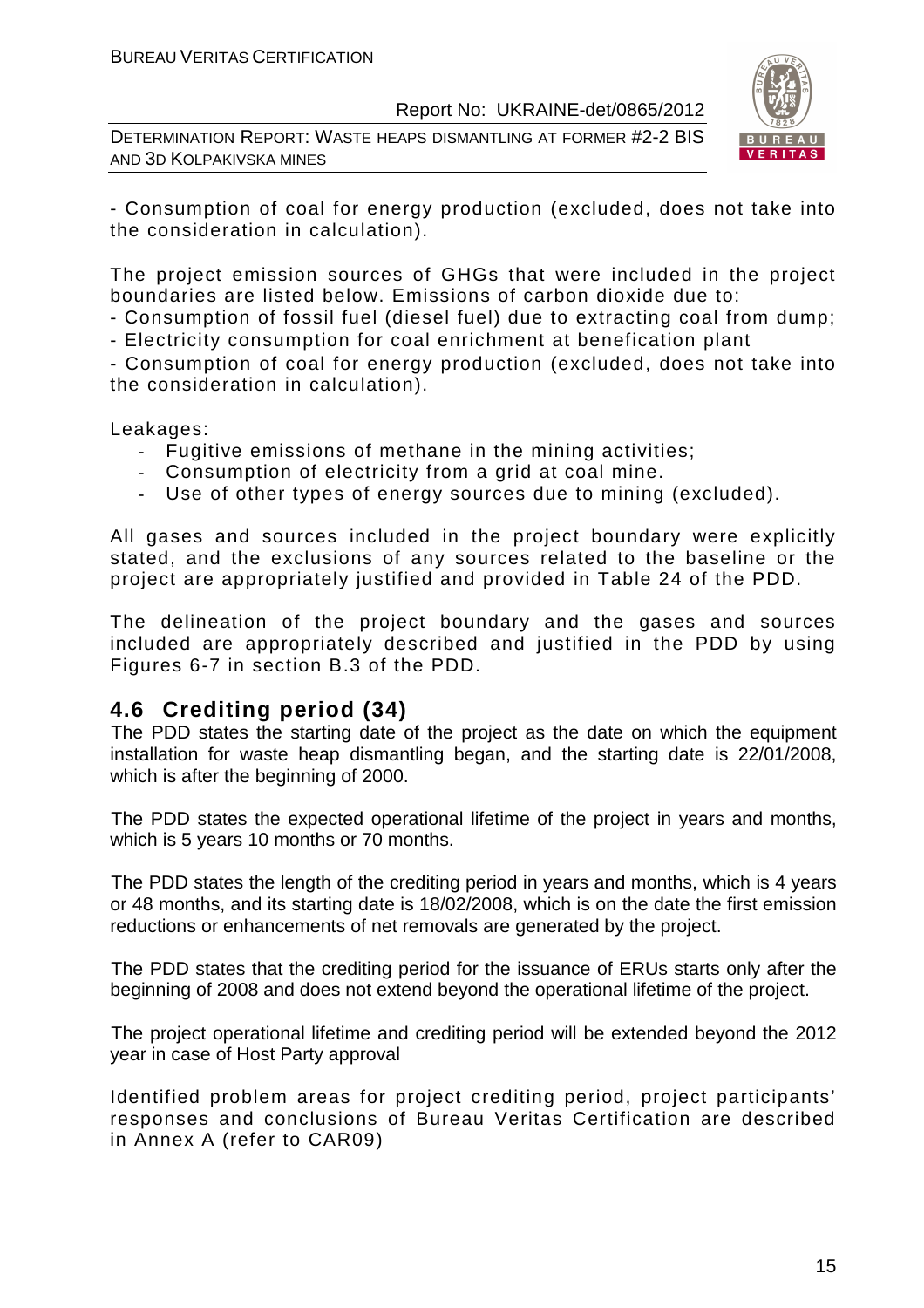DETERMINATION REPORT: WASTE HEAPS DISMANTLING AT FORMER #2-2 BIS AND 3D KOLPAKIVSKA MINES



- Consumption of coal for energy production (excluded, does not take into the consideration in calculation).

The project emission sources of GHGs that were included in the project boundaries are listed below. Emissions of carbon dioxide due to:

- Consumption of fossil fuel (diesel fuel) due to extracting coal from dump;

- Electricity consumption for coal enrichment at benefication plant

- Consumption of coal for energy production (excluded, does not take into the consideration in calculation).

Leakages:

- Fugitive emissions of methane in the mining activities;
- Consumption of electricity from a grid at coal mine.
- Use of other types of energy sources due to mining (excluded).

All gases and sources included in the project boundary were explicitly stated, and the exclusions of any sources related to the baseline or the project are appropriately justified and provided in Table 24 of the PDD.

The delineation of the project boundary and the gases and sources included are appropriately described and justified in the PDD by using Figures 6-7 in section B.3 of the PDD.

# **4.6 Crediting period (34)**

The PDD states the starting date of the project as the date on which the equipment installation for waste heap dismantling began, and the starting date is 22/01/2008, which is after the beginning of 2000.

The PDD states the expected operational lifetime of the project in years and months, which is 5 years 10 months or 70 months.

The PDD states the length of the crediting period in years and months, which is 4 years or 48 months, and its starting date is 18/02/2008, which is on the date the first emission reductions or enhancements of net removals are generated by the project.

The PDD states that the crediting period for the issuance of ERUs starts only after the beginning of 2008 and does not extend beyond the operational lifetime of the project.

The project operational lifetime and crediting period will be extended beyond the 2012 year in case of Host Party approval

Identified problem areas for project crediting period, project participants' responses and conclusions of Bureau Veritas Certification are described in Annex A (refer to CAR09)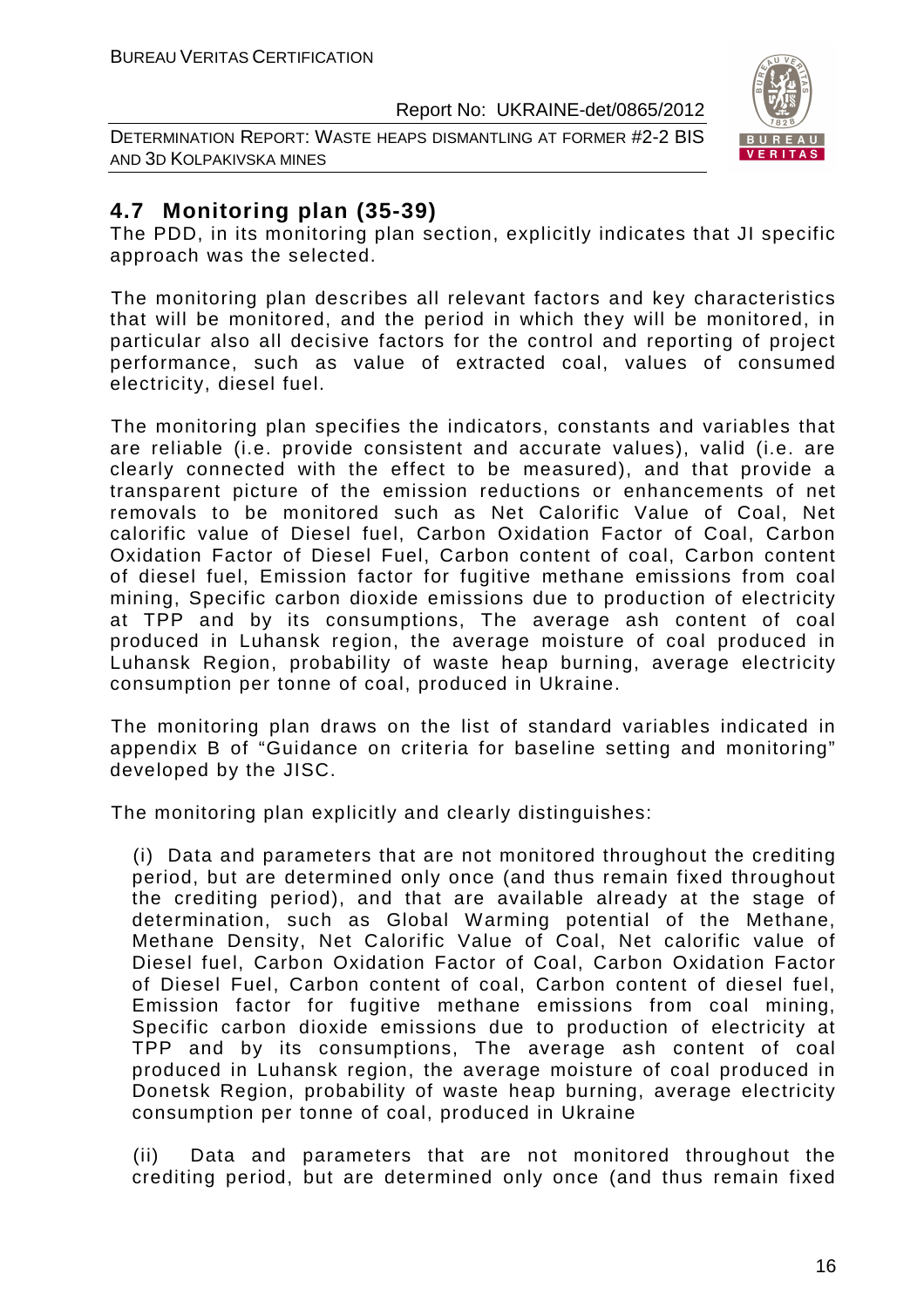DETERMINATION REPORT: WASTE HEAPS DISMANTLING AT FORMER #2-2 BIS AND 3D KOLPAKIVSKA MINES



# **4.7 Monitoring plan (35-39)**

The PDD, in its monitoring plan section, explicitly indicates that JI specific approach was the selected.

The monitoring plan describes all relevant factors and key characteristics that will be monitored, and the period in which they will be monitored, in particular also all decisive factors for the control and reporting of project performance, such as value of extracted coal, values of consumed electricity, diesel fuel.

The monitoring plan specifies the indicators, constants and variables that are reliable (i.e. provide consistent and accurate values), valid (i.e. are clearly connected with the effect to be measured), and that provide a transparent picture of the emission reductions or enhancements of net removals to be monitored such as Net Calorific Value of Coal, Net calorific value of Diesel fuel, Carbon Oxidation Factor of Coal, Carbon Oxidation Factor of Diesel Fuel, Carbon content of coal, Carbon content of diesel fuel, Emission factor for fugitive methane emissions from coal mining, Specific carbon dioxide emissions due to production of electricity at TPP and by its consumptions, The average ash content of coal produced in Luhansk region, the average moisture of coal produced in Luhansk Region, probability of waste heap burning, average electricity consumption per tonne of coal, produced in Ukraine.

The monitoring plan draws on the list of standard variables indicated in appendix B of "Guidance on criteria for baseline setting and monitoring" developed by the JISC.

The monitoring plan explicitly and clearly distinguishes:

(i) Data and parameters that are not monitored throughout the crediting period, but are determined only once (and thus remain fixed throughout the crediting period), and that are available already at the stage of determination, such as Global Warming potential of the Methane, Methane Density, Net Calorific Value of Coal, Net calorific value of Diesel fuel, Carbon Oxidation Factor of Coal, Carbon Oxidation Factor of Diesel Fuel, Carbon content of coal, Carbon content of diesel fuel, Emission factor for fugitive methane emissions from coal mining, Specific carbon dioxide emissions due to production of electricity at TPP and by its consumptions, The average ash content of coal produced in Luhansk region, the average moisture of coal produced in Donetsk Region, probability of waste heap burning, average electricity consumption per tonne of coal, produced in Ukraine

(ii) Data and parameters that are not monitored throughout the crediting period, but are determined only once (and thus remain fixed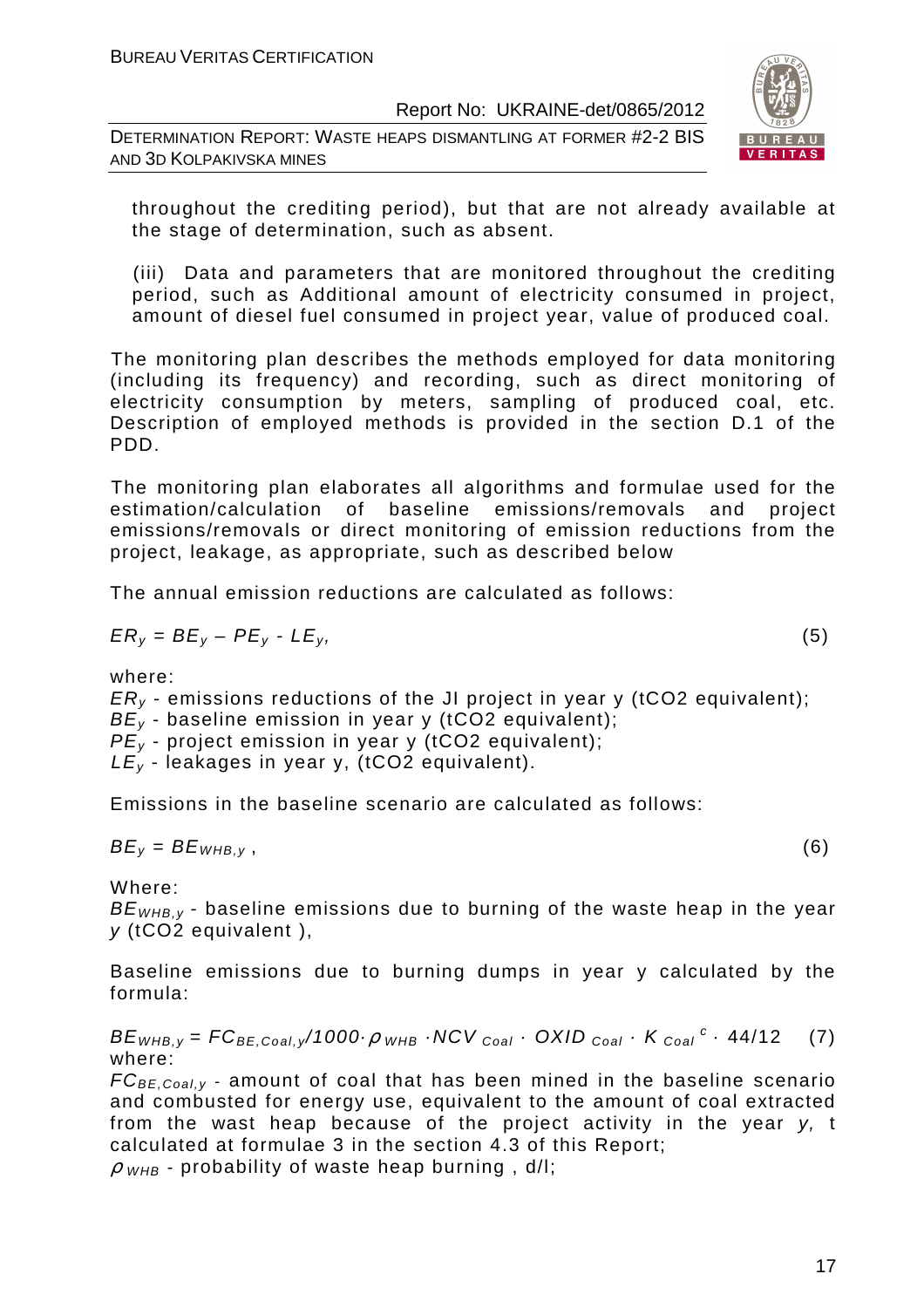DETERMINATION REPORT: WASTE HEAPS DISMANTLING AT FORMER #2-2 BIS AND 3D KOLPAKIVSKA MINES



throughout the crediting period), but that are not already available at the stage of determination, such as absent.

(iii) Data and parameters that are monitored throughout the crediting period, such as Additional amount of electricity consumed in project, amount of diesel fuel consumed in project year, value of produced coal.

The monitoring plan describes the methods employed for data monitoring (including its frequency) and recording, such as direct monitoring of electricity consumption by meters, sampling of produced coal, etc. Description of employed methods is provided in the section D.1 of the PDD.

The monitoring plan elaborates all algorithms and formulae used for the estimation/calculation of baseline emissions/removals and project emissions/removals or direct monitoring of emission reductions from the project, leakage, as appropriate, such as described below

The annual emission reductions are calculated as follows:

$$
ER_y = BE_y - PE_y - LE_y, \tag{5}
$$

where:

 $ER<sub>v</sub>$  - emissions reductions of the JI project in year y (tCO2 equivalent);  $BE<sub>y</sub>$  - baseline emission in year y (tCO2 equivalent);  $PE<sub>y</sub>$  - project emission in year y (tCO2 equivalent);

 $LE_v$  - leakages in year y, (tCO2 equivalent).

Emissions in the baseline scenario are calculated as follows:

$$
BE_y = BE_{WHB,y}, \t\t(6)
$$

Where:

 $BE_{WHRV}$  - baseline emissions due to burning of the waste heap in the year  $v$  (tCO2 equivalent),

Baseline emissions due to burning dumps in year y calculated by the formula:

 $BE_{WHB,y} = FC_{BE,Coal,y}/1000 \cdot \rho$  whe  $\cdot$  NCV  $_{Coal}$   $\cdot$  OXID  $_{Coal}$   $\cdot$  K  $_{Coal}$   $\cdot$  44/12 (7) where:

 $FC_{BE,Coal,v}$  - amount of coal that has been mined in the baseline scenario and combusted for energy use, equivalent to the amount of coal extracted from the wast heap because of the project activity in the year y, t calculated at formulae 3 in the section 4.3 of this Report;

 $\rho$  <sub>WHB</sub> - probability of waste heap burning, d/l;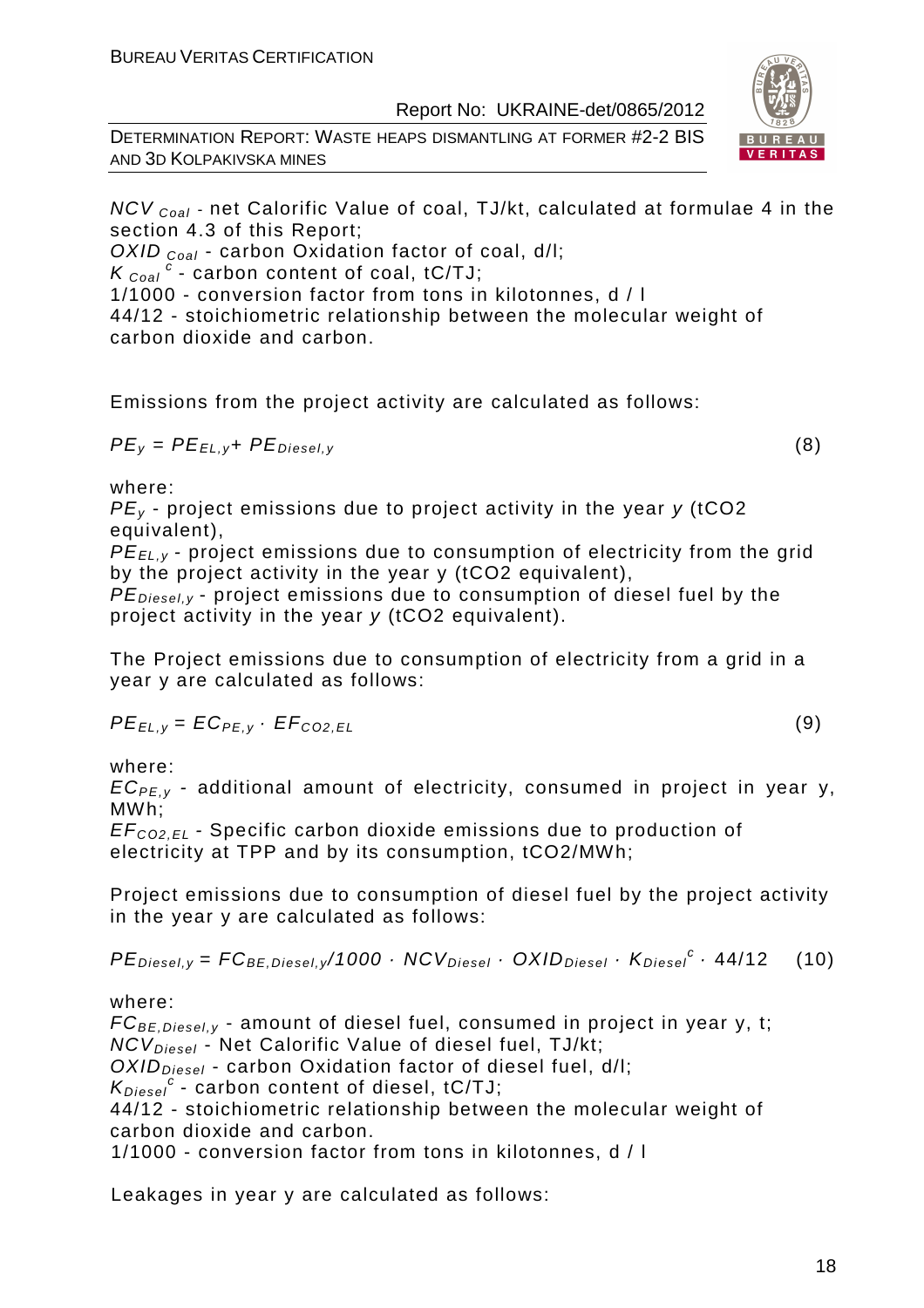DETERMINATION REPORT: WASTE HEAPS DISMANTLING AT FORMER #2-2 BIS AND 3D KOLPAKIVSKA MINES



OXID  $_{Coal}$  - carbon Oxidation factor of coal, d/l;

 $K_{\text{Coal}}^{\text{c}}$  - carbon content of coal, tC/TJ;

1/1000 - conversion factor from tons in kilotonnes, d / l

44/12 - stoichiometric relationship between the molecular weight of carbon dioxide and carbon.

Emissions from the project activity are calculated as follows:

$$
PE_y = PE_{EL,y} + PE_{Diesel,y}
$$
 (8)

where:

 $PE<sub>v</sub>$  - project emissions due to project activity in the year y (tCO2 equivalent),

PE<sub>EL,y</sub> - project emissions due to consumption of electricity from the grid by the project activity in the year y (tCO2 equivalent),

 $PE_{\text{Diesel},v}$  - project emissions due to consumption of diesel fuel by the project activity in the year y (tCO2 equivalent).

The Project emissions due to consumption of electricity from a grid in a year y are calculated as follows:

$$
PE_{EL,y} = EC_{PE,y} \cdot EF_{CO2,EL}
$$
 (9)

where:

 $EC_{PE,y}$  - additional amount of electricity, consumed in project in year y, MWh;

EF<sup>C</sup>*О*2,EL - Specific carbon dioxide emissions due to production of electricity at TPP and by its consumption, tCO2/MWh;

Project emissions due to consumption of diesel fuel by the project activity in the year y are calculated as follows:

 $PE_{\text{Diesel},y} = FC_{\text{BE},\text{Diesel},y}/1000 \cdot NCV_{\text{Diesel}} \cdot OXID_{\text{Diesel}} \cdot K_{\text{Diesel}}^c \cdot 44/12$  (10)

where:

 $FC_{BE, Diesel, y}$  - amount of diesel fuel, consumed in project in year y, t; NCV<sub>Diesel</sub> - Net Calorific Value of diesel fuel, TJ/kt;  $OXID<sub>Diesel</sub>$  - carbon Oxidation factor of diesel fuel, d/l;  $K_{Diesel}^c$  - carbon content of diesel, tC/TJ; 44/12 - stoichiometric relationship between the molecular weight of carbon dioxide and carbon. 1/1000 - conversion factor from tons in kilotonnes, d / l

Leakages in year y are calculated as follows:



$$
(\mathsf{a})
$$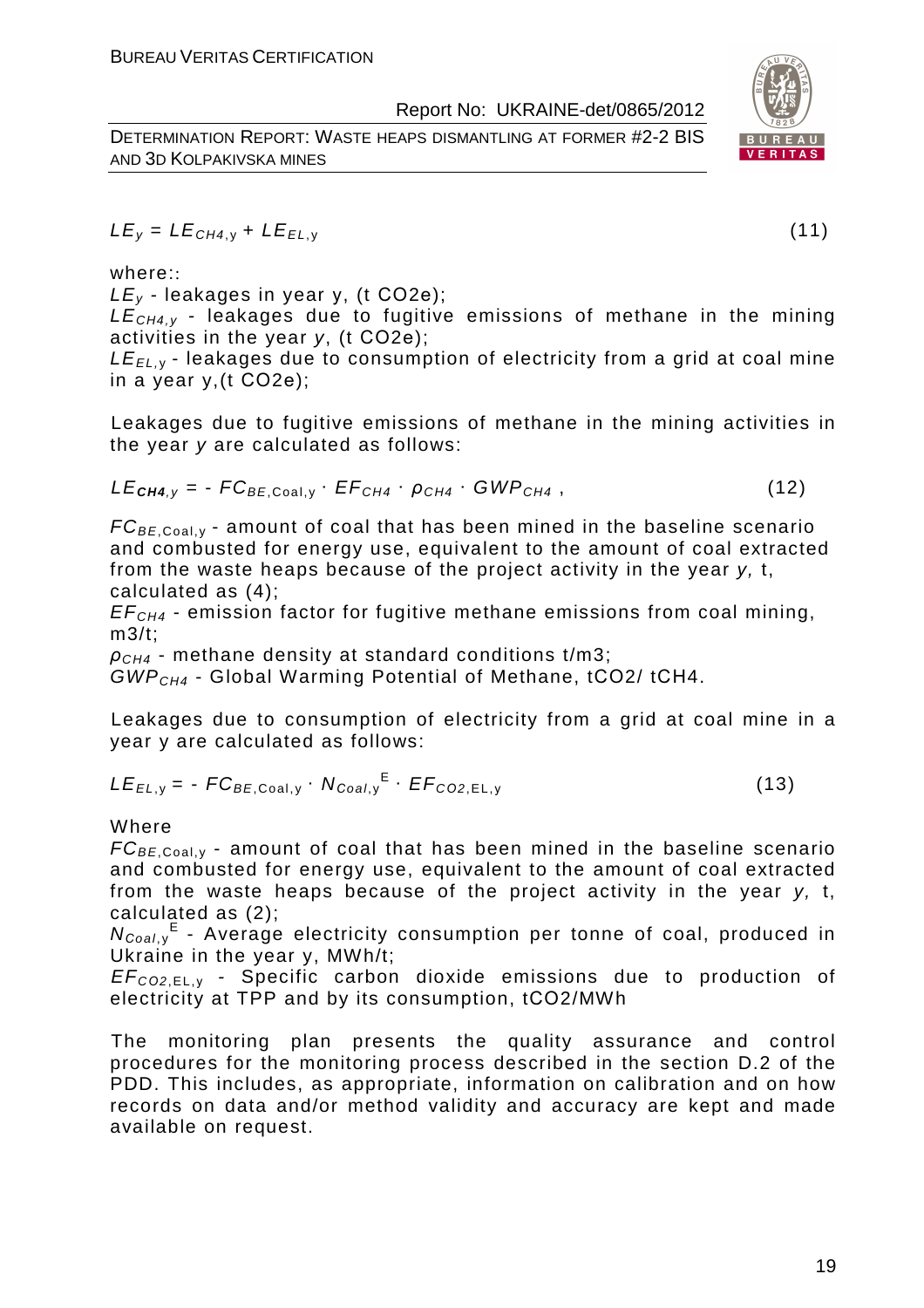DETERMINATION REPORT: WASTE HEAPS DISMANTLING AT FORMER #2-2 BIS AND 3D KOLPAKIVSKA MINES



 $LE_v = LE_{CH4,v} + LE_{EL,v}$  (11)

where::

 $LE<sub>v</sub>$  - leakages in year y, (t CO2e);

 $LE<sub>CH4V</sub>$  - leakages due to fugitive emissions of methane in the mining activities in the year y, (t СО2е);

 $LE_{EL, y}$  - leakages due to consumption of electricity from a grid at coal mine in a year y,(t СО2е);

Leakages due to fugitive emissions of methane in the mining activities in the year y are calculated as follows:

$$
LE_{\text{CH4},y} = -FC_{BE,Coal,y} \cdot EF_{CH4} \cdot \rho_{CH4} \cdot GWP_{CH4}, \qquad (12)
$$

 $FC_{BE, coal,v}$  - amount of coal that has been mined in the baseline scenario and combusted for energy use, equivalent to the amount of coal extracted from the waste heaps because of the project activity in the year y, t, calculated as (4);

 $EF<sub>CH4</sub>$  - emission factor for fugitive methane emissions from coal mining, m3/t;

 $ρ<sub>CH4</sub>$  - methane density at standard conditions t/m3;

GWPCH4 - Global Warming Potential of Methane, tСО2/ tСН4.

Leakages due to consumption of electricity from a grid at coal mine in a year y are calculated as follows:

$$
LE_{EL,y} = -FC_{BE,Coal,y} \cdot N_{Coal,y}^{E} \cdot EF_{CO2,EL,y}
$$
 (13)

#### Where

 $FC_{BE, coal,v}$  - amount of coal that has been mined in the baseline scenario and combusted for energy use, equivalent to the amount of coal extracted from the waste heaps because of the project activity in the year y, t, calculated as (2);

N<sub>Coal,y</sub><sup>E</sup> - Average electricity consumption per tonne of coal, produced in Ukraine in the year y, MWh/t;

EF<sup>C</sup>*О*2,EL, <sup>у</sup> - Specific carbon dioxide emissions due to production of electricity at TPP and by its consumption, tСО2/MWh

The monitoring plan presents the quality assurance and control procedures for the monitoring process described in the section D.2 of the PDD. This includes, as appropriate, information on calibration and on how records on data and/or method validity and accuracy are kept and made available on request.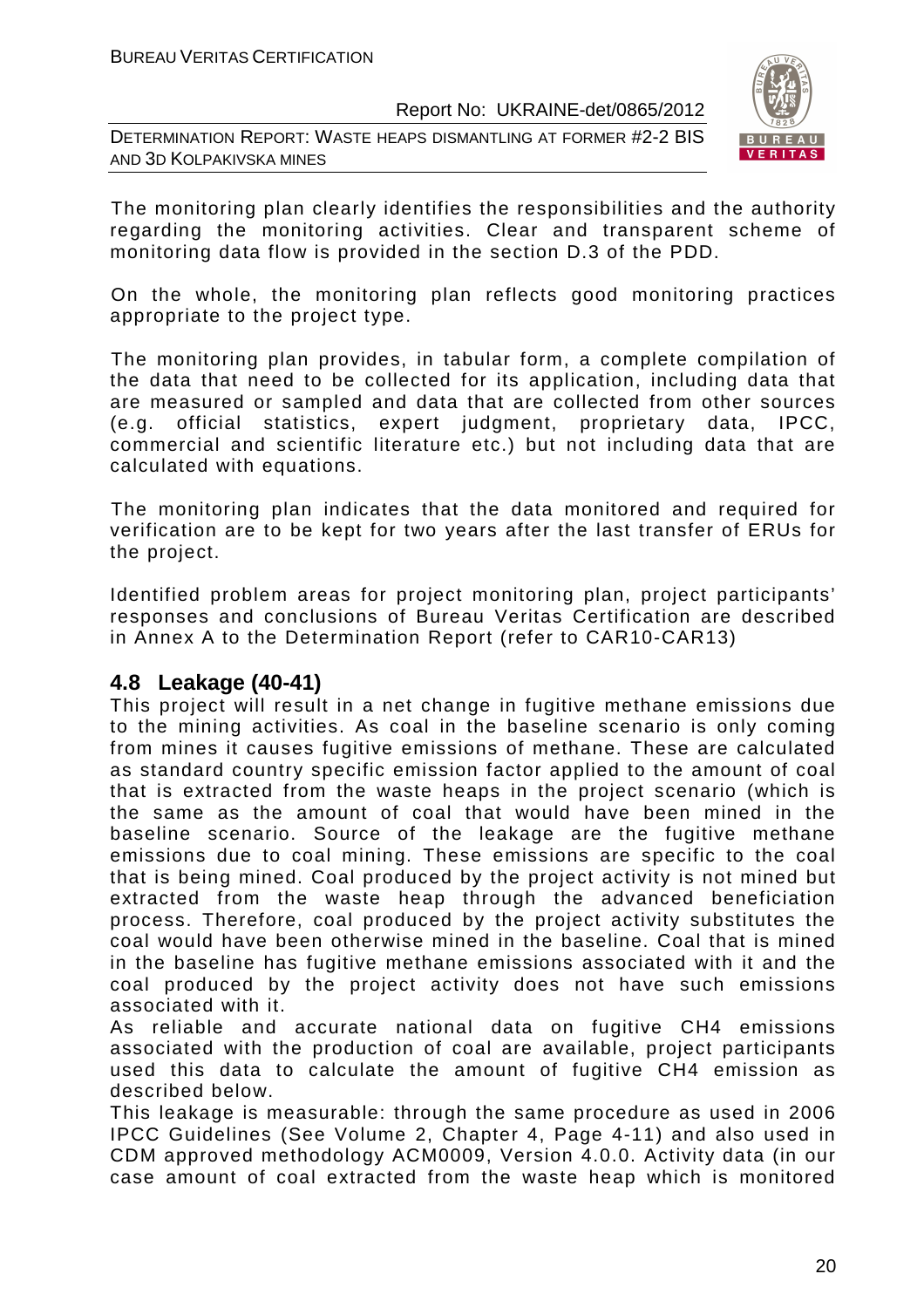DETERMINATION REPORT: WASTE HEAPS DISMANTLING AT FORMER #2-2 BIS AND 3D KOLPAKIVSKA MINES



The monitoring plan clearly identifies the responsibilities and the authority regarding the monitoring activities. Clear and transparent scheme of monitoring data flow is provided in the section D.3 of the PDD.

On the whole, the monitoring plan reflects good monitoring practices appropriate to the project type.

The monitoring plan provides, in tabular form, a complete compilation of the data that need to be collected for its application, including data that are measured or sampled and data that are collected from other sources (e.g. official statistics, expert judgment, proprietary data, IPCC, commercial and scientific literature etc.) but not including data that are calculated with equations.

The monitoring plan indicates that the data monitored and required for verification are to be kept for two years after the last transfer of ERUs for the project.

Identified problem areas for project monitoring plan, project participants' responses and conclusions of Bureau Veritas Certification are described in Annex A to the Determination Report (refer to CAR10-CAR13)

# **4.8 Leakage (40-41)**

This project will result in a net change in fugitive methane emissions due to the mining activities. As coal in the baseline scenario is only coming from mines it causes fugitive emissions of methane. These are calculated as standard country specific emission factor applied to the amount of coal that is extracted from the waste heaps in the project scenario (which is the same as the amount of coal that would have been mined in the baseline scenario. Source of the leakage are the fugitive methane emissions due to coal mining. These emissions are specific to the coal that is being mined. Coal produced by the project activity is not mined but extracted from the waste heap through the advanced beneficiation process. Therefore, coal produced by the project activity substitutes the coal would have been otherwise mined in the baseline. Coal that is mined in the baseline has fugitive methane emissions associated with it and the coal produced by the project activity does not have such emissions associated with it.

As reliable and accurate national data on fugitive CH4 emissions associated with the production of coal are available, project participants used this data to calculate the amount of fugitive CH4 emission as described below.

This leakage is measurable: through the same procedure as used in 2006 IPCC Guidelines (See Volume 2, Chapter 4, Page 4-11) and also used in CDM approved methodology ACM0009, Version 4.0.0. Activity data (in our case amount of coal extracted from the waste heap which is monitored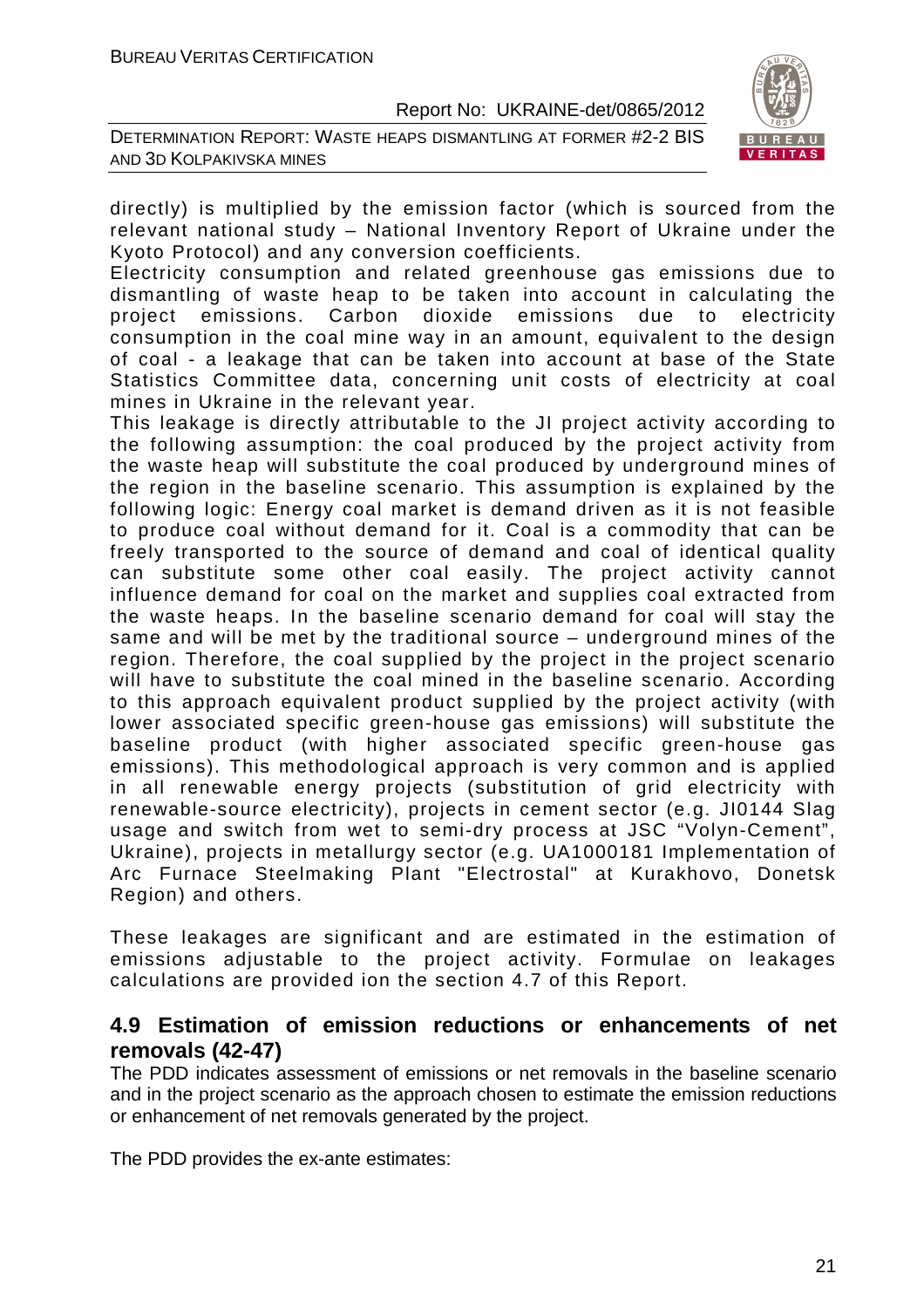DETERMINATION REPORT: WASTE HEAPS DISMANTLING AT FORMER #2-2 BIS AND 3D KOLPAKIVSKA MINES



directly) is multiplied by the emission factor (which is sourced from the relevant national study – National Inventory Report of Ukraine under the Kyoto Protocol) and any conversion coefficients.

Electricity consumption and related greenhouse gas emissions due to dismantling of waste heap to be taken into account in calculating the project emissions. Carbon dioxide emissions due to electricity consumption in the coal mine way in an amount, equivalent to the design of coal - a leakage that can be taken into account at base of the State Statistics Committee data, concerning unit costs of electricity at coal mines in Ukraine in the relevant year.

This leakage is directly attributable to the JI project activity according to the following assumption: the coal produced by the project activity from the waste heap will substitute the coal produced by underground mines of the region in the baseline scenario. This assumption is explained by the following logic: Energy coal market is demand driven as it is not feasible to produce coal without demand for it. Coal is a commodity that can be freely transported to the source of demand and coal of identical quality can substitute some other coal easily. The project activity cannot influence demand for coal on the market and supplies coal extracted from the waste heaps. In the baseline scenario demand for coal will stay the same and will be met by the traditional source – underground mines of the region. Therefore, the coal supplied by the project in the project scenario will have to substitute the coal mined in the baseline scenario. According to this approach equivalent product supplied by the project activity (with lower associated specific green-house gas emissions) will substitute the baseline product (with higher associated specific green-house gas emissions). This methodological approach is very common and is applied in all renewable energy projects (substitution of grid electricity with renewable-source electricity), projects in cement sector (e.g. JI0144 Slag usage and switch from wet to semi-dry process at JSC "Volyn-Cement", Ukraine), projects in metallurgy sector (e.g. UA1000181 Implementation of Arc Furnace Steelmaking Plant "Electrostal" at Kurakhovo, Donetsk Region) and others.

These leakages are significant and are estimated in the estimation of emissions adjustable to the project activity. Formulae on leakages calculations are provided ion the section 4.7 of this Report.

# **4.9 Estimation of emission reductions or enhancements of net removals (42-47)**

The PDD indicates assessment of emissions or net removals in the baseline scenario and in the project scenario as the approach chosen to estimate the emission reductions or enhancement of net removals generated by the project.

The PDD provides the ex-ante estimates: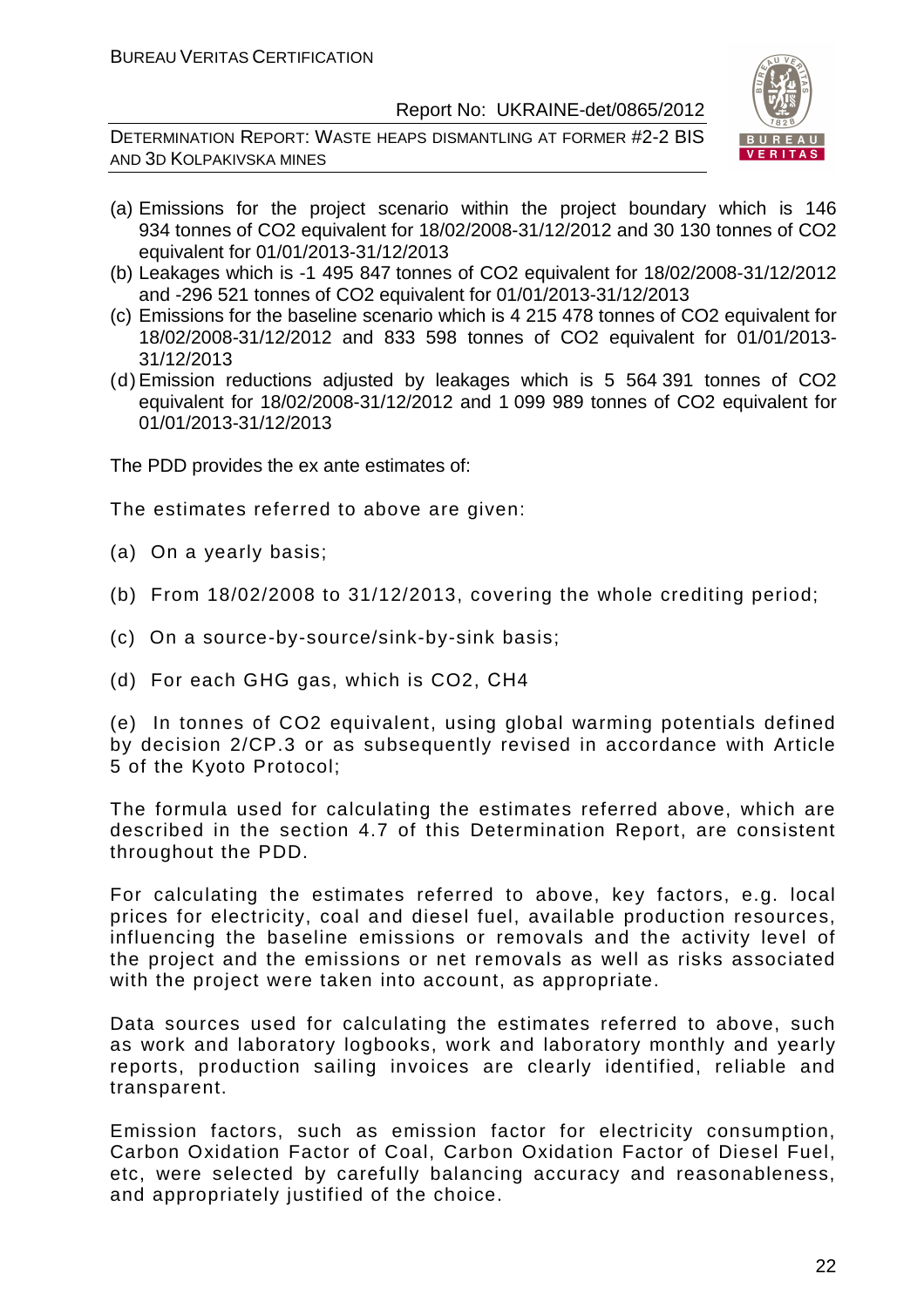DETERMINATION REPORT: WASTE HEAPS DISMANTLING AT FORMER #2-2 BIS AND 3D KOLPAKIVSKA MINES



- (a) Emissions for the project scenario within the project boundary which is 146 934 tonnes of CO2 equivalent for 18/02/2008-31/12/2012 and 30 130 tonnes of CO2 equivalent for 01/01/2013-31/12/2013
- (b) Leakages which is -1 495 847 tonnes of CO2 equivalent for 18/02/2008-31/12/2012 and -296 521 tonnes of CO2 equivalent for 01/01/2013-31/12/2013
- (c) Emissions for the baseline scenario which is 4 215 478 tonnes of CO2 equivalent for 18/02/2008-31/12/2012 and 833 598 tonnes of CO2 equivalent for 01/01/2013- 31/12/2013
- (d) Emission reductions adjusted by leakages which is 5 564 391 tonnes of CO2 equivalent for 18/02/2008-31/12/2012 and 1 099 989 tonnes of CO2 equivalent for 01/01/2013-31/12/2013

The PDD provides the ex ante estimates of:

The estimates referred to above are given:

- (a) On a yearly basis;
- (b) From 18/02/2008 to 31/12/2013, covering the whole crediting period;
- (c) On a source-by-source/sink-by-sink basis;
- (d) For each GHG gas, which is CO2, СН4

(e) In tonnes of CO2 equivalent, using global warming potentials defined by decision 2/CP.3 or as subsequently revised in accordance with Article 5 of the Kyoto Protocol;

The formula used for calculating the estimates referred above, which are described in the section 4.7 of this Determination Report, are consistent throughout the PDD.

For calculating the estimates referred to above, key factors, e.g. local prices for electricity, coal and diesel fuel, available production resources, influencing the baseline emissions or removals and the activity level of the project and the emissions or net removals as well as risks associated with the project were taken into account, as appropriate.

Data sources used for calculating the estimates referred to above, such as work and laboratory logbooks, work and laboratory monthly and yearly reports, production sailing invoices are clearly identified, reliable and transparent.

Emission factors, such as emission factor for electricity consumption, Carbon Oxidation Factor of Coal, Carbon Oxidation Factor of Diesel Fuel, etc, were selected by carefully balancing accuracy and reasonableness, and appropriately justified of the choice.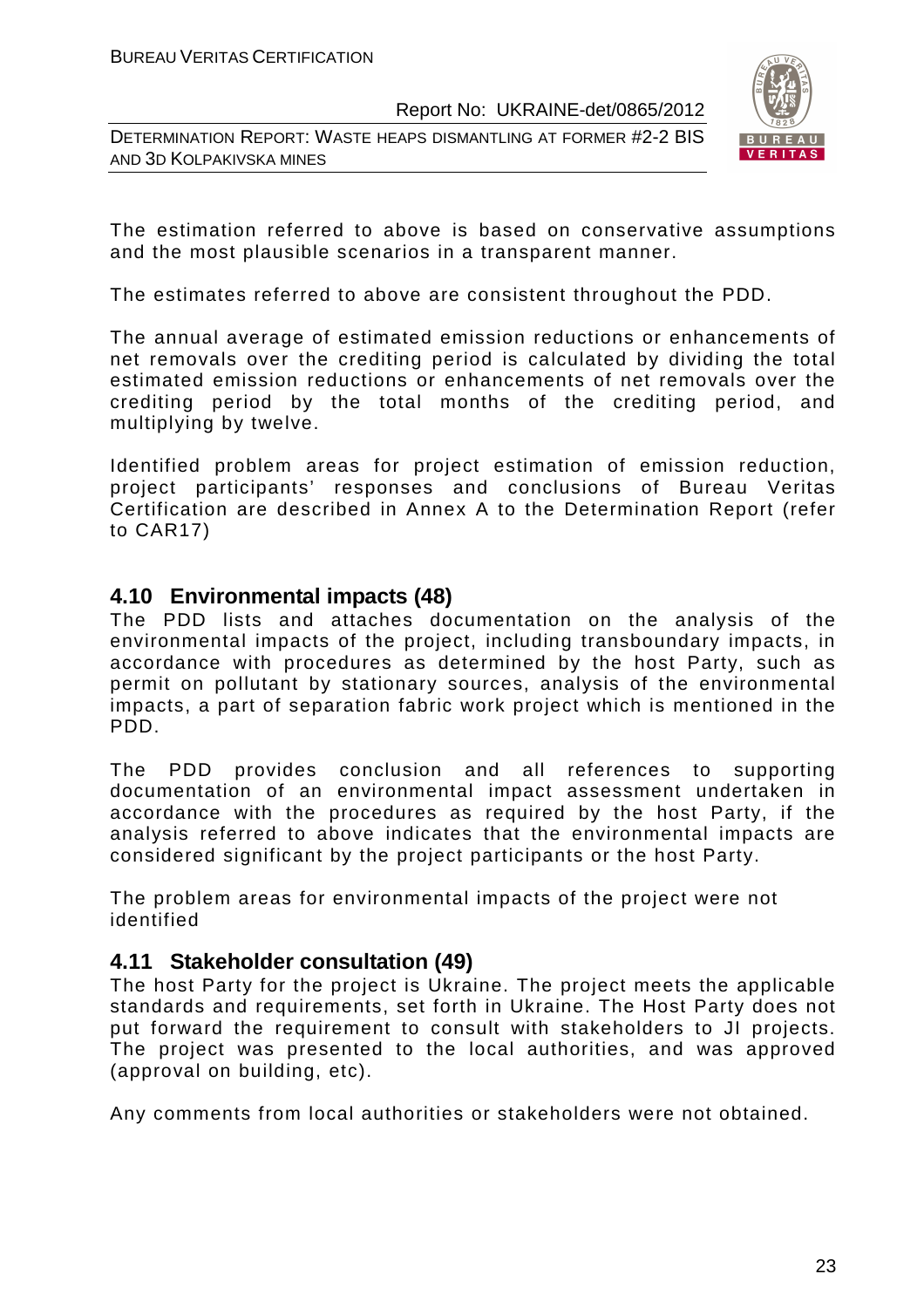DETERMINATION REPORT: WASTE HEAPS DISMANTLING AT FORMER #2-2 BIS AND 3D KOLPAKIVSKA MINES



The estimation referred to above is based on conservative assumptions and the most plausible scenarios in a transparent manner.

The estimates referred to above are consistent throughout the PDD.

The annual average of estimated emission reductions or enhancements of net removals over the crediting period is calculated by dividing the total estimated emission reductions or enhancements of net removals over the crediting period by the total months of the crediting period, and multiplying by twelve.

Identified problem areas for project estimation of emission reduction, project participants' responses and conclusions of Bureau Veritas Certification are described in Annex A to the Determination Report (refer to CAR17)

# **4.10 Environmental impacts (48)**

The PDD lists and attaches documentation on the analysis of the environmental impacts of the project, including transboundary impacts, in accordance with procedures as determined by the host Party, such as permit on pollutant by stationary sources, analysis of the environmental impacts, a part of separation fabric work project which is mentioned in the PDD.

The PDD provides conclusion and all references to supporting documentation of an environmental impact assessment undertaken in accordance with the procedures as required by the host Party, if the analysis referred to above indicates that the environmental impacts are considered significant by the project participants or the host Party.

The problem areas for environmental impacts of the project were not identified

# **4.11 Stakeholder consultation (49)**

The host Party for the project is Ukraine. The project meets the applicable standards and requirements, set forth in Ukraine. The Host Party does not put forward the requirement to consult with stakeholders to JI projects. The project was presented to the local authorities, and was approved (approval on building, etc).

Any comments from local authorities or stakeholders were not obtained.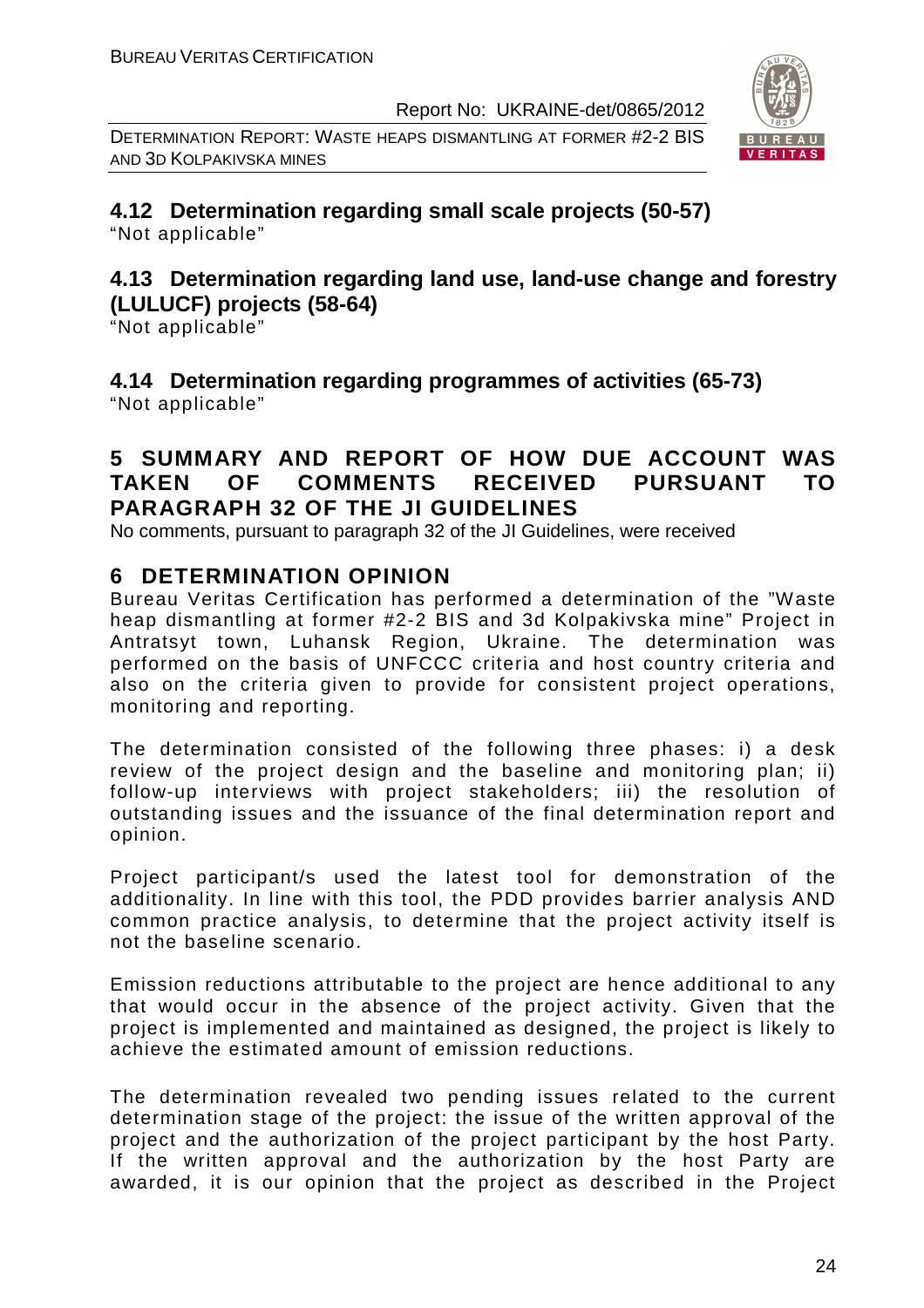DETERMINATION REPORT: WASTE HEAPS DISMANTLING AT FORMER #2-2 BIS AND 3D KOLPAKIVSKA MINES



**4.12 Determination regarding small scale projects (50-57)**  "Not applicable"

# **4.13 Determination regarding land use, land-use change and forestry (LULUCF) projects (58-64)**

"Not applicable"

**4.14 Determination regarding programmes of activities (65-73)**  "Not applicable"

# **5 SUMMARY AND REPORT OF HOW DUE ACCOUNT WAS TAKEN OF COMMENTS RECEIVED PURSUANT TO PARAGRAPH 32 OF THE JI GUIDELINES**

No comments, pursuant to paragraph 32 of the JI Guidelines, were received

# **6 DETERMINATION OPINION**

Bureau Veritas Certification has performed a determination of the "Waste heap dismantling at former #2-2 BIS and 3d Kolpakivska mine" Project in Antratsyt town, Luhansk Region, Ukraine. The determination was performed on the basis of UNFCCC criteria and host country criteria and also on the criteria given to provide for consistent project operations, monitoring and reporting.

The determination consisted of the following three phases: i) a desk review of the project design and the baseline and monitoring plan: ii) follow-up interviews with project stakeholders; iii) the resolution of outstanding issues and the issuance of the final determination report and opinion.

Project participant/s used the latest tool for demonstration of the additionality. In line with this tool, the PDD provides barrier analysis AND common practice analysis, to determine that the project activity itself is not the baseline scenario.

Emission reductions attributable to the project are hence additional to any that would occur in the absence of the project activity. Given that the project is implemented and maintained as designed, the project is likely to achieve the estimated amount of emission reductions.

The determination revealed two pending issues related to the current determination stage of the project: the issue of the written approval of the project and the authorization of the project participant by the host Party. If the written approval and the authorization by the host Party are awarded, it is our opinion that the project as described in the Project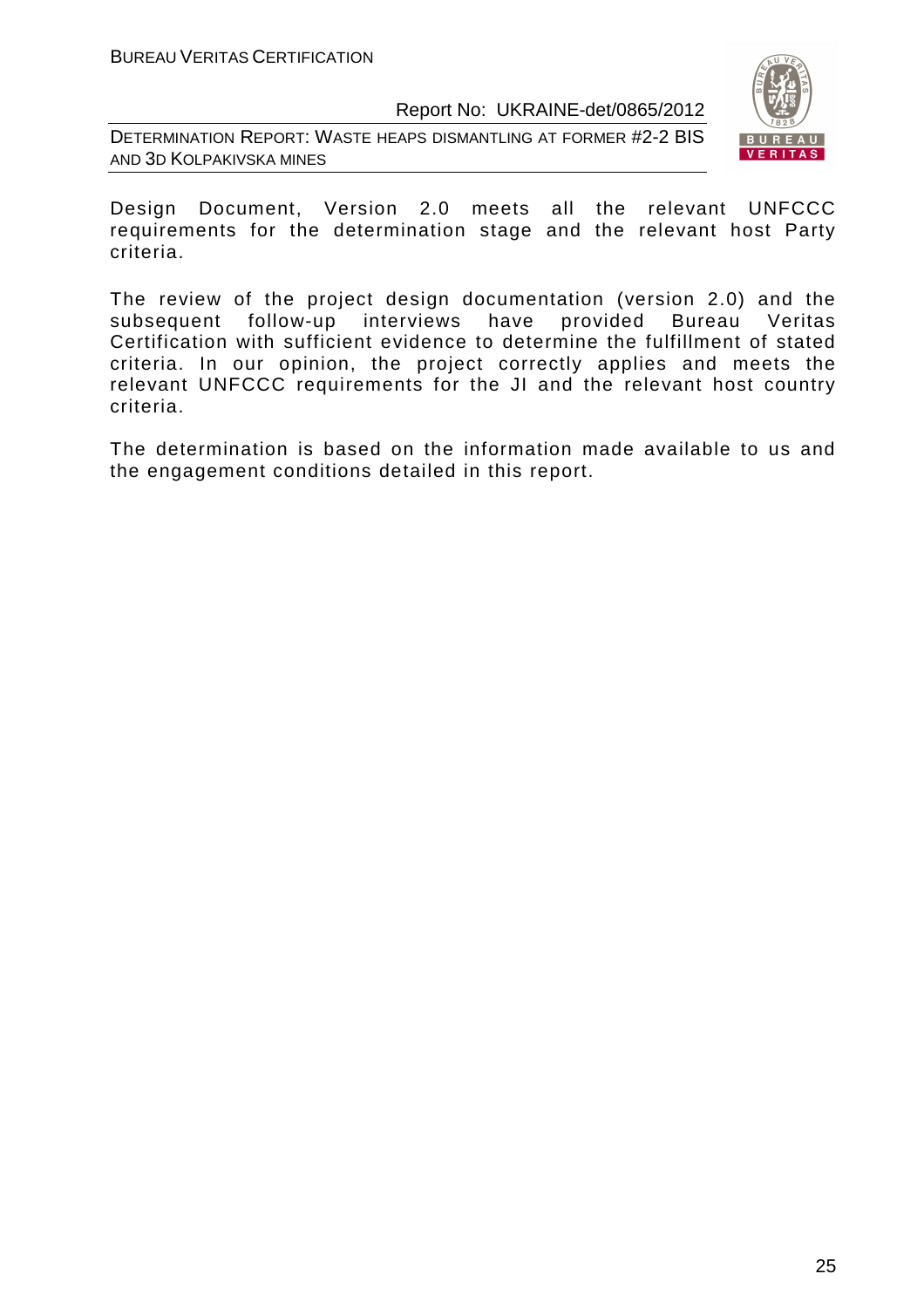DETERMINATION REPORT: WASTE HEAPS DISMANTLING AT FORMER #2-2 BIS AND 3D KOLPAKIVSKA MINES



Design Document, Version 2.0 meets all the relevant UNFCCC requirements for the determination stage and the relevant host Party criteria.

The review of the project design documentation (version 2.0) and the subsequent follow-up interviews have provided Bureau Veritas Certification with sufficient evidence to determine the fulfillment of stated criteria. In our opinion, the project correctly applies and meets the relevant UNFCCC requirements for the JI and the relevant host country criteria.

The determination is based on the information made available to us and the engagement conditions detailed in this report.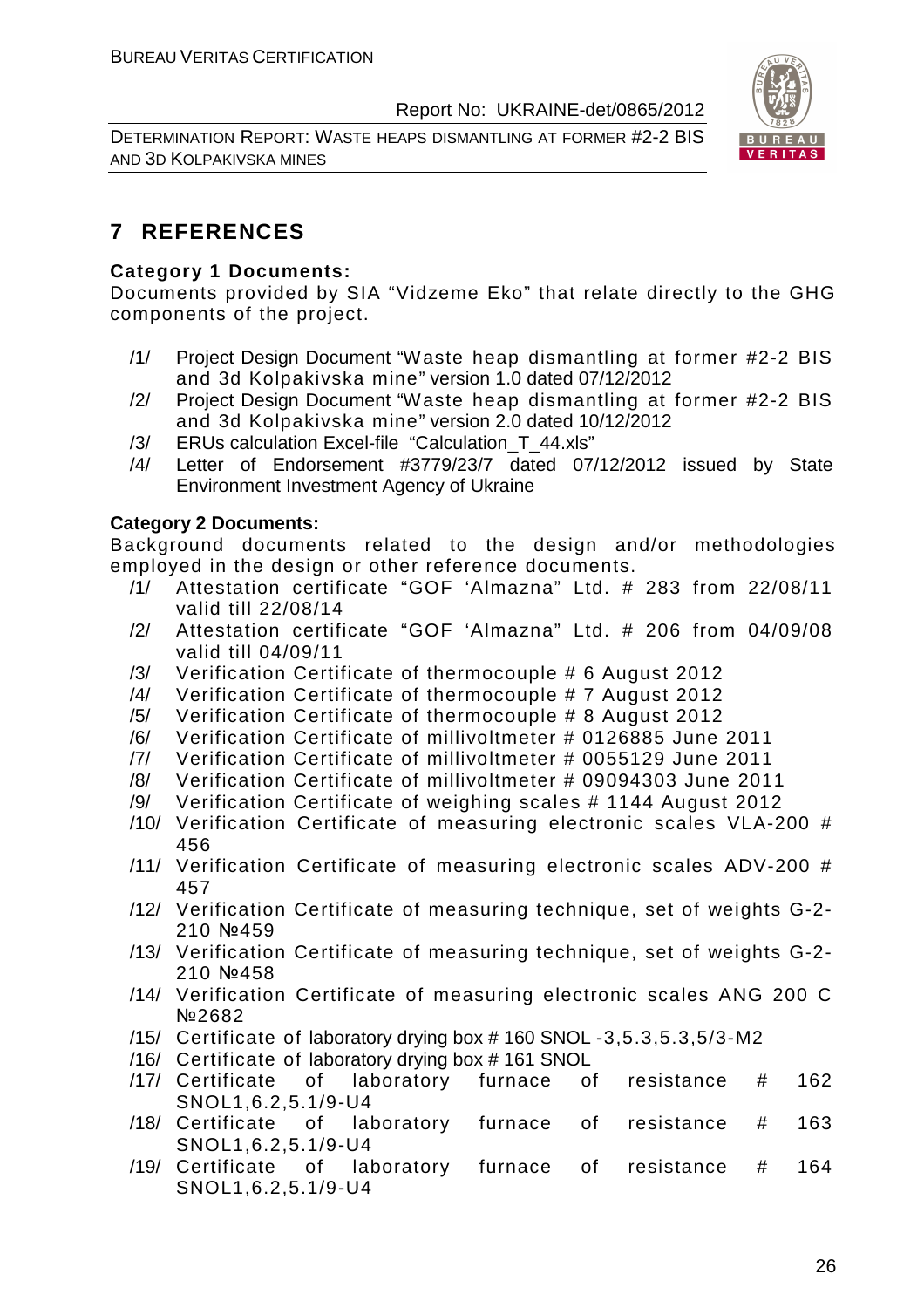DETERMINATION REPORT: WASTE HEAPS DISMANTLING AT FORMER #2-2 BIS AND 3D KOLPAKIVSKA MINES



# **7 REFERENCES**

#### **Category 1 Documents:**

Documents provided by SIA "Vidzeme Eko" that relate directly to the GHG components of the project.

- /1/ Project Design Document "Waste heap dismantling at former #2-2 BIS and 3d Kolpakivska mine" version 1.0 dated 07/12/2012
- /2/ Project Design Document "Waste heap dismantling at former #2-2 BIS and 3d Kolpakivska mine" version 2.0 dated 10/12/2012
- /3/ ERUs calculation Excel-file "Calculation\_T\_44.xls"
- /4/ Letter of Endorsement #3779/23/7 dated 07/12/2012 issued by State Environment Investment Agency of Ukraine

#### **Category 2 Documents:**

Background documents related to the design and/or methodologies employed in the design or other reference documents.

- /1/ Attestation certificate "GOF 'Almazna" Ltd. # 283 from 22/08/11 valid till 22/08/14
- /2/ Attestation certificate "GOF 'Almazna" Ltd. # 206 from 04/09/08 valid till 04/09/11
- /3/ Verification Certificate of thermocouple # 6 August 2012
- /4/ Verification Certificate of thermocouple # 7 August 2012
- /5/ Verification Certificate of thermocouple # 8 August 2012
- /6/ Verification Certificate of millivoltmeter # 0126885 June 2011
- /7/ Verification Certificate of millivoltmeter # 0055129 June 2011
- /8/ Verification Certificate of millivoltmeter # 09094303 June 2011
- /9/ Verification Certificate of weighing scales # 1144 August 2012
- /10/ Verification Certificate of measuring electronic scales VLA-200 # 456
- /11/ Verification Certificate of measuring electronic scales ADV-200 # 457
- /12/ Verification Certificate of measuring technique, set of weights G-2- 210 №459
- /13/ Verification Certificate of measuring technique, set of weights G-2- 210 №458
- /14/ Verification Certificate of measuring electronic scales ANG 200 C №2682
- /15/ Certificate of laboratory drying box # 160 SNOL -3,5.3,5.3,5/3-M2
- /16/ Certificate of laboratory drying box # 161 SNOL
- /17/ Certificate of laboratory furnace of resistance # 162 SNOL1,6.2,5.1/9-U4
- /18/ Certificate of laboratory furnace of resistance # 163 SNOL1,6.2,5.1/9-U4
- /19/ Certificate of laboratory furnace of resistance # 164 SNOL1,6.2,5.1/9-U4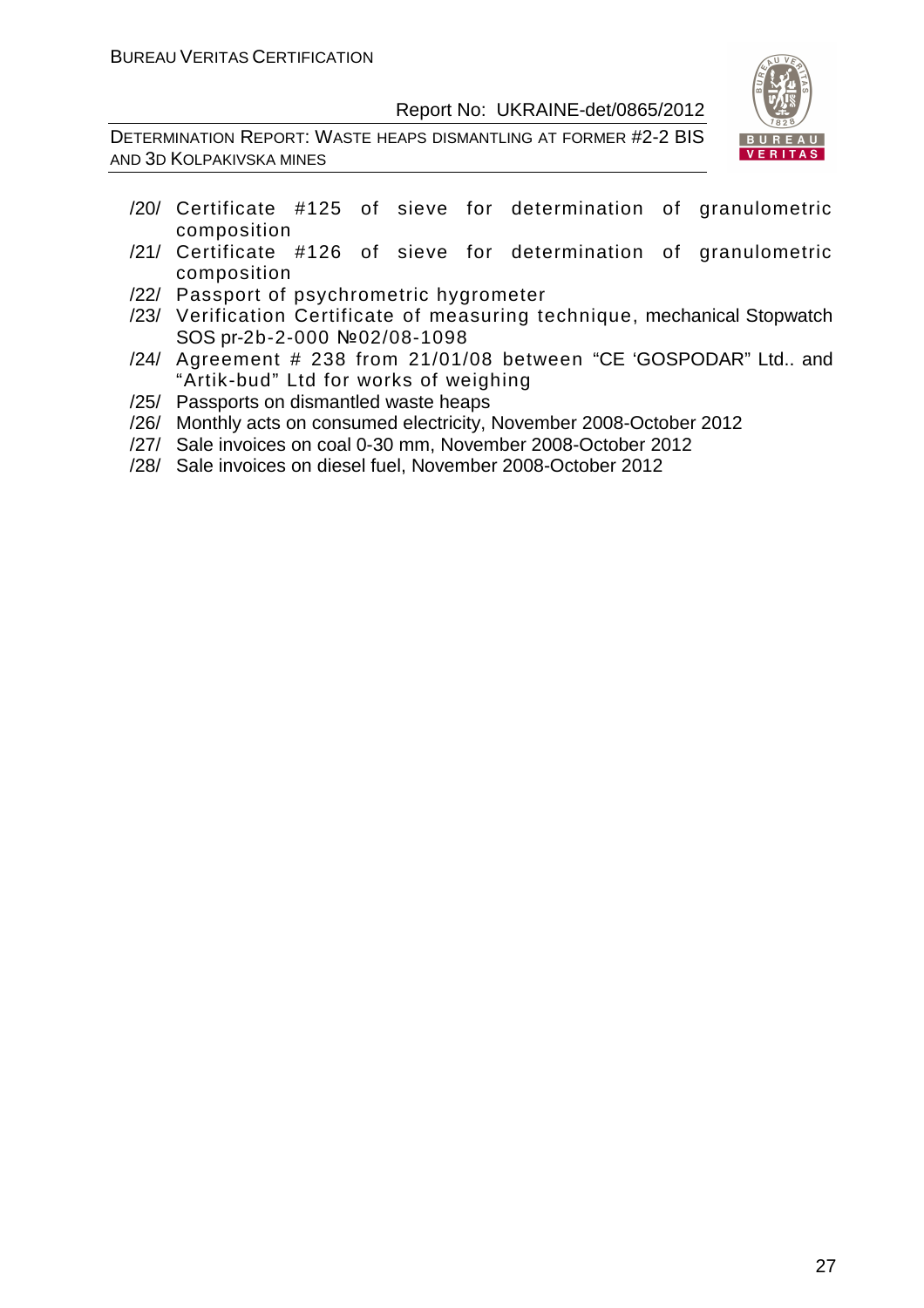DETERMINATION REPORT: WASTE HEAPS DISMANTLING AT FORMER #2-2 BIS AND 3D KOLPAKIVSKA MINES



- /20/ Certificate #125 of sieve for determination of granulometric composition
- /21/ Certificate #126 of sieve for determination of granulometric composition
- /22/ Passport of psychrometric hygrometer
- /23/ Verification Certificate of measuring technique, mechanical Stopwatch SOS pr-2b-2-000 №02/08-1098
- /24/ Agreement # 238 from 21/01/08 between "CE 'GOSPODAR" Ltd.. and "Artik-bud" Ltd for works of weighing
- /25/ Passports on dismantled waste heaps
- /26/ Monthly acts on consumed electricity, November 2008-October 2012
- /27/ Sale invoices on coal 0-30 mm, November 2008-October 2012
- /28/ Sale invoices on diesel fuel, November 2008-October 2012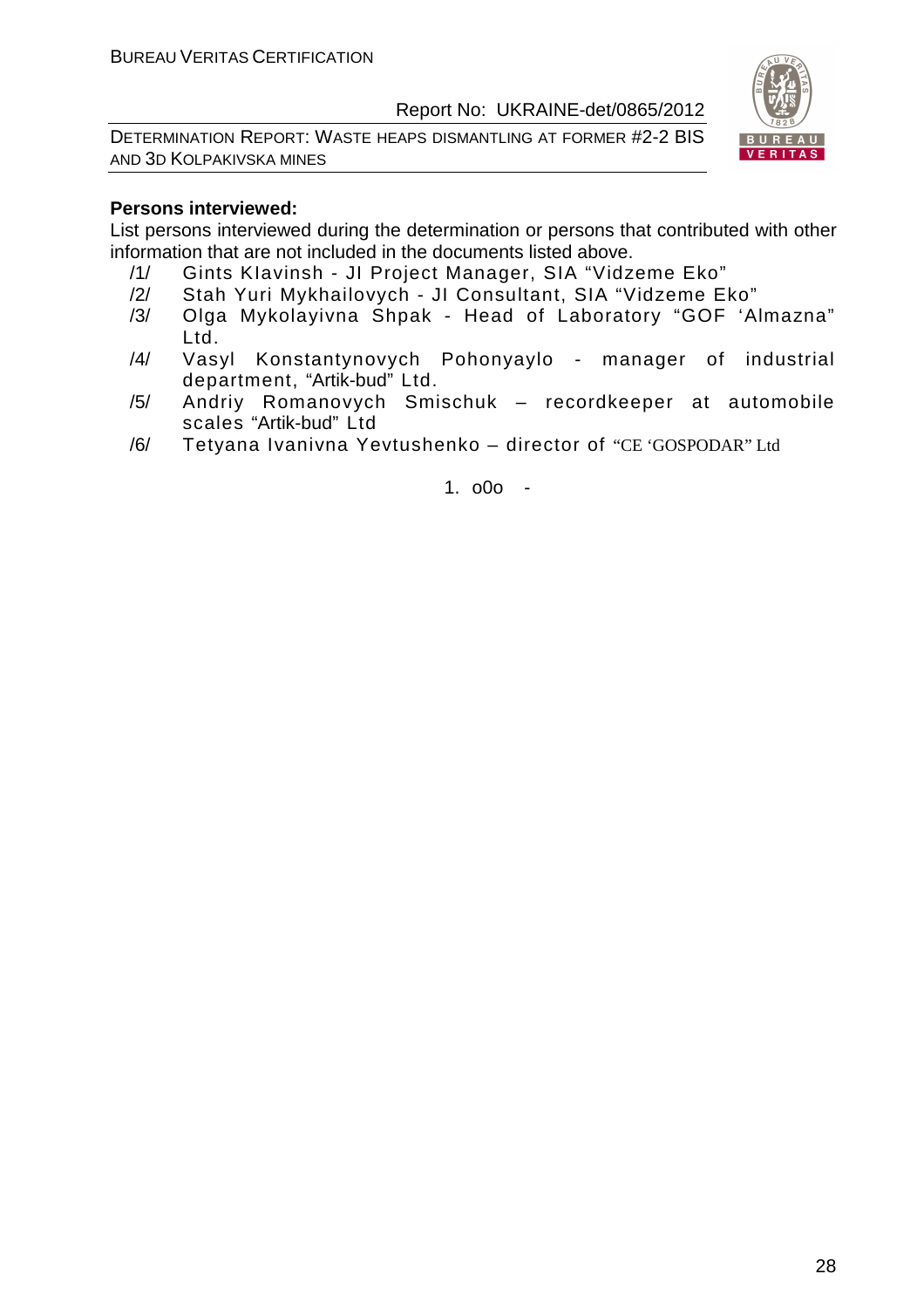DETERMINATION REPORT: WASTE HEAPS DISMANTLING AT FORMER #2-2 BIS AND 3D KOLPAKIVSKA MINES



#### **Persons interviewed:**

List persons interviewed during the determination or persons that contributed with other information that are not included in the documents listed above.

- /1/ Gints KIavinsh JI Project Manager, SIA "Vidzeme Eko"
- /2/ Stah Yuri Mykhailovych JI Consultant, SIA "Vidzeme Eko"
- /3/ Olga Mykolayivna Shpak Head of Laboratory "GOF 'Almazna" Ltd.
- /4/ Vasyl Konstantynovych Pohonyaylo manager of industrial department, "Artik-bud" Ltd.
- /5/ Andriy Romanovych Smischuk recordkeeper at automobile scales "Artik-bud" Ltd
- /6/ Tetyana Ivanivna Yevtushenko director of "CE 'GOSPODAR" Ltd

1. o0o -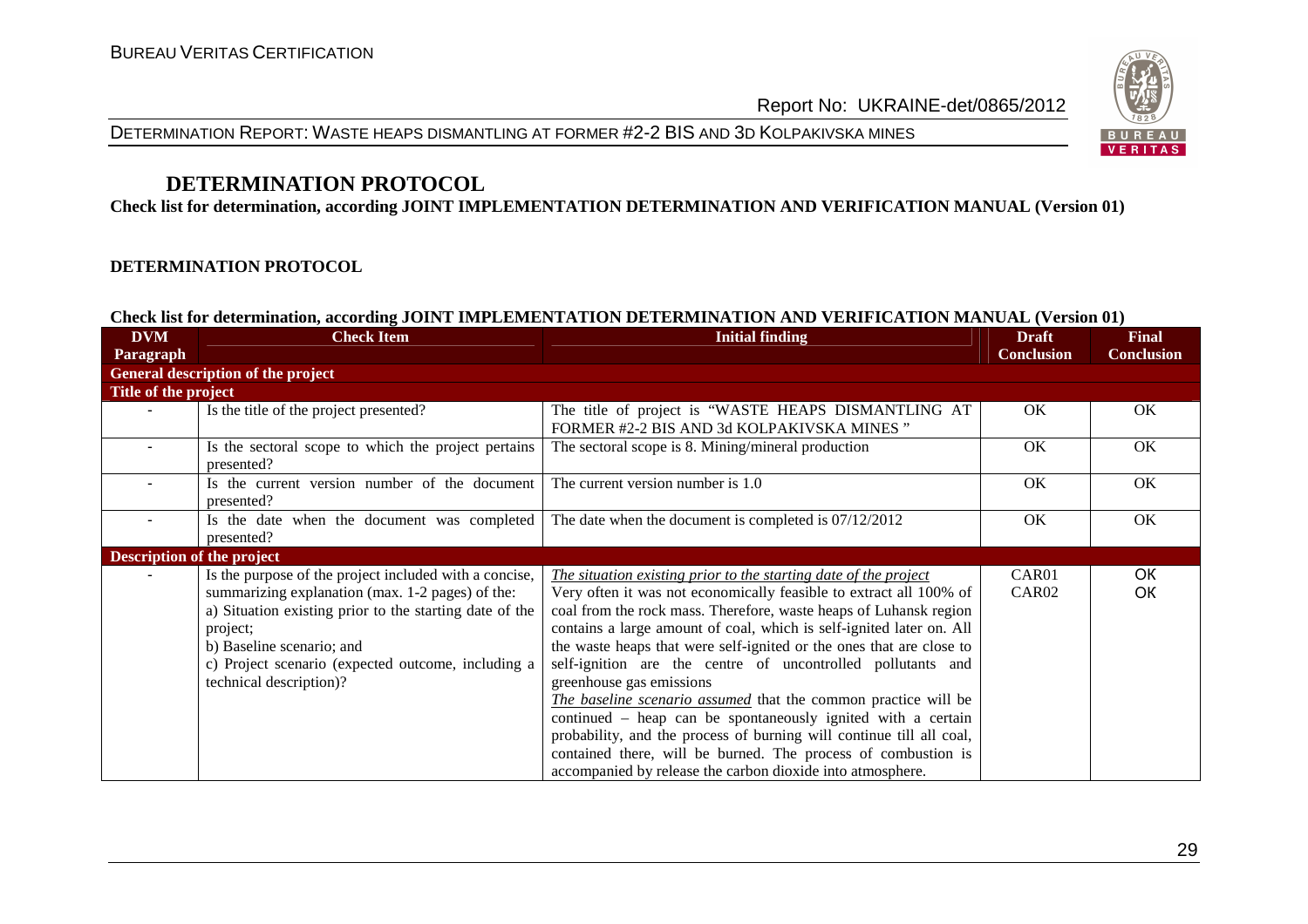



# **DETERMINATION PROTOCOL**

**Check list for determination, according JOINT IMPLEMENTATION DETERMINATION AND VERIFICATION MANUAL (Version 01)** 

#### **DETERMINATION PROTOCOL**

#### **Check list for determination, according JOINT IMPLEMENTATION DETERMINATION AND VERIFICATION MANUAL (Version 01)**

| <b>DVM</b>                 | <b>Check Item</b>                                                                                                                                                                                                                                                                               | <b>Initial finding</b>                                                                                                                                                                                                                                                                                                                                                                                                                                                                                                                                                                                                                                                                                                                                                                          |                   | <b>Final</b>      |
|----------------------------|-------------------------------------------------------------------------------------------------------------------------------------------------------------------------------------------------------------------------------------------------------------------------------------------------|-------------------------------------------------------------------------------------------------------------------------------------------------------------------------------------------------------------------------------------------------------------------------------------------------------------------------------------------------------------------------------------------------------------------------------------------------------------------------------------------------------------------------------------------------------------------------------------------------------------------------------------------------------------------------------------------------------------------------------------------------------------------------------------------------|-------------------|-------------------|
| Paragraph                  |                                                                                                                                                                                                                                                                                                 |                                                                                                                                                                                                                                                                                                                                                                                                                                                                                                                                                                                                                                                                                                                                                                                                 | <b>Conclusion</b> | <b>Conclusion</b> |
|                            | General description of the project                                                                                                                                                                                                                                                              |                                                                                                                                                                                                                                                                                                                                                                                                                                                                                                                                                                                                                                                                                                                                                                                                 |                   |                   |
| Title of the project       |                                                                                                                                                                                                                                                                                                 |                                                                                                                                                                                                                                                                                                                                                                                                                                                                                                                                                                                                                                                                                                                                                                                                 |                   |                   |
|                            | Is the title of the project presented?                                                                                                                                                                                                                                                          | The title of project is "WASTE HEAPS DISMANTLING AT<br>FORMER #2-2 BIS AND 3d KOLPAKIVSKA MINES"                                                                                                                                                                                                                                                                                                                                                                                                                                                                                                                                                                                                                                                                                                | OK                | OK                |
|                            | Is the sectoral scope to which the project pertains<br>presented?                                                                                                                                                                                                                               | The sectoral scope is 8. Mining/mineral production                                                                                                                                                                                                                                                                                                                                                                                                                                                                                                                                                                                                                                                                                                                                              | OK                | OK                |
|                            | Is the current version number of the document<br>presented?                                                                                                                                                                                                                                     | The current version number is 1.0                                                                                                                                                                                                                                                                                                                                                                                                                                                                                                                                                                                                                                                                                                                                                               | OK                | OK                |
|                            | Is the date when the document was completed<br>presented?                                                                                                                                                                                                                                       | The date when the document is completed is $07/12/2012$                                                                                                                                                                                                                                                                                                                                                                                                                                                                                                                                                                                                                                                                                                                                         | OK                | OK                |
| Description of the project |                                                                                                                                                                                                                                                                                                 |                                                                                                                                                                                                                                                                                                                                                                                                                                                                                                                                                                                                                                                                                                                                                                                                 |                   |                   |
|                            | Is the purpose of the project included with a concise,<br>summarizing explanation (max. 1-2 pages) of the:<br>a) Situation existing prior to the starting date of the<br>project;<br>b) Baseline scenario; and<br>c) Project scenario (expected outcome, including a<br>technical description)? | The situation existing prior to the starting date of the project<br>Very often it was not economically feasible to extract all 100% of<br>coal from the rock mass. Therefore, waste heaps of Luhansk region<br>contains a large amount of coal, which is self-ignited later on. All<br>the waste heaps that were self-ignited or the ones that are close to<br>self-ignition are the centre of uncontrolled pollutants and<br>greenhouse gas emissions<br>The baseline scenario assumed that the common practice will be<br>continued - heap can be spontaneously ignited with a certain<br>probability, and the process of burning will continue till all coal,<br>contained there, will be burned. The process of combustion is<br>accompanied by release the carbon dioxide into atmosphere. | CAR01<br>CAR02    | OK<br>OK          |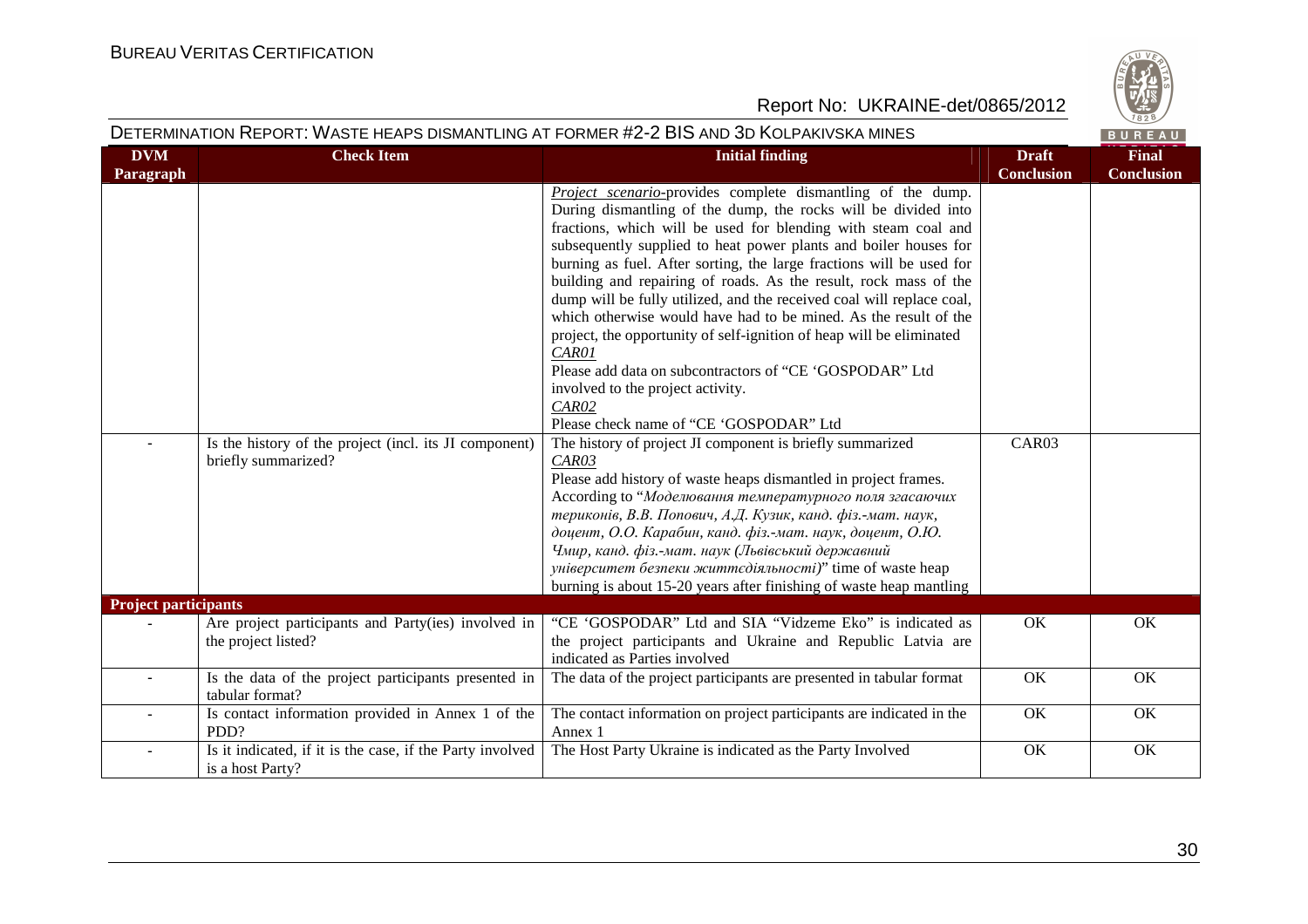

|                             |                                                                               | DETERMINATION REPORT: WASTE HEAPS DISMANTLING AT FORMER #2-2 BIS AND 3D KOLPAKIVSKA MINES                                                                                                                                                                                                                                                                                                                                                                                                                                                                                                                                                                                                                                                                                                                                                                                      |                                   | BUREAU                            |
|-----------------------------|-------------------------------------------------------------------------------|--------------------------------------------------------------------------------------------------------------------------------------------------------------------------------------------------------------------------------------------------------------------------------------------------------------------------------------------------------------------------------------------------------------------------------------------------------------------------------------------------------------------------------------------------------------------------------------------------------------------------------------------------------------------------------------------------------------------------------------------------------------------------------------------------------------------------------------------------------------------------------|-----------------------------------|-----------------------------------|
| <b>DVM</b><br>Paragraph     | <b>Check Item</b>                                                             | <b>Initial finding</b>                                                                                                                                                                                                                                                                                                                                                                                                                                                                                                                                                                                                                                                                                                                                                                                                                                                         | <b>Draft</b><br><b>Conclusion</b> | <b>Final</b><br><b>Conclusion</b> |
| $\blacksquare$              | Is the history of the project (incl. its JI component)<br>briefly summarized? | <b>Project</b> scenario-provides complete dismantling of the dump.<br>During dismantling of the dump, the rocks will be divided into<br>fractions, which will be used for blending with steam coal and<br>subsequently supplied to heat power plants and boiler houses for<br>burning as fuel. After sorting, the large fractions will be used for<br>building and repairing of roads. As the result, rock mass of the<br>dump will be fully utilized, and the received coal will replace coal,<br>which otherwise would have had to be mined. As the result of the<br>project, the opportunity of self-ignition of heap will be eliminated<br>CAR01<br>Please add data on subcontractors of "CE 'GOSPODAR" Ltd<br>involved to the project activity.<br>CAR02<br>Please check name of "CE 'GOSPODAR" Ltd<br>The history of project JI component is briefly summarized<br>CAR03 | CAR03                             |                                   |
|                             |                                                                               | Please add history of waste heaps dismantled in project frames.<br>According to "Моделювання температурного поля згасаючих<br>териконів, В.В. Попович, А.Д. Кузик, канд. фіз.-мат. наук,<br>доцент, О.О. Карабин, канд. фіз.-мат. наук, доцент, О.Ю.<br>Чмир, канд. фіз.-мат. наук (Львівський державний<br>університет безпеки життєдіяльності)" time of waste heap<br>burning is about 15-20 years after finishing of waste heap mantling                                                                                                                                                                                                                                                                                                                                                                                                                                    |                                   |                                   |
| <b>Project participants</b> |                                                                               |                                                                                                                                                                                                                                                                                                                                                                                                                                                                                                                                                                                                                                                                                                                                                                                                                                                                                |                                   |                                   |
|                             | Are project participants and Party(ies) involved in<br>the project listed?    | "CE 'GOSPODAR" Ltd and SIA "Vidzeme Eko" is indicated as<br>the project participants and Ukraine and Republic Latvia are<br>indicated as Parties involved                                                                                                                                                                                                                                                                                                                                                                                                                                                                                                                                                                                                                                                                                                                      | OK                                | OK                                |
| $\blacksquare$              | Is the data of the project participants presented in<br>tabular format?       | The data of the project participants are presented in tabular format                                                                                                                                                                                                                                                                                                                                                                                                                                                                                                                                                                                                                                                                                                                                                                                                           | OK                                | OK                                |
| $\blacksquare$              | Is contact information provided in Annex 1 of the<br>PDD?                     | The contact information on project participants are indicated in the<br>Annex 1                                                                                                                                                                                                                                                                                                                                                                                                                                                                                                                                                                                                                                                                                                                                                                                                | OK                                | OK                                |
|                             | Is it indicated, if it is the case, if the Party involved<br>is a host Party? | The Host Party Ukraine is indicated as the Party Involved                                                                                                                                                                                                                                                                                                                                                                                                                                                                                                                                                                                                                                                                                                                                                                                                                      | OK                                | OK                                |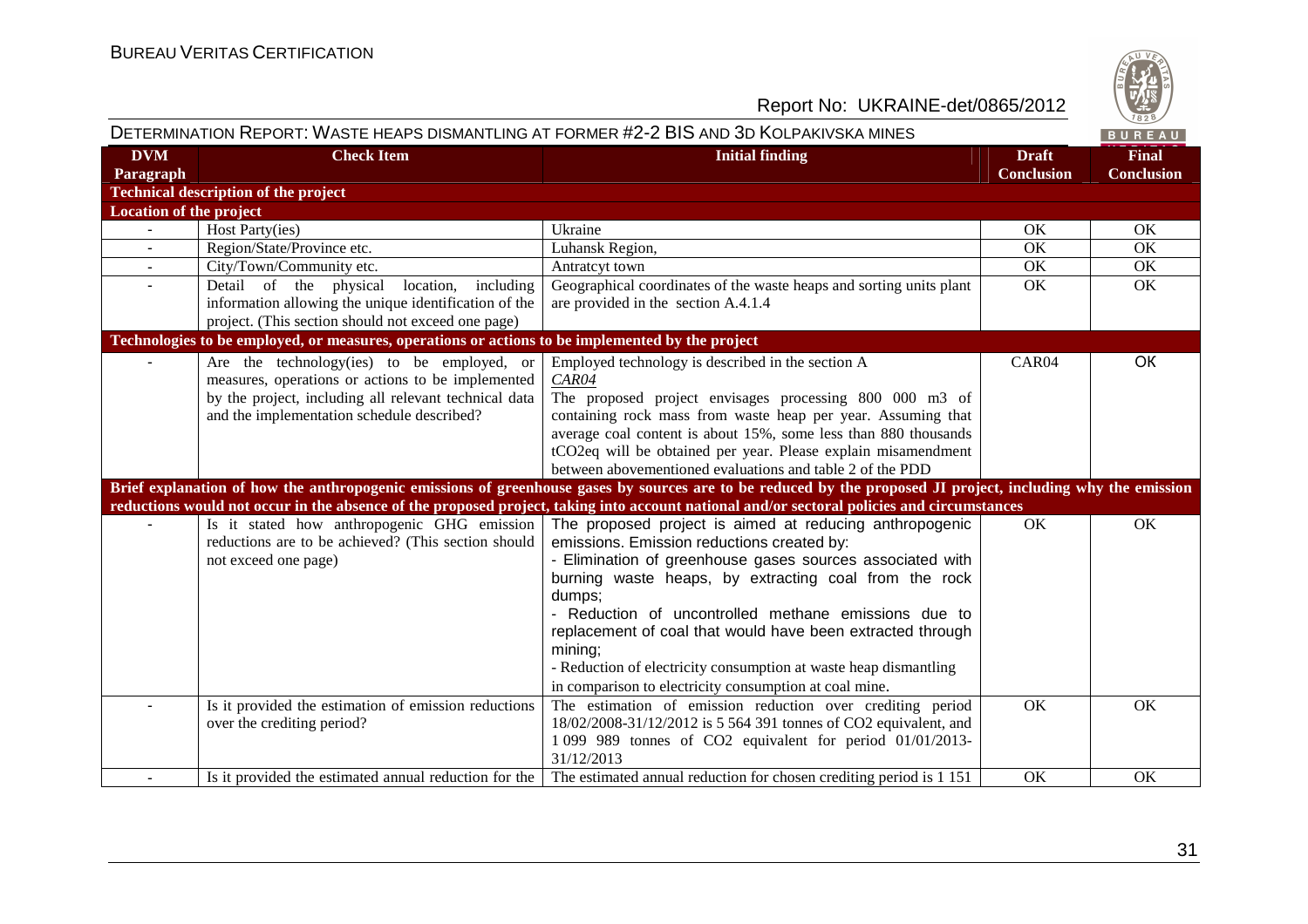

# DETERMINATION REPORT: WASTE HEAPS DISMANTLING AT FORMER #2-2 BIS AND 3D KOLPAKIVSKA MINES

| <b>DVM</b>                  | <b>Check Item</b>                                                                                | <b>Initial finding</b>                                                                                                                                       | <b>Draft</b>      | <b>Final</b>      |
|-----------------------------|--------------------------------------------------------------------------------------------------|--------------------------------------------------------------------------------------------------------------------------------------------------------------|-------------------|-------------------|
| Paragraph                   |                                                                                                  |                                                                                                                                                              | <b>Conclusion</b> | <b>Conclusion</b> |
|                             | <b>Technical description of the project</b>                                                      |                                                                                                                                                              |                   |                   |
| Location of the project     |                                                                                                  |                                                                                                                                                              |                   |                   |
| $\mathcal{L}^{\mathcal{A}}$ | Host Party(ies)                                                                                  | Ukraine                                                                                                                                                      | OK                | OK                |
| $\blacksquare$              | Region/State/Province etc.                                                                       | Luhansk Region,                                                                                                                                              | OK                | OK                |
|                             | City/Town/Community etc.                                                                         | Antratcyt town                                                                                                                                               | OK                | OK                |
| $\overline{a}$              | location,<br>Detail<br>of the physical<br>including                                              | Geographical coordinates of the waste heaps and sorting units plant                                                                                          | OK                | OK                |
|                             | information allowing the unique identification of the                                            | are provided in the section A.4.1.4                                                                                                                          |                   |                   |
|                             | project. (This section should not exceed one page)                                               |                                                                                                                                                              |                   |                   |
|                             | Technologies to be employed, or measures, operations or actions to be implemented by the project |                                                                                                                                                              |                   |                   |
|                             | Are the technology(ies) to be employed, or                                                       | Employed technology is described in the section A                                                                                                            | CAR04             | OK                |
|                             | measures, operations or actions to be implemented                                                | CAR04                                                                                                                                                        |                   |                   |
|                             | by the project, including all relevant technical data                                            | The proposed project envisages processing 800 000 m3 of                                                                                                      |                   |                   |
|                             | and the implementation schedule described?                                                       | containing rock mass from waste heap per year. Assuming that                                                                                                 |                   |                   |
|                             |                                                                                                  | average coal content is about 15%, some less than 880 thousands                                                                                              |                   |                   |
|                             |                                                                                                  | tCO2eq will be obtained per year. Please explain misamendment                                                                                                |                   |                   |
|                             |                                                                                                  | between abovementioned evaluations and table 2 of the PDD                                                                                                    |                   |                   |
|                             |                                                                                                  | Brief explanation of how the anthropogenic emissions of greenhouse gases by sources are to be reduced by the proposed JI project, including why the emission |                   |                   |
|                             |                                                                                                  | reductions would not occur in the absence of the proposed project, taking into account national and/or sectoral policies and circumstances                   |                   |                   |
|                             | Is it stated how anthropogenic GHG emission                                                      | The proposed project is aimed at reducing anthropogenic                                                                                                      | OK                | OK                |
|                             | reductions are to be achieved? (This section should                                              | emissions. Emission reductions created by:                                                                                                                   |                   |                   |
|                             | not exceed one page)                                                                             | - Elimination of greenhouse gases sources associated with                                                                                                    |                   |                   |
|                             |                                                                                                  | burning waste heaps, by extracting coal from the rock                                                                                                        |                   |                   |
|                             |                                                                                                  | dumps;                                                                                                                                                       |                   |                   |
|                             |                                                                                                  | - Reduction of uncontrolled methane emissions due to                                                                                                         |                   |                   |
|                             |                                                                                                  | replacement of coal that would have been extracted through                                                                                                   |                   |                   |
|                             |                                                                                                  | mining;                                                                                                                                                      |                   |                   |
|                             |                                                                                                  | - Reduction of electricity consumption at waste heap dismantling                                                                                             |                   |                   |
|                             |                                                                                                  | in comparison to electricity consumption at coal mine.                                                                                                       |                   |                   |
|                             | Is it provided the estimation of emission reductions                                             | The estimation of emission reduction over crediting period                                                                                                   | OK                | OK                |
|                             | over the crediting period?                                                                       | 18/02/2008-31/12/2012 is 5 564 391 tonnes of CO2 equivalent, and                                                                                             |                   |                   |
|                             |                                                                                                  | 1 099 989 tonnes of CO2 equivalent for period 01/01/2013-                                                                                                    |                   |                   |
|                             |                                                                                                  | 31/12/2013                                                                                                                                                   |                   |                   |
|                             | Is it provided the estimated annual reduction for the                                            | The estimated annual reduction for chosen crediting period is 1 151                                                                                          | OK                | OK                |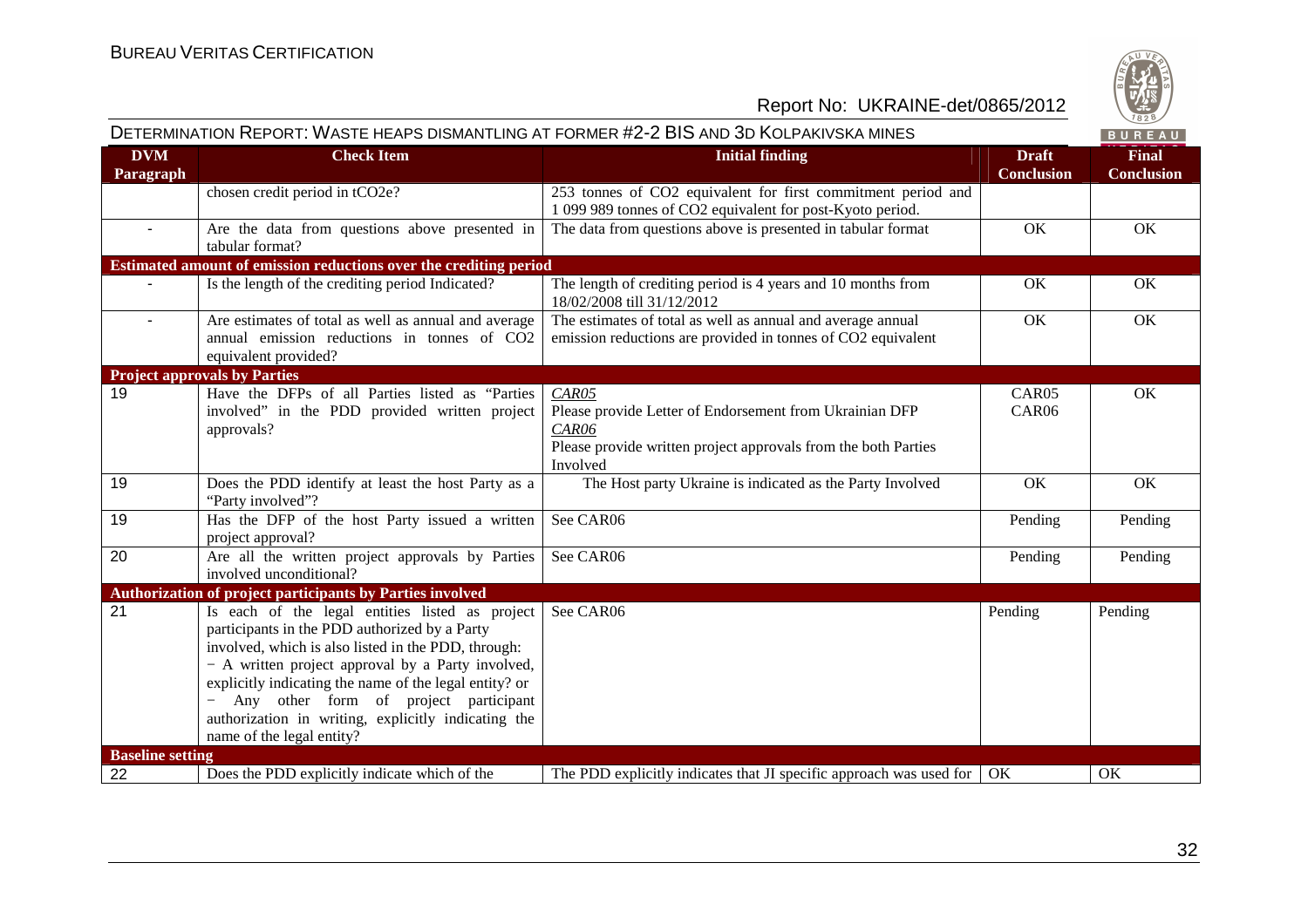

|                         |                                                                                                                                                                                                                                                                                                                                                                                                     | DETERMINATION REPORT: WASTE HEAPS DISMANTLING AT FORMER #2-2 BIS AND 3D KOLPAKIVSKA MINES                                                               |                                   | BUREAU                            |
|-------------------------|-----------------------------------------------------------------------------------------------------------------------------------------------------------------------------------------------------------------------------------------------------------------------------------------------------------------------------------------------------------------------------------------------------|---------------------------------------------------------------------------------------------------------------------------------------------------------|-----------------------------------|-----------------------------------|
| <b>DVM</b><br>Paragraph | <b>Check Item</b>                                                                                                                                                                                                                                                                                                                                                                                   | <b>Initial finding</b>                                                                                                                                  | <b>Draft</b><br><b>Conclusion</b> | <b>Final</b><br><b>Conclusion</b> |
|                         | chosen credit period in tCO2e?                                                                                                                                                                                                                                                                                                                                                                      | 253 tonnes of CO2 equivalent for first commitment period and<br>1 099 989 tonnes of CO2 equivalent for post-Kyoto period.                               |                                   |                                   |
| $\sim$                  | Are the data from questions above presented in<br>tabular format?                                                                                                                                                                                                                                                                                                                                   | The data from questions above is presented in tabular format                                                                                            | OK                                | OK                                |
|                         | Estimated amount of emission reductions over the crediting period                                                                                                                                                                                                                                                                                                                                   |                                                                                                                                                         |                                   |                                   |
|                         | Is the length of the crediting period Indicated?                                                                                                                                                                                                                                                                                                                                                    | The length of crediting period $\overline{is 4 \text{ years}}$ and 10 months from<br>18/02/2008 till 31/12/2012                                         | OK                                | OK                                |
|                         | Are estimates of total as well as annual and average<br>annual emission reductions in tonnes of CO2<br>equivalent provided?                                                                                                                                                                                                                                                                         | The estimates of total as well as annual and average annual<br>emission reductions are provided in tonnes of CO2 equivalent                             | OK                                | OK                                |
|                         | <b>Project approvals by Parties</b>                                                                                                                                                                                                                                                                                                                                                                 |                                                                                                                                                         |                                   |                                   |
| 19                      | Have the DFPs of all Parties listed as "Parties<br>involved" in the PDD provided written project<br>approvals?                                                                                                                                                                                                                                                                                      | CAR05<br>Please provide Letter of Endorsement from Ukrainian DFP<br>CAR06<br>Please provide written project approvals from the both Parties<br>Involved | CAR05<br>CAR06                    | OK                                |
| 19                      | Does the PDD identify at least the host Party as a<br>"Party involved"?                                                                                                                                                                                                                                                                                                                             | The Host party Ukraine is indicated as the Party Involved                                                                                               | OK                                | OK                                |
| 19                      | Has the DFP of the host Party issued a written<br>project approval?                                                                                                                                                                                                                                                                                                                                 | See CAR06                                                                                                                                               | Pending                           | Pending                           |
| 20                      | Are all the written project approvals by Parties<br>involved unconditional?                                                                                                                                                                                                                                                                                                                         | See CAR06                                                                                                                                               | Pending                           | Pending                           |
|                         | Authorization of project participants by Parties involved                                                                                                                                                                                                                                                                                                                                           |                                                                                                                                                         |                                   |                                   |
| 21                      | Is each of the legal entities listed as project<br>participants in the PDD authorized by a Party<br>involved, which is also listed in the PDD, through:<br>- A written project approval by a Party involved,<br>explicitly indicating the name of the legal entity? or<br>Any other form of project participant<br>authorization in writing, explicitly indicating the<br>name of the legal entity? | See CAR06                                                                                                                                               | Pending                           | Pending                           |
| <b>Baseline setting</b> |                                                                                                                                                                                                                                                                                                                                                                                                     |                                                                                                                                                         |                                   |                                   |
| 22                      | Does the PDD explicitly indicate which of the                                                                                                                                                                                                                                                                                                                                                       | The PDD explicitly indicates that JI specific approach was used for                                                                                     | OK                                | OK                                |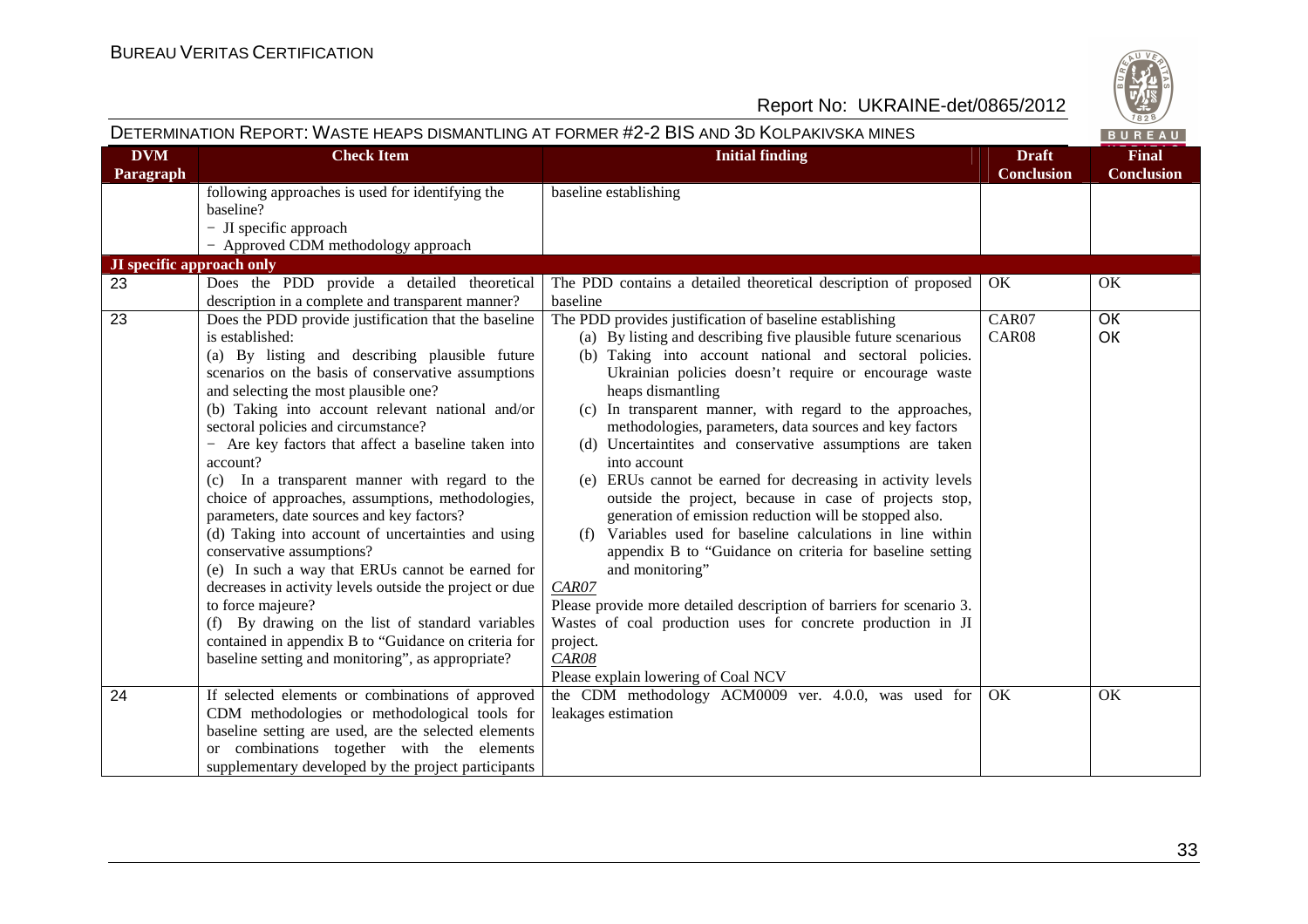

| <b>DVM</b><br><b>Check Item</b><br><b>Initial finding</b><br><b>Final</b><br><b>Draft</b><br><b>Conclusion</b><br><b>Conclusion</b><br>Paragraph<br>following approaches is used for identifying the<br>baseline establishing<br>baseline?<br>- JI specific approach<br>- Approved CDM methodology approach<br><b>JI</b> specific approach only<br>23<br>Does the PDD provide a detailed theoretical<br>The PDD contains a detailed theoretical description of proposed<br>OK<br>OK<br>description in a complete and transparent manner?<br>baseline<br>23<br>Does the PDD provide justification that the baseline<br>The PDD provides justification of baseline establishing<br>CAR07<br>OK<br>OK<br>is established:<br>(a) By listing and describing five plausible future scenarious<br>CAR08<br>(b) Taking into account national and sectoral policies.<br>(a) By listing and describing plausible future<br>scenarios on the basis of conservative assumptions<br>Ukrainian policies doesn't require or encourage waste<br>and selecting the most plausible one?<br>heaps dismantling<br>(b) Taking into account relevant national and/or<br>(c) In transparent manner, with regard to the approaches,<br>sectoral policies and circumstance?<br>methodologies, parameters, data sources and key factors<br>- Are key factors that affect a baseline taken into<br>(d) Uncertaintites and conservative assumptions are taken<br>account?<br>into account<br>(c) In a transparent manner with regard to the<br>(e) ERUs cannot be earned for decreasing in activity levels<br>choice of approaches, assumptions, methodologies,<br>outside the project, because in case of projects stop,<br>generation of emission reduction will be stopped also.<br>parameters, date sources and key factors?<br>Variables used for baseline calculations in line within<br>(d) Taking into account of uncertainties and using<br>(f)<br>conservative assumptions?<br>appendix B to "Guidance on criteria for baseline setting<br>(e) In such a way that ERUs cannot be earned for<br>and monitoring"<br>decreases in activity levels outside the project or due<br>CAR07<br>to force majeure?<br>Please provide more detailed description of barriers for scenario 3.<br>Wastes of coal production uses for concrete production in JI<br>(f) By drawing on the list of standard variables<br>contained in appendix B to "Guidance on criteria for<br>project.<br>baseline setting and monitoring", as appropriate?<br>CAR08<br>Please explain lowering of Coal NCV<br>24<br>If selected elements or combinations of approved<br>the CDM methodology ACM0009 ver. 4.0.0, was used for<br>OK<br>OK<br>CDM methodologies or methodological tools for<br>leakages estimation<br>baseline setting are used, are the selected elements<br>or combinations together with the elements |                                                     | DETERMINATION REPORT: WASTE HEAPS DISMANTLING AT FORMER #2-2 BIS AND 3D KOLPAKIVSKA MINES | BUREAU |
|------------------------------------------------------------------------------------------------------------------------------------------------------------------------------------------------------------------------------------------------------------------------------------------------------------------------------------------------------------------------------------------------------------------------------------------------------------------------------------------------------------------------------------------------------------------------------------------------------------------------------------------------------------------------------------------------------------------------------------------------------------------------------------------------------------------------------------------------------------------------------------------------------------------------------------------------------------------------------------------------------------------------------------------------------------------------------------------------------------------------------------------------------------------------------------------------------------------------------------------------------------------------------------------------------------------------------------------------------------------------------------------------------------------------------------------------------------------------------------------------------------------------------------------------------------------------------------------------------------------------------------------------------------------------------------------------------------------------------------------------------------------------------------------------------------------------------------------------------------------------------------------------------------------------------------------------------------------------------------------------------------------------------------------------------------------------------------------------------------------------------------------------------------------------------------------------------------------------------------------------------------------------------------------------------------------------------------------------------------------------------------------------------------------------------------------------------------------------------------------------------------------------------------------------------------------------------------------------------------------------------------------------------------------------------------------------------------------------------------------------------------------------------------------------------------------------------------------------------------------------|-----------------------------------------------------|-------------------------------------------------------------------------------------------|--------|
|                                                                                                                                                                                                                                                                                                                                                                                                                                                                                                                                                                                                                                                                                                                                                                                                                                                                                                                                                                                                                                                                                                                                                                                                                                                                                                                                                                                                                                                                                                                                                                                                                                                                                                                                                                                                                                                                                                                                                                                                                                                                                                                                                                                                                                                                                                                                                                                                                                                                                                                                                                                                                                                                                                                                                                                                                                                                        |                                                     |                                                                                           |        |
|                                                                                                                                                                                                                                                                                                                                                                                                                                                                                                                                                                                                                                                                                                                                                                                                                                                                                                                                                                                                                                                                                                                                                                                                                                                                                                                                                                                                                                                                                                                                                                                                                                                                                                                                                                                                                                                                                                                                                                                                                                                                                                                                                                                                                                                                                                                                                                                                                                                                                                                                                                                                                                                                                                                                                                                                                                                                        |                                                     |                                                                                           |        |
|                                                                                                                                                                                                                                                                                                                                                                                                                                                                                                                                                                                                                                                                                                                                                                                                                                                                                                                                                                                                                                                                                                                                                                                                                                                                                                                                                                                                                                                                                                                                                                                                                                                                                                                                                                                                                                                                                                                                                                                                                                                                                                                                                                                                                                                                                                                                                                                                                                                                                                                                                                                                                                                                                                                                                                                                                                                                        |                                                     |                                                                                           |        |
|                                                                                                                                                                                                                                                                                                                                                                                                                                                                                                                                                                                                                                                                                                                                                                                                                                                                                                                                                                                                                                                                                                                                                                                                                                                                                                                                                                                                                                                                                                                                                                                                                                                                                                                                                                                                                                                                                                                                                                                                                                                                                                                                                                                                                                                                                                                                                                                                                                                                                                                                                                                                                                                                                                                                                                                                                                                                        |                                                     |                                                                                           |        |
|                                                                                                                                                                                                                                                                                                                                                                                                                                                                                                                                                                                                                                                                                                                                                                                                                                                                                                                                                                                                                                                                                                                                                                                                                                                                                                                                                                                                                                                                                                                                                                                                                                                                                                                                                                                                                                                                                                                                                                                                                                                                                                                                                                                                                                                                                                                                                                                                                                                                                                                                                                                                                                                                                                                                                                                                                                                                        |                                                     |                                                                                           |        |
|                                                                                                                                                                                                                                                                                                                                                                                                                                                                                                                                                                                                                                                                                                                                                                                                                                                                                                                                                                                                                                                                                                                                                                                                                                                                                                                                                                                                                                                                                                                                                                                                                                                                                                                                                                                                                                                                                                                                                                                                                                                                                                                                                                                                                                                                                                                                                                                                                                                                                                                                                                                                                                                                                                                                                                                                                                                                        | supplementary developed by the project participants |                                                                                           |        |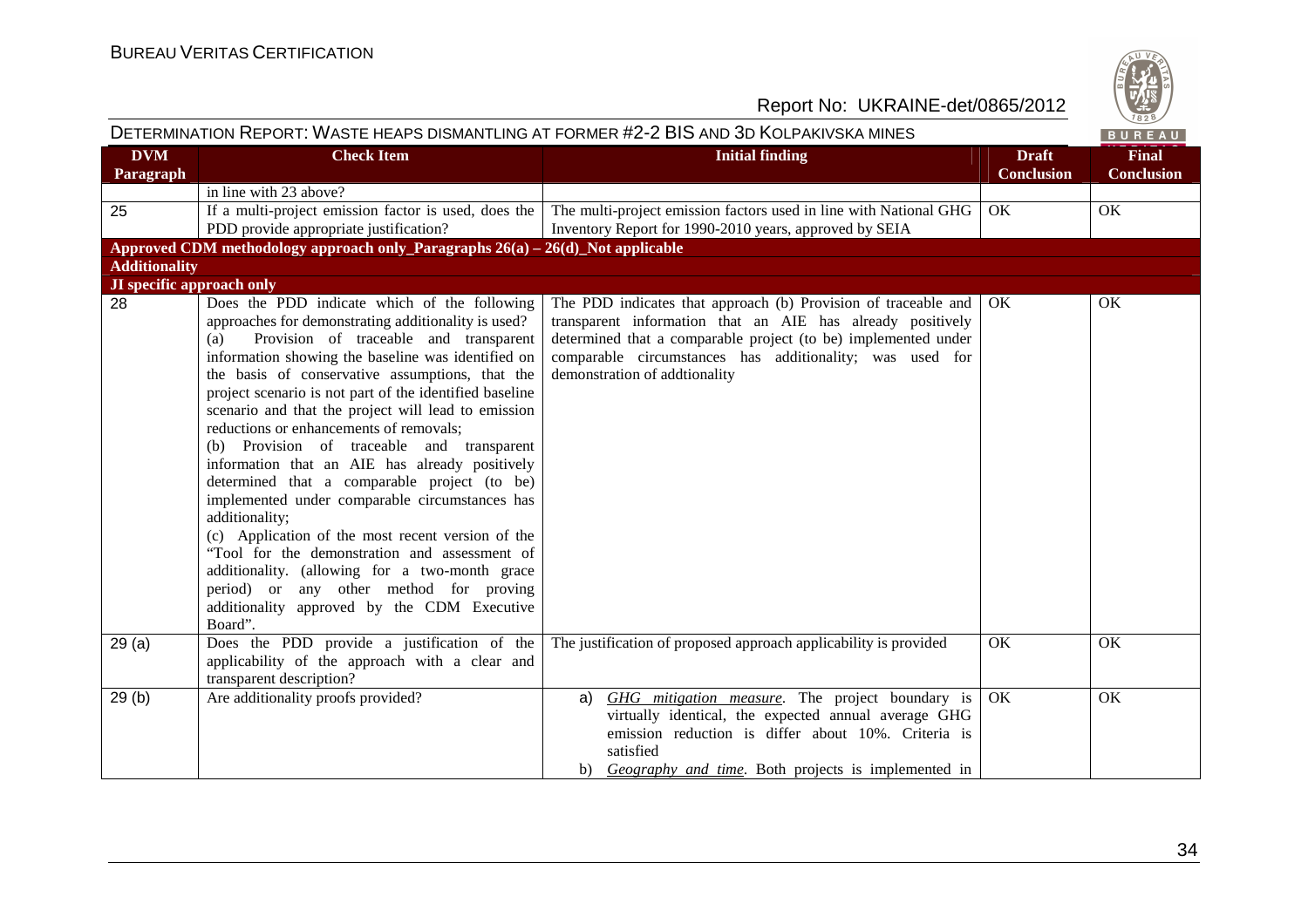

|                                  |                                                                                                                                                                                                                                                                                                                                                                                                                                                                                                                                                                                                                                                                                                                                                                                                                                                                                                             | DETERMINATION REPORT: WASTE HEAPS DISMANTLING AT FORMER #2-2 BIS AND 3D KOLPAKIVSKA MINES                                                                                                                                                                                                   |                                   | BUREAU                            |
|----------------------------------|-------------------------------------------------------------------------------------------------------------------------------------------------------------------------------------------------------------------------------------------------------------------------------------------------------------------------------------------------------------------------------------------------------------------------------------------------------------------------------------------------------------------------------------------------------------------------------------------------------------------------------------------------------------------------------------------------------------------------------------------------------------------------------------------------------------------------------------------------------------------------------------------------------------|---------------------------------------------------------------------------------------------------------------------------------------------------------------------------------------------------------------------------------------------------------------------------------------------|-----------------------------------|-----------------------------------|
| <b>DVM</b><br>Paragraph          | <b>Check Item</b>                                                                                                                                                                                                                                                                                                                                                                                                                                                                                                                                                                                                                                                                                                                                                                                                                                                                                           | <b>Initial finding</b>                                                                                                                                                                                                                                                                      | <b>Draft</b><br><b>Conclusion</b> | <b>Final</b><br><b>Conclusion</b> |
|                                  | in line with 23 above?                                                                                                                                                                                                                                                                                                                                                                                                                                                                                                                                                                                                                                                                                                                                                                                                                                                                                      |                                                                                                                                                                                                                                                                                             |                                   |                                   |
| 25                               | If a multi-project emission factor is used, does the<br>PDD provide appropriate justification?                                                                                                                                                                                                                                                                                                                                                                                                                                                                                                                                                                                                                                                                                                                                                                                                              | The multi-project emission factors used in line with National GHG<br>Inventory Report for 1990-2010 years, approved by SEIA                                                                                                                                                                 | OK                                | OK                                |
|                                  | Approved CDM methodology approach only Paragraphs $26(a) - 26(d)$ Not applicable                                                                                                                                                                                                                                                                                                                                                                                                                                                                                                                                                                                                                                                                                                                                                                                                                            |                                                                                                                                                                                                                                                                                             |                                   |                                   |
| <b>Additionality</b>             |                                                                                                                                                                                                                                                                                                                                                                                                                                                                                                                                                                                                                                                                                                                                                                                                                                                                                                             |                                                                                                                                                                                                                                                                                             |                                   |                                   |
| <b>JI</b> specific approach only |                                                                                                                                                                                                                                                                                                                                                                                                                                                                                                                                                                                                                                                                                                                                                                                                                                                                                                             |                                                                                                                                                                                                                                                                                             |                                   |                                   |
| 28                               | Does the PDD indicate which of the following<br>approaches for demonstrating additionality is used?<br>Provision of traceable and transparent<br>(a)<br>information showing the baseline was identified on<br>the basis of conservative assumptions, that the<br>project scenario is not part of the identified baseline<br>scenario and that the project will lead to emission<br>reductions or enhancements of removals;<br>(b) Provision of traceable and transparent<br>information that an AIE has already positively<br>determined that a comparable project (to be)<br>implemented under comparable circumstances has<br>additionality;<br>(c) Application of the most recent version of the<br>"Tool for the demonstration and assessment of<br>additionality. (allowing for a two-month grace<br>period) or any other method for proving<br>additionality approved by the CDM Executive<br>Board". | The PDD indicates that approach (b) Provision of traceable and<br>transparent information that an AIE has already positively<br>determined that a comparable project (to be) implemented under<br>comparable circumstances has additionality; was used for<br>demonstration of addtionality | OK                                | OK                                |
| 29(a)                            | Does the PDD provide a justification of the<br>applicability of the approach with a clear and<br>transparent description?                                                                                                                                                                                                                                                                                                                                                                                                                                                                                                                                                                                                                                                                                                                                                                                   | The justification of proposed approach applicability is provided                                                                                                                                                                                                                            | OK                                | OK                                |
| 29(b)                            | Are additionality proofs provided?                                                                                                                                                                                                                                                                                                                                                                                                                                                                                                                                                                                                                                                                                                                                                                                                                                                                          | GHG mitigation measure. The project boundary is<br>a)<br>virtually identical, the expected annual average GHG<br>emission reduction is differ about 10%. Criteria is<br>satisfied<br>b) Geography and time. Both projects is implemented in                                                 | OK                                | OK                                |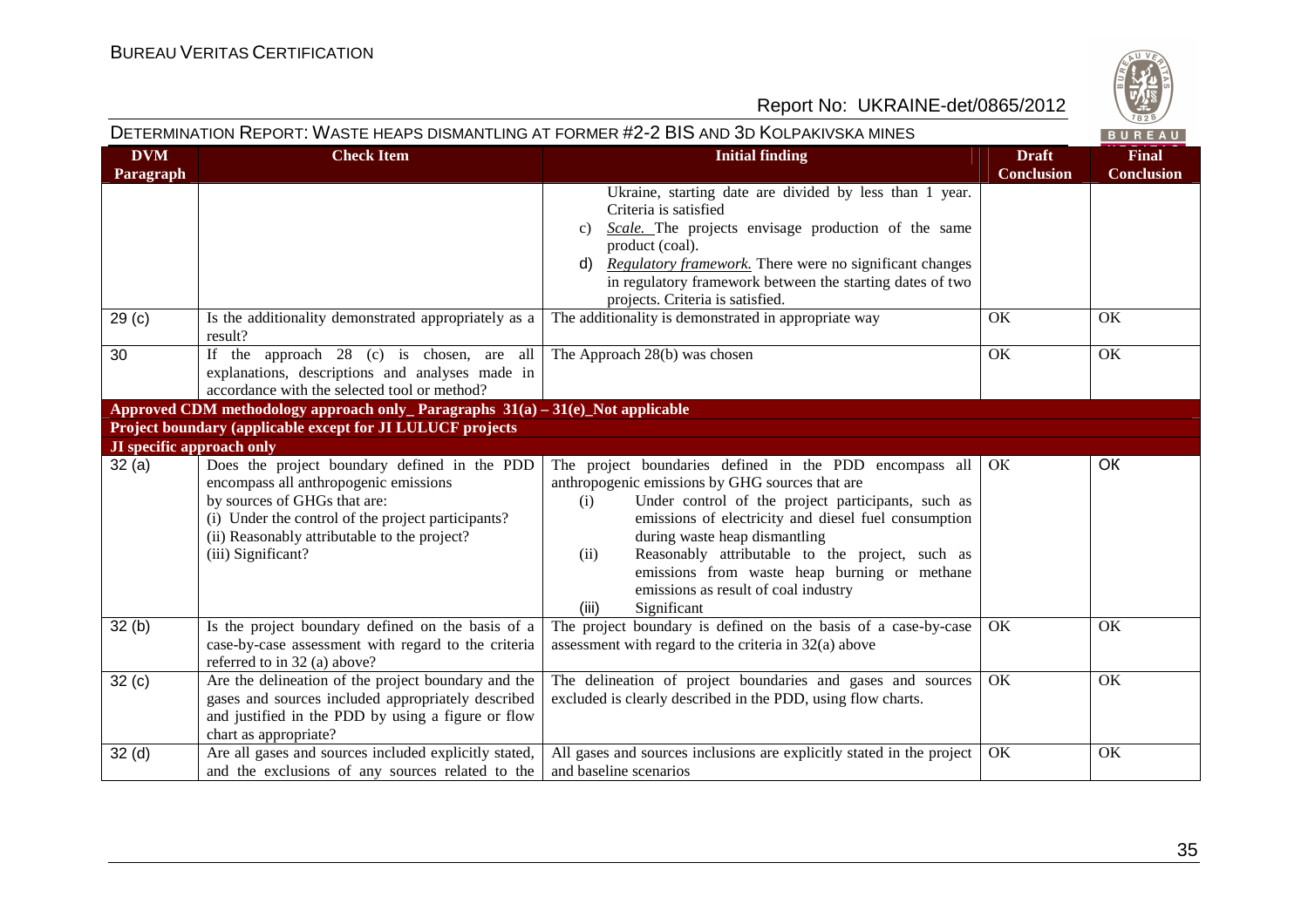

# DETERMINATION REPORT: WASTE HEAPS DISMANTLING AT FORMER #2-2 BIS AND 3D KOLPAKIVSKA MINES

BUREAU

| <b>DVM</b>                           | <b>Check Item</b>                                                                                                                                                                                                                                 | <b>Initial finding</b>                                                                                                                                                                                                                                                                                                                                                                                                                      | <b>Draft</b>                  | <b>Final</b>                   |
|--------------------------------------|---------------------------------------------------------------------------------------------------------------------------------------------------------------------------------------------------------------------------------------------------|---------------------------------------------------------------------------------------------------------------------------------------------------------------------------------------------------------------------------------------------------------------------------------------------------------------------------------------------------------------------------------------------------------------------------------------------|-------------------------------|--------------------------------|
| Paragraph<br>29 <sub>(c)</sub><br>30 | Is the additionality demonstrated appropriately as a<br>result?<br>If the approach $28$ (c) is chosen, are all<br>explanations, descriptions and analyses made in                                                                                 | Ukraine, starting date are divided by less than 1 year.<br>Criteria is satisfied<br>Scale. The projects envisage production of the same<br>$\mathbf{c}$ )<br>product (coal).<br>Regulatory framework. There were no significant changes<br>d)<br>in regulatory framework between the starting dates of two<br>projects. Criteria is satisfied.<br>The additionality is demonstrated in appropriate way<br>The Approach 28(b) was chosen     | <b>Conclusion</b><br>OK<br>OK | <b>Conclusion</b><br>OK.<br>OK |
|                                      | accordance with the selected tool or method?                                                                                                                                                                                                      |                                                                                                                                                                                                                                                                                                                                                                                                                                             |                               |                                |
|                                      | Approved CDM methodology approach only Paragraphs $31(a) - 31(e)$ Not applicable                                                                                                                                                                  |                                                                                                                                                                                                                                                                                                                                                                                                                                             |                               |                                |
|                                      | Project boundary (applicable except for JI LULUCF projects                                                                                                                                                                                        |                                                                                                                                                                                                                                                                                                                                                                                                                                             |                               |                                |
| JI specific approach only            |                                                                                                                                                                                                                                                   |                                                                                                                                                                                                                                                                                                                                                                                                                                             |                               |                                |
| 32(a)                                | Does the project boundary defined in the PDD<br>encompass all anthropogenic emissions<br>by sources of GHGs that are:<br>(i) Under the control of the project participants?<br>(ii) Reasonably attributable to the project?<br>(iii) Significant? | The project boundaries defined in the PDD encompass all<br>anthropogenic emissions by GHG sources that are<br>Under control of the project participants, such as<br>(i)<br>emissions of electricity and diesel fuel consumption<br>during waste heap dismantling<br>Reasonably attributable to the project, such as<br>(ii)<br>emissions from waste heap burning or methane<br>emissions as result of coal industry<br>Significant<br>(iii) | OК                            | OK                             |
| 32(b)                                | Is the project boundary defined on the basis of a<br>case-by-case assessment with regard to the criteria<br>referred to in 32 (a) above?                                                                                                          | The project boundary is defined on the basis of a case-by-case<br>assessment with regard to the criteria in $32(a)$ above                                                                                                                                                                                                                                                                                                                   | OK                            | OK                             |
| 32(c)                                | Are the delineation of the project boundary and the<br>gases and sources included appropriately described<br>and justified in the PDD by using a figure or flow<br>chart as appropriate?                                                          | The delineation of project boundaries and gases and sources<br>excluded is clearly described in the PDD, using flow charts.                                                                                                                                                                                                                                                                                                                 | OK                            | OK                             |
| 32(d)                                | Are all gases and sources included explicitly stated,<br>and the exclusions of any sources related to the                                                                                                                                         | All gases and sources inclusions are explicitly stated in the project<br>and baseline scenarios                                                                                                                                                                                                                                                                                                                                             | OK                            | OK                             |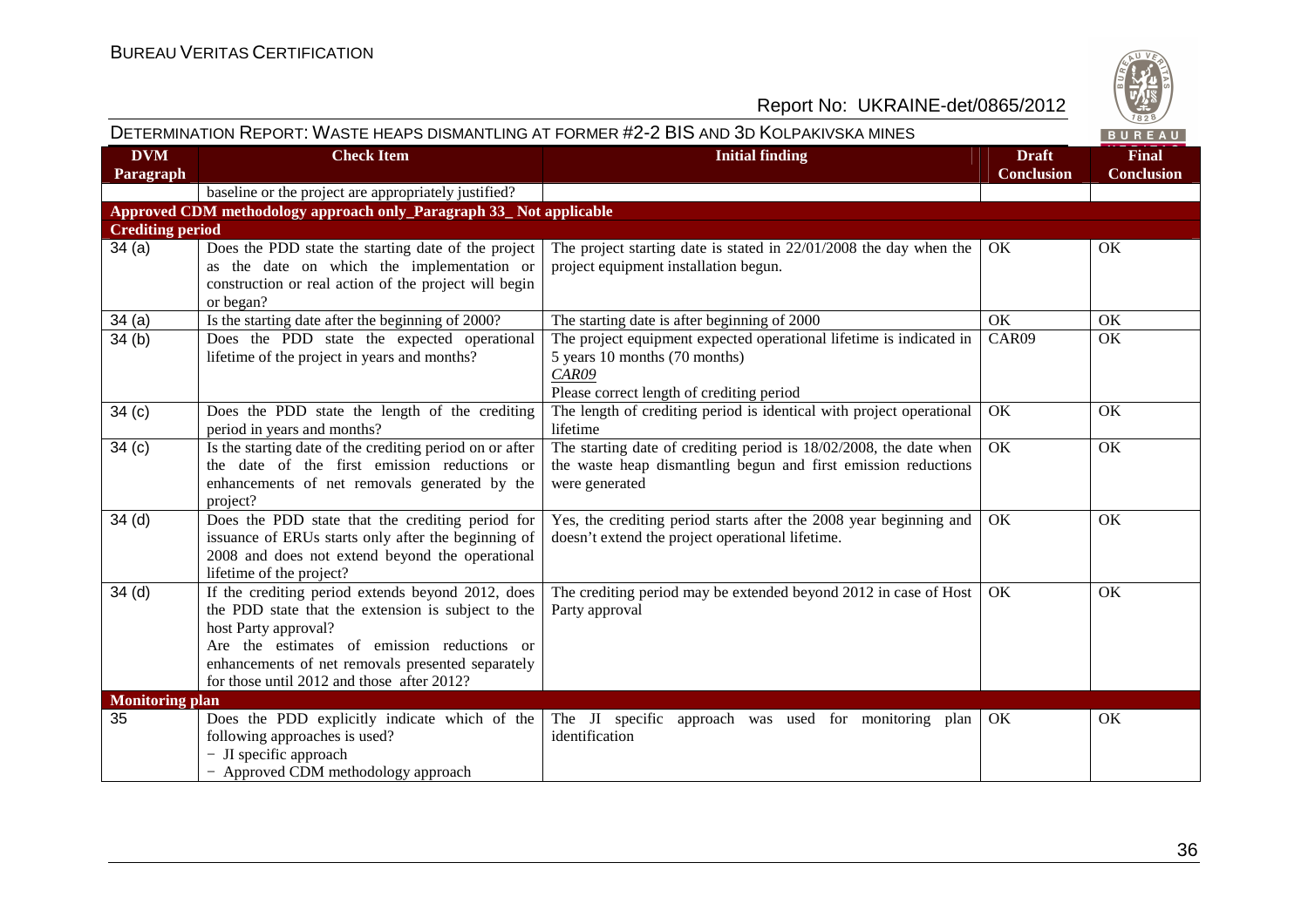

|                         |                                                                                                                                                                                                                                                                                   | DETERMINATION REPORT: WASTE HEAPS DISMANTLING AT FORMER #2-2 BIS AND 3D KOLPAKIVSKA MINES                                                                  |                                   | BUREAU                            |
|-------------------------|-----------------------------------------------------------------------------------------------------------------------------------------------------------------------------------------------------------------------------------------------------------------------------------|------------------------------------------------------------------------------------------------------------------------------------------------------------|-----------------------------------|-----------------------------------|
| <b>DVM</b><br>Paragraph | <b>Check Item</b>                                                                                                                                                                                                                                                                 | <b>Initial finding</b>                                                                                                                                     | <b>Draft</b><br><b>Conclusion</b> | <b>Final</b><br><b>Conclusion</b> |
|                         | baseline or the project are appropriately justified?                                                                                                                                                                                                                              |                                                                                                                                                            |                                   |                                   |
|                         | Approved CDM methodology approach only_Paragraph 33_Not applicable                                                                                                                                                                                                                |                                                                                                                                                            |                                   |                                   |
| <b>Crediting period</b> |                                                                                                                                                                                                                                                                                   |                                                                                                                                                            |                                   |                                   |
| 34(a)                   | Does the PDD state the starting date of the project<br>as the date on which the implementation or<br>construction or real action of the project will begin<br>or began?                                                                                                           | The project starting date is stated in $22/01/2008$ the day when the<br>project equipment installation begun.                                              | OK.                               | OK                                |
| 34(a)                   | Is the starting date after the beginning of 2000?                                                                                                                                                                                                                                 | The starting date is after beginning of 2000                                                                                                               | OK                                | OK                                |
| 34(b)                   | Does the PDD state the expected operational<br>lifetime of the project in years and months?                                                                                                                                                                                       | The project equipment expected operational lifetime is indicated in<br>5 years 10 months (70 months)<br>CAR09<br>Please correct length of crediting period | CAR09                             | OK                                |
| 34(c)                   | Does the PDD state the length of the crediting<br>period in years and months?                                                                                                                                                                                                     | The length of crediting period is identical with project operational<br>lifetime                                                                           | OK                                | OK                                |
| 34(c)                   | Is the starting date of the crediting period on or after<br>the date of the first emission reductions or<br>enhancements of net removals generated by the<br>project?                                                                                                             | The starting date of crediting period is $18/02/2008$ , the date when<br>the waste heap dismantling begun and first emission reductions<br>were generated  | OK                                | OK                                |
| 34 <sub>(d)</sub>       | Does the PDD state that the crediting period for<br>issuance of ERUs starts only after the beginning of<br>2008 and does not extend beyond the operational<br>lifetime of the project?                                                                                            | Yes, the crediting period starts after the 2008 year beginning and<br>doesn't extend the project operational lifetime.                                     | OK                                | OK                                |
| 34 <sub>(d)</sub>       | If the crediting period extends beyond 2012, does<br>the PDD state that the extension is subject to the<br>host Party approval?<br>Are the estimates of emission reductions or<br>enhancements of net removals presented separately<br>for those until 2012 and those after 2012? | The crediting period may be extended beyond 2012 in case of Host<br>Party approval                                                                         | OK.                               | OK                                |
| <b>Monitoring plan</b>  |                                                                                                                                                                                                                                                                                   |                                                                                                                                                            |                                   |                                   |
| 35                      | Does the PDD explicitly indicate which of the<br>following approaches is used?<br>- JI specific approach<br>- Approved CDM methodology approach                                                                                                                                   | The JI specific approach was used for monitoring plan<br>identification                                                                                    | OK                                | OK                                |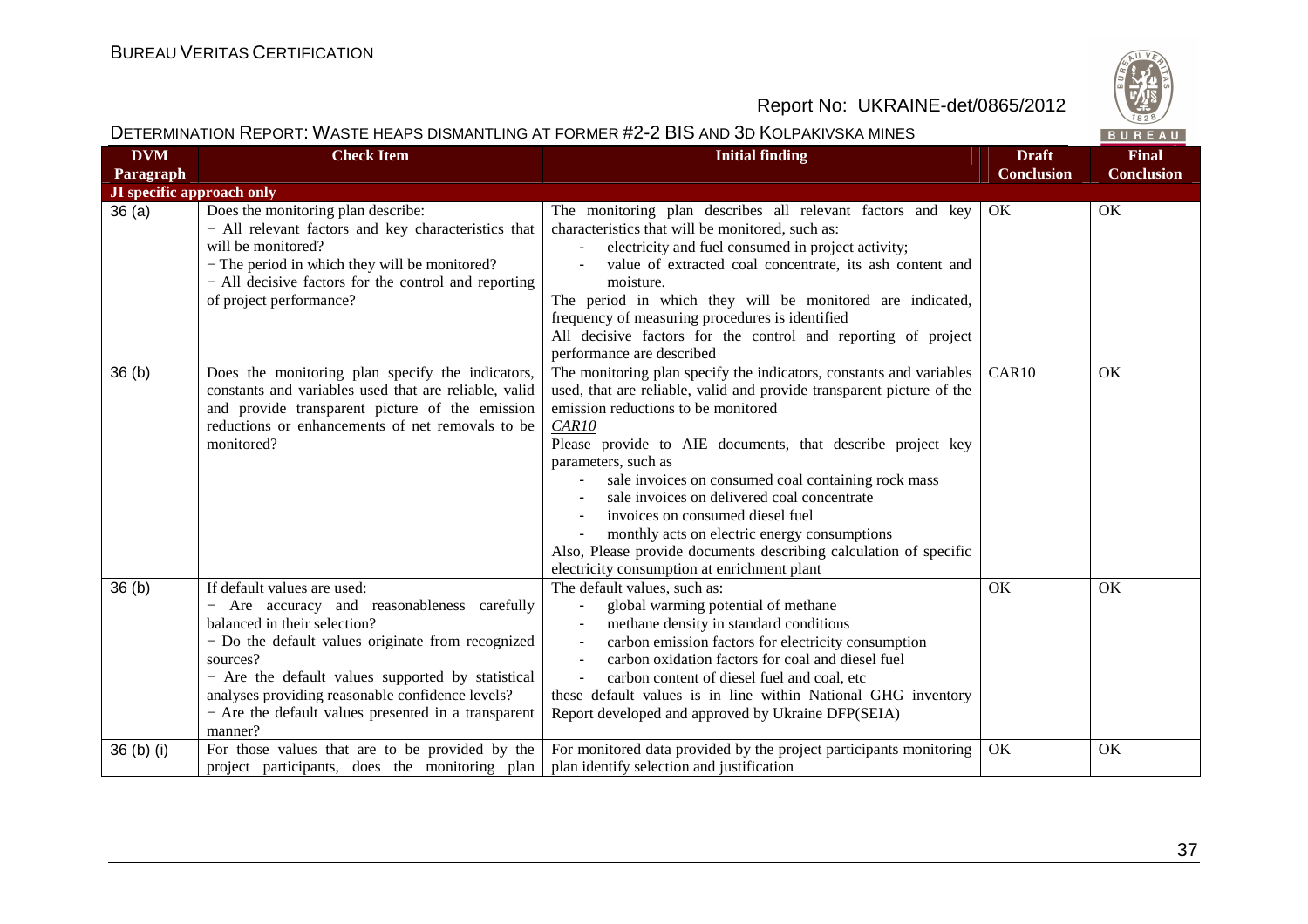

# DETERMINATION REPORT: WASTE HEAPS DISMANTLING AT FORMER #2-2 BIS AND 3D KOLPAKIVSKA MINES

| <b>DVM</b>                | <b>Check Item</b>                                                                                                                                                                                                                                                                                                                                    | <b>Initial finding</b>                                                                                                                                                                                                                                                                                                                                                                                                                                                                                                                                                                          | <b>Draft</b>      | <b>Final</b>      |
|---------------------------|------------------------------------------------------------------------------------------------------------------------------------------------------------------------------------------------------------------------------------------------------------------------------------------------------------------------------------------------------|-------------------------------------------------------------------------------------------------------------------------------------------------------------------------------------------------------------------------------------------------------------------------------------------------------------------------------------------------------------------------------------------------------------------------------------------------------------------------------------------------------------------------------------------------------------------------------------------------|-------------------|-------------------|
| Paragraph                 |                                                                                                                                                                                                                                                                                                                                                      |                                                                                                                                                                                                                                                                                                                                                                                                                                                                                                                                                                                                 | <b>Conclusion</b> | <b>Conclusion</b> |
| JI specific approach only |                                                                                                                                                                                                                                                                                                                                                      |                                                                                                                                                                                                                                                                                                                                                                                                                                                                                                                                                                                                 |                   |                   |
| 36(a)                     | Does the monitoring plan describe:<br>- All relevant factors and key characteristics that<br>will be monitored?<br>- The period in which they will be monitored?<br>- All decisive factors for the control and reporting<br>of project performance?                                                                                                  | The monitoring plan describes all relevant factors and key<br>characteristics that will be monitored, such as:<br>electricity and fuel consumed in project activity;<br>value of extracted coal concentrate, its ash content and<br>moisture.<br>The period in which they will be monitored are indicated,<br>frequency of measuring procedures is identified<br>All decisive factors for the control and reporting of project<br>performance are described                                                                                                                                     | OK                | OK                |
| 36(b)                     | Does the monitoring plan specify the indicators,<br>constants and variables used that are reliable, valid<br>and provide transparent picture of the emission<br>reductions or enhancements of net removals to be<br>monitored?                                                                                                                       | The monitoring plan specify the indicators, constants and variables<br>used, that are reliable, valid and provide transparent picture of the<br>emission reductions to be monitored<br>CAR10<br>Please provide to AIE documents, that describe project key<br>parameters, such as<br>sale invoices on consumed coal containing rock mass<br>sale invoices on delivered coal concentrate<br>invoices on consumed diesel fuel<br>monthly acts on electric energy consumptions<br>Also, Please provide documents describing calculation of specific<br>electricity consumption at enrichment plant | CAR10             | OK                |
| 36 <sub>(b)</sub>         | If default values are used:<br>Are accuracy and reasonableness carefully<br>balanced in their selection?<br>- Do the default values originate from recognized<br>sources?<br>- Are the default values supported by statistical<br>analyses providing reasonable confidence levels?<br>- Are the default values presented in a transparent<br>manner? | The default values, such as:<br>global warming potential of methane<br>methane density in standard conditions<br>carbon emission factors for electricity consumption<br>carbon oxidation factors for coal and diesel fuel<br>carbon content of diesel fuel and coal, etc<br>these default values is in line within National GHG inventory<br>Report developed and approved by Ukraine DFP(SEIA)                                                                                                                                                                                                 | OK                | OK                |
| 36 (b) (i)                | For those values that are to be provided by the<br>project participants, does the monitoring plan                                                                                                                                                                                                                                                    | For monitored data provided by the project participants monitoring<br>plan identify selection and justification                                                                                                                                                                                                                                                                                                                                                                                                                                                                                 | OK                | OK                |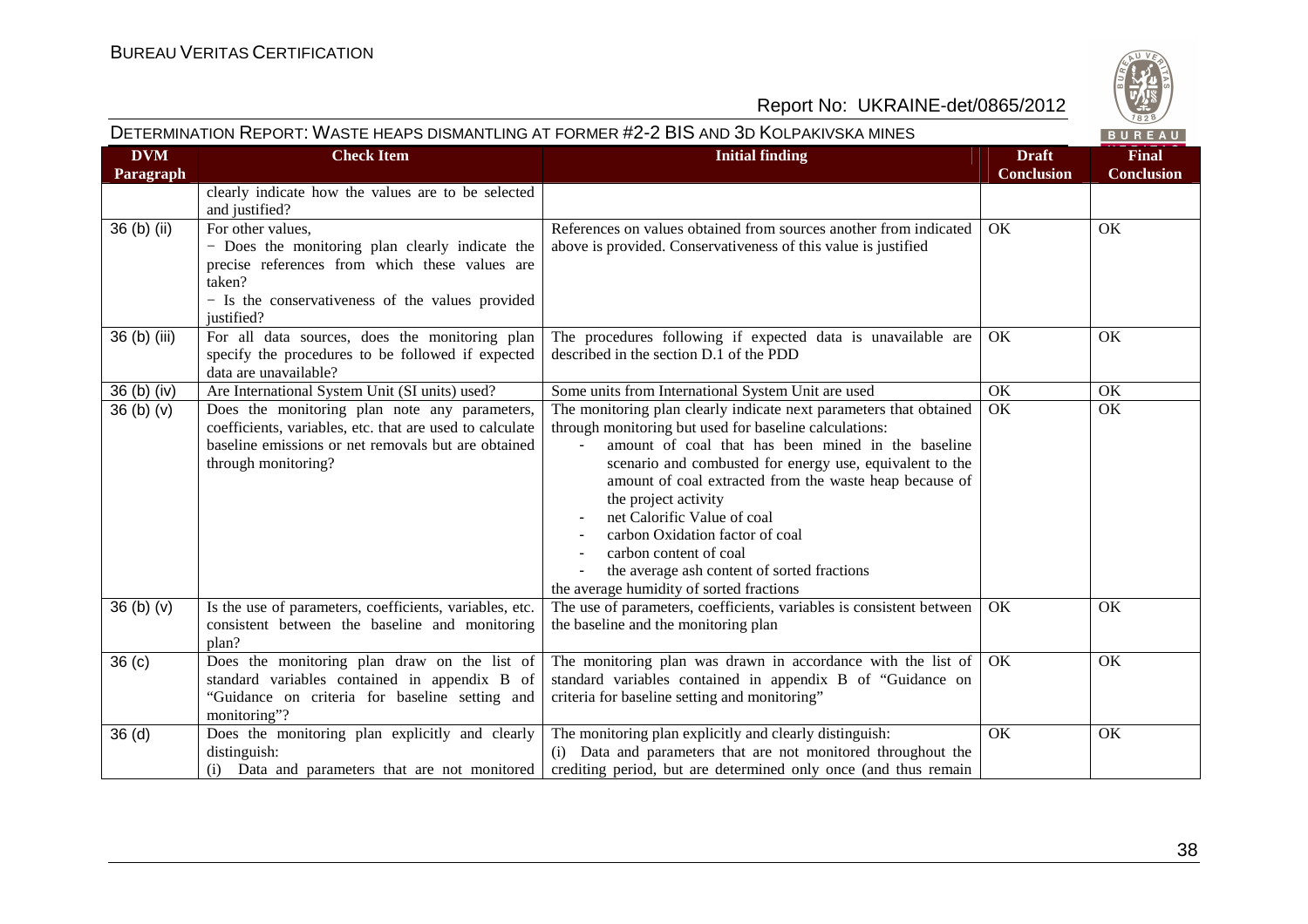

# DETERMINATION REPORT: WASTE HEAPS DISMANTLING AT FORMER #2-2 BIS AND 3D KOLPAKIVSKA MINES

BUREAU

| <b>DVM</b><br>Paragraph | <b>Check Item</b>                                                                                                                                                                                  | <b>Initial finding</b>                                                                                                                                                                                                                                                                                                                                                                                                                                                                                                   | <b>Draft</b><br><b>Conclusion</b> | <b>Final</b><br><b>Conclusion</b> |
|-------------------------|----------------------------------------------------------------------------------------------------------------------------------------------------------------------------------------------------|--------------------------------------------------------------------------------------------------------------------------------------------------------------------------------------------------------------------------------------------------------------------------------------------------------------------------------------------------------------------------------------------------------------------------------------------------------------------------------------------------------------------------|-----------------------------------|-----------------------------------|
|                         | clearly indicate how the values are to be selected<br>and justified?                                                                                                                               |                                                                                                                                                                                                                                                                                                                                                                                                                                                                                                                          |                                   |                                   |
| $36(b)$ (ii)            | For other values,<br>- Does the monitoring plan clearly indicate the<br>precise references from which these values are<br>taken?<br>- Is the conservativeness of the values provided<br>justified? | References on values obtained from sources another from indicated<br>above is provided. Conservativeness of this value is justified                                                                                                                                                                                                                                                                                                                                                                                      | OK                                | OK                                |
| 36 (b) (iii)            | For all data sources, does the monitoring plan<br>specify the procedures to be followed if expected<br>data are unavailable?                                                                       | The procedures following if expected data is unavailable are<br>described in the section D.1 of the PDD                                                                                                                                                                                                                                                                                                                                                                                                                  | OK                                | OK                                |
| 36 (b) (iv)             | Are International System Unit (SI units) used?                                                                                                                                                     | Some units from International System Unit are used                                                                                                                                                                                                                                                                                                                                                                                                                                                                       | OK                                | OK                                |
| 36(b)(v)                | Does the monitoring plan note any parameters,<br>coefficients, variables, etc. that are used to calculate<br>baseline emissions or net removals but are obtained<br>through monitoring?            | The monitoring plan clearly indicate next parameters that obtained<br>through monitoring but used for baseline calculations:<br>amount of coal that has been mined in the baseline<br>scenario and combusted for energy use, equivalent to the<br>amount of coal extracted from the waste heap because of<br>the project activity<br>net Calorific Value of coal<br>carbon Oxidation factor of coal<br>carbon content of coal<br>the average ash content of sorted fractions<br>the average humidity of sorted fractions | OK                                | OK                                |
| 36(b)(v)                | Is the use of parameters, coefficients, variables, etc.<br>consistent between the baseline and monitoring<br>plan?                                                                                 | The use of parameters, coefficients, variables is consistent between<br>the baseline and the monitoring plan                                                                                                                                                                                                                                                                                                                                                                                                             | OK                                | OK                                |
| 36 <sub>(c)</sub>       | Does the monitoring plan draw on the list of<br>standard variables contained in appendix B of<br>"Guidance on criteria for baseline setting and<br>monitoring"?                                    | The monitoring plan was drawn in accordance with the list of<br>standard variables contained in appendix B of "Guidance on<br>criteria for baseline setting and monitoring"                                                                                                                                                                                                                                                                                                                                              | OK                                | OK                                |
| 36(d)                   | Does the monitoring plan explicitly and clearly<br>distinguish:<br>(i) Data and parameters that are not monitored                                                                                  | The monitoring plan explicitly and clearly distinguish:<br>(i) Data and parameters that are not monitored throughout the<br>crediting period, but are determined only once (and thus remain                                                                                                                                                                                                                                                                                                                              | OK                                | OK                                |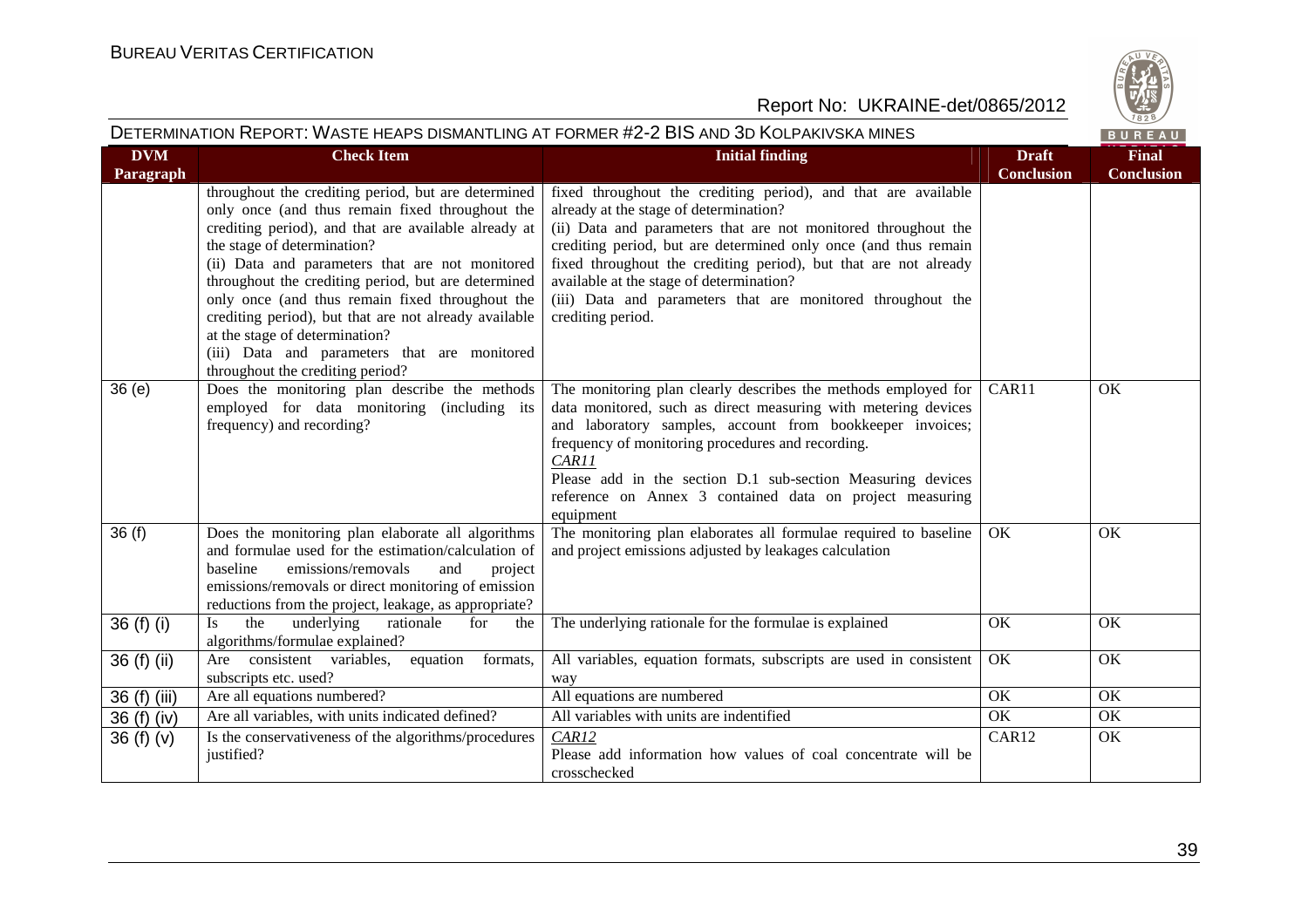

| DETERMINATION REPORT: WASTE HEAPS DISMANTLING AT FORMER #2-2 BIS AND 3D KOLPAKIVSKA MINES<br>BUREAU |                                                                                                                                                                                                                                                                                                                                                                                                                                                                                                                                           |                                                                                                                                                                                                                                                                                                                                                                                                                                                   |                                   |                                   |
|-----------------------------------------------------------------------------------------------------|-------------------------------------------------------------------------------------------------------------------------------------------------------------------------------------------------------------------------------------------------------------------------------------------------------------------------------------------------------------------------------------------------------------------------------------------------------------------------------------------------------------------------------------------|---------------------------------------------------------------------------------------------------------------------------------------------------------------------------------------------------------------------------------------------------------------------------------------------------------------------------------------------------------------------------------------------------------------------------------------------------|-----------------------------------|-----------------------------------|
| <b>DVM</b><br>Paragraph                                                                             | <b>Check Item</b>                                                                                                                                                                                                                                                                                                                                                                                                                                                                                                                         | <b>Initial finding</b>                                                                                                                                                                                                                                                                                                                                                                                                                            | <b>Draft</b><br><b>Conclusion</b> | <b>Final</b><br><b>Conclusion</b> |
|                                                                                                     | throughout the crediting period, but are determined<br>only once (and thus remain fixed throughout the<br>crediting period), and that are available already at<br>the stage of determination?<br>(ii) Data and parameters that are not monitored<br>throughout the crediting period, but are determined<br>only once (and thus remain fixed throughout the<br>crediting period), but that are not already available<br>at the stage of determination?<br>(iii) Data and parameters that are monitored<br>throughout the crediting period? | fixed throughout the crediting period), and that are available<br>already at the stage of determination?<br>(ii) Data and parameters that are not monitored throughout the<br>crediting period, but are determined only once (and thus remain<br>fixed throughout the crediting period), but that are not already<br>available at the stage of determination?<br>(iii) Data and parameters that are monitored throughout the<br>crediting period. |                                   |                                   |
| 36(e)                                                                                               | Does the monitoring plan describe the methods<br>employed for data monitoring (including its<br>frequency) and recording?                                                                                                                                                                                                                                                                                                                                                                                                                 | The monitoring plan clearly describes the methods employed for<br>data monitored, such as direct measuring with metering devices<br>and laboratory samples, account from bookkeeper invoices;<br>frequency of monitoring procedures and recording.<br>CAR11<br>Please add in the section D.1 sub-section Measuring devices<br>reference on Annex 3 contained data on project measuring<br>equipment                                               | CAR11                             | OK                                |
| 36(f)                                                                                               | Does the monitoring plan elaborate all algorithms<br>and formulae used for the estimation/calculation of<br>baseline<br>emissions/removals<br>and<br>project<br>emissions/removals or direct monitoring of emission<br>reductions from the project, leakage, as appropriate?                                                                                                                                                                                                                                                              | The monitoring plan elaborates all formulae required to baseline<br>and project emissions adjusted by leakages calculation                                                                                                                                                                                                                                                                                                                        | OK                                | OK                                |
| 36 (f) (i)                                                                                          | underlying<br>Is<br>the<br>rationale<br>for<br>the<br>algorithms/formulae explained?                                                                                                                                                                                                                                                                                                                                                                                                                                                      | The underlying rationale for the formulae is explained                                                                                                                                                                                                                                                                                                                                                                                            | OK                                | OK                                |
| 36 (f) (ii)                                                                                         | Are consistent variables,<br>equation<br>formats,<br>subscripts etc. used?                                                                                                                                                                                                                                                                                                                                                                                                                                                                | All variables, equation formats, subscripts are used in consistent<br>way                                                                                                                                                                                                                                                                                                                                                                         | OK                                | OK                                |
| 36 (f) (iii)                                                                                        | Are all equations numbered?                                                                                                                                                                                                                                                                                                                                                                                                                                                                                                               | All equations are numbered                                                                                                                                                                                                                                                                                                                                                                                                                        | OK                                | <b>OK</b>                         |
| 36 (f) (iv)                                                                                         | Are all variables, with units indicated defined?                                                                                                                                                                                                                                                                                                                                                                                                                                                                                          | All variables with units are indentified                                                                                                                                                                                                                                                                                                                                                                                                          | OK                                | OK                                |
| 36 $(f)(v)$                                                                                         | Is the conservativeness of the algorithms/procedures<br>justified?                                                                                                                                                                                                                                                                                                                                                                                                                                                                        | CAR12<br>Please add information how values of coal concentrate will be<br>crosschecked                                                                                                                                                                                                                                                                                                                                                            | CAR12                             | OK                                |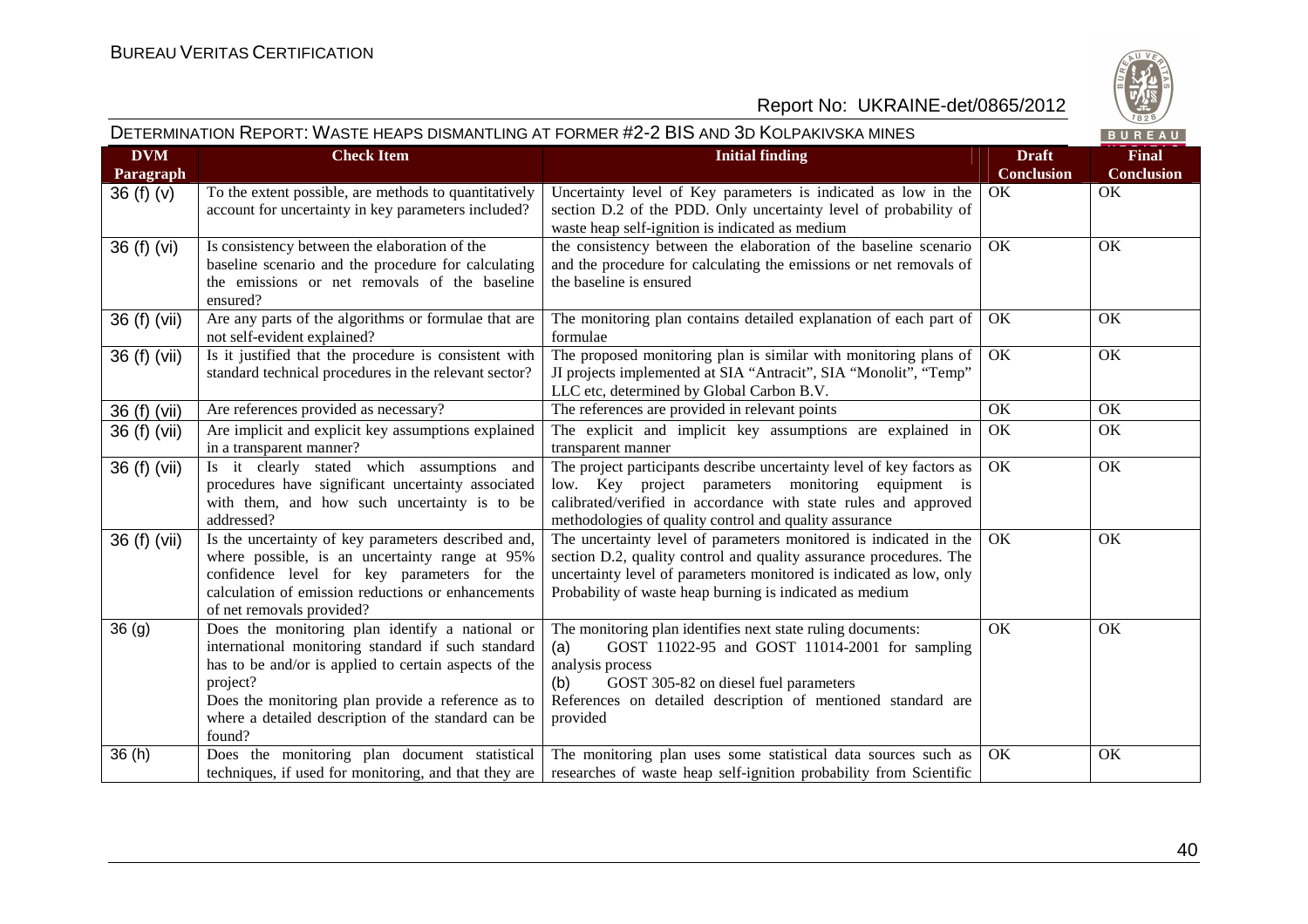

|                         |                                                                                                                                                                                                                                                                                                   | DETERMINATION REPORT: WASTE HEAPS DISMANTLING AT FORMER #2-2 BIS AND 3D KOLPAKIVSKA MINES                                                                                                                                                                                  |                                   | BUREAU                            |
|-------------------------|---------------------------------------------------------------------------------------------------------------------------------------------------------------------------------------------------------------------------------------------------------------------------------------------------|----------------------------------------------------------------------------------------------------------------------------------------------------------------------------------------------------------------------------------------------------------------------------|-----------------------------------|-----------------------------------|
| <b>DVM</b><br>Paragraph | <b>Check Item</b>                                                                                                                                                                                                                                                                                 | <b>Initial finding</b>                                                                                                                                                                                                                                                     | <b>Draft</b><br><b>Conclusion</b> | <b>Final</b><br><b>Conclusion</b> |
| 36 $(f)(v)$             | To the extent possible, are methods to quantitatively<br>account for uncertainty in key parameters included?                                                                                                                                                                                      | Uncertainty level of Key parameters is indicated as low in the<br>section D.2 of the PDD. Only uncertainty level of probability of<br>waste heap self-ignition is indicated as medium                                                                                      | OK                                | OK                                |
| 36 (f) (vi)             | Is consistency between the elaboration of the<br>baseline scenario and the procedure for calculating<br>the emissions or net removals of the baseline<br>ensured?                                                                                                                                 | the consistency between the elaboration of the baseline scenario<br>and the procedure for calculating the emissions or net removals of<br>the baseline is ensured                                                                                                          | OK                                | OK                                |
| 36 (f) (vii)            | Are any parts of the algorithms or formulae that are<br>not self-evident explained?                                                                                                                                                                                                               | The monitoring plan contains detailed explanation of each part of<br>formulae                                                                                                                                                                                              | OK                                | OK                                |
| 36 (f) (vii)            | Is it justified that the procedure is consistent with<br>standard technical procedures in the relevant sector?                                                                                                                                                                                    | The proposed monitoring plan is similar with monitoring plans of<br>JI projects implemented at SIA "Antracit", SIA "Monolit", "Temp"<br>LLC etc, determined by Global Carbon B.V.                                                                                          | OK                                | OK                                |
| 36 (f) (vii)            | Are references provided as necessary?                                                                                                                                                                                                                                                             | The references are provided in relevant points                                                                                                                                                                                                                             | OK                                | OK                                |
| 36 (f) (vii)            | Are implicit and explicit key assumptions explained<br>in a transparent manner?                                                                                                                                                                                                                   | The explicit and implicit key assumptions are explained in<br>transparent manner                                                                                                                                                                                           | OK                                | OK                                |
| 36 (f) (vii)            | Is it clearly stated which assumptions and<br>procedures have significant uncertainty associated<br>with them, and how such uncertainty is to be<br>addressed?                                                                                                                                    | The project participants describe uncertainty level of key factors as<br>low. Key project parameters monitoring equipment is<br>calibrated/verified in accordance with state rules and approved<br>methodologies of quality control and quality assurance                  | OK                                | OK                                |
| 36 (f) (vii)            | Is the uncertainty of key parameters described and,<br>where possible, is an uncertainty range at 95%<br>confidence level for key parameters for the<br>calculation of emission reductions or enhancements<br>of net removals provided?                                                           | The uncertainty level of parameters monitored is indicated in the<br>section D.2, quality control and quality assurance procedures. The<br>uncertainty level of parameters monitored is indicated as low, only<br>Probability of waste heap burning is indicated as medium | OK                                | OK                                |
| 36(9)                   | Does the monitoring plan identify a national or<br>international monitoring standard if such standard<br>has to be and/or is applied to certain aspects of the<br>project?<br>Does the monitoring plan provide a reference as to<br>where a detailed description of the standard can be<br>found? | The monitoring plan identifies next state ruling documents:<br>GOST 11022-95 and GOST 11014-2001 for sampling<br>(a)<br>analysis process<br>GOST 305-82 on diesel fuel parameters<br>(b)<br>References on detailed description of mentioned standard are<br>provided       | OK                                | OK                                |
| 36(h)                   | Does the monitoring plan document statistical<br>techniques, if used for monitoring, and that they are                                                                                                                                                                                            | The monitoring plan uses some statistical data sources such as<br>researches of waste heap self-ignition probability from Scientific                                                                                                                                       | OK                                | OK                                |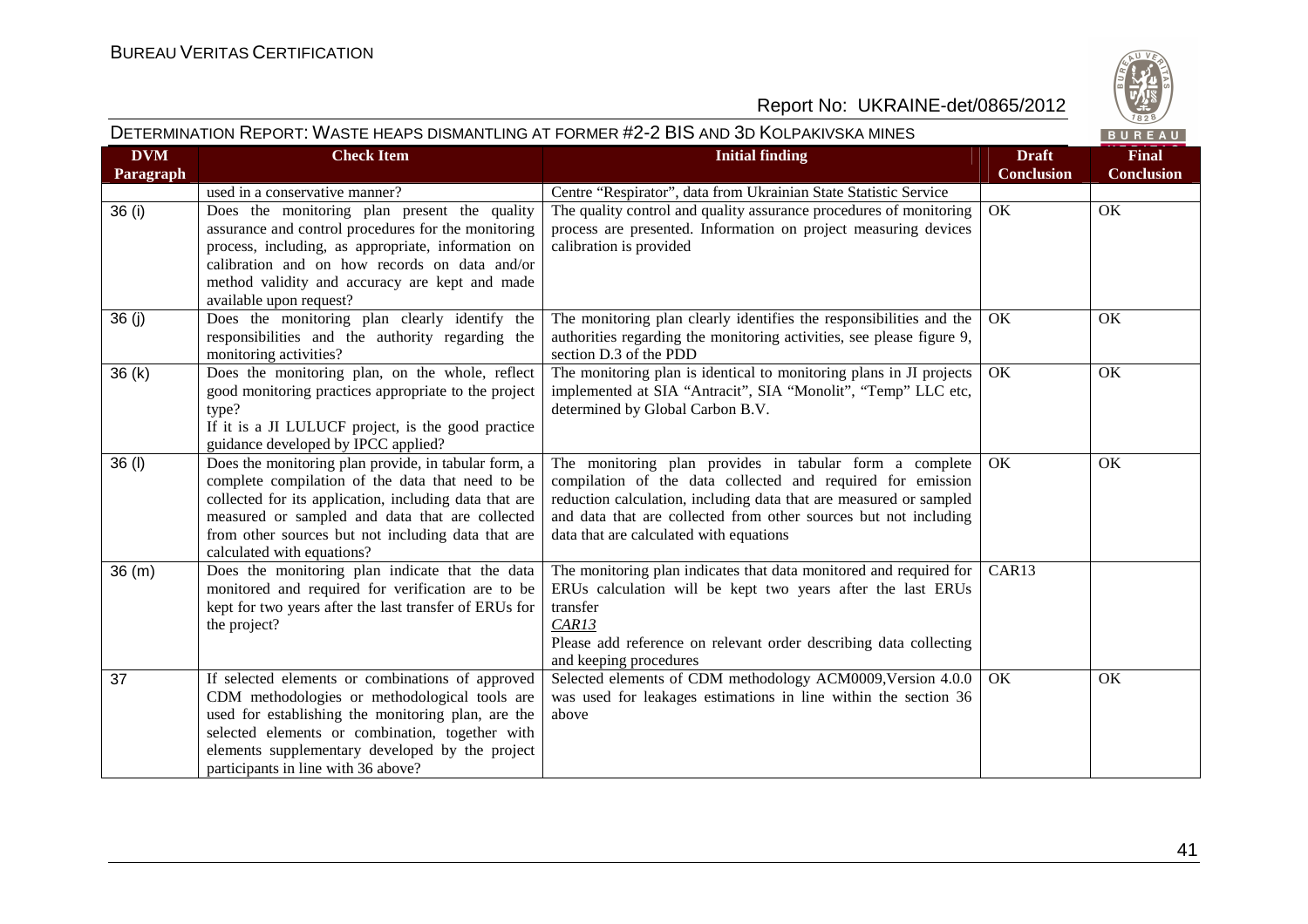

# DETERMINATION REPORT: WASTE HEAPS DISMANTLING AT FORMER #2-2 BIS AND 3D KOLPAKIVSKA MINES

BUREAU

| <b>DVM</b> | <b>Check Item</b>                                                                                                                                                                                                                                                                                         | <b>Initial finding</b>                                                                                                                                                                                                                                                                                      | <b>Draft</b>      | <b>Final</b>      |
|------------|-----------------------------------------------------------------------------------------------------------------------------------------------------------------------------------------------------------------------------------------------------------------------------------------------------------|-------------------------------------------------------------------------------------------------------------------------------------------------------------------------------------------------------------------------------------------------------------------------------------------------------------|-------------------|-------------------|
| Paragraph  |                                                                                                                                                                                                                                                                                                           |                                                                                                                                                                                                                                                                                                             | <b>Conclusion</b> | <b>Conclusion</b> |
|            | used in a conservative manner?                                                                                                                                                                                                                                                                            | Centre "Respirator", data from Ukrainian State Statistic Service                                                                                                                                                                                                                                            |                   |                   |
| 36 (i)     | Does the monitoring plan present the quality<br>assurance and control procedures for the monitoring<br>process, including, as appropriate, information on<br>calibration and on how records on data and/or<br>method validity and accuracy are kept and made<br>available upon request?                   | The quality control and quality assurance procedures of monitoring<br>process are presented. Information on project measuring devices<br>calibration is provided                                                                                                                                            | OK                | OK                |
| 36(j)      | Does the monitoring plan clearly identify the<br>responsibilities and the authority regarding the<br>monitoring activities?                                                                                                                                                                               | The monitoring plan clearly identifies the responsibilities and the<br>authorities regarding the monitoring activities, see please figure 9,<br>section D.3 of the PDD                                                                                                                                      | OK.               | OK                |
| 36(k)      | Does the monitoring plan, on the whole, reflect<br>good monitoring practices appropriate to the project<br>type?<br>If it is a JI LULUCF project, is the good practice<br>guidance developed by IPCC applied?                                                                                             | The monitoring plan is identical to monitoring plans in JI projects<br>implemented at SIA "Antracit", SIA "Monolit", "Temp" LLC etc,<br>determined by Global Carbon B.V.                                                                                                                                    | OK                | OK                |
| 36(1)      | Does the monitoring plan provide, in tabular form, a<br>complete compilation of the data that need to be<br>collected for its application, including data that are<br>measured or sampled and data that are collected<br>from other sources but not including data that are<br>calculated with equations? | The monitoring plan provides in tabular form a complete<br>compilation of the data collected and required for emission<br>reduction calculation, including data that are measured or sampled<br>and data that are collected from other sources but not including<br>data that are calculated with equations | OK                | OK                |
| 36(m)      | Does the monitoring plan indicate that the data<br>monitored and required for verification are to be<br>kept for two years after the last transfer of ERUs for<br>the project?                                                                                                                            | The monitoring plan indicates that data monitored and required for<br>ERUs calculation will be kept two years after the last ERUs<br>transfer<br>CAR13<br>Please add reference on relevant order describing data collecting<br>and keeping procedures                                                       | CAR13             |                   |
| 37         | If selected elements or combinations of approved<br>CDM methodologies or methodological tools are<br>used for establishing the monitoring plan, are the<br>selected elements or combination, together with<br>elements supplementary developed by the project<br>participants in line with 36 above?      | Selected elements of CDM methodology ACM0009, Version 4.0.0<br>was used for leakages estimations in line within the section 36<br>above                                                                                                                                                                     | OK                | OK                |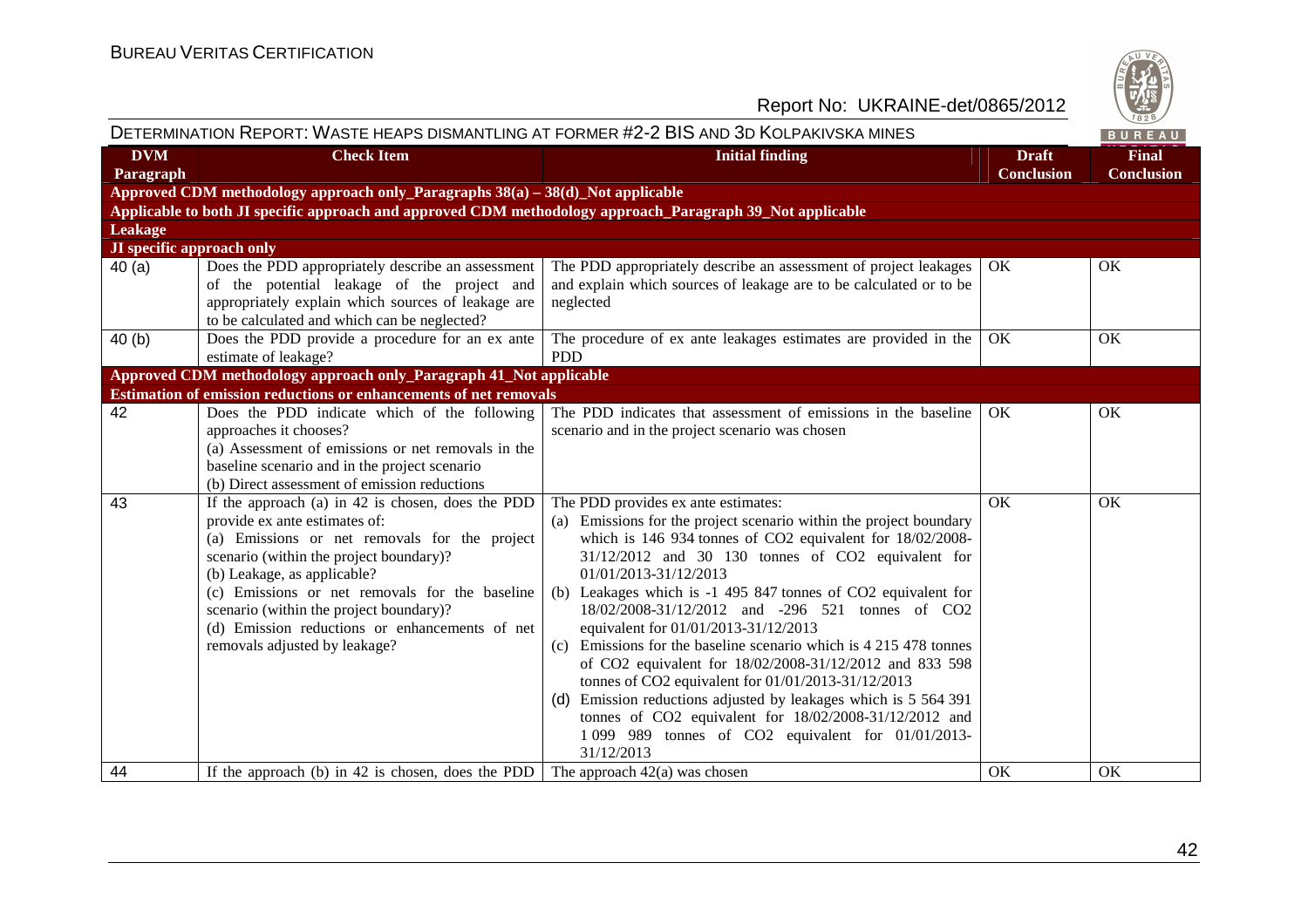

| DETERMINATION REPORT: WASTE HEAPS DISMANTLING AT FORMER #2-2 BIS AND 3D KOLPAKIVSKA MINES<br>BUREAU |                                                                                                                                                                                                                                                                                                                                                                                                 |                                                                                                                                                                                                                                                                                                                                                                                                                                                                                                                                                                                                                                                                                                                                                                                                                   |                                   |                                   |
|-----------------------------------------------------------------------------------------------------|-------------------------------------------------------------------------------------------------------------------------------------------------------------------------------------------------------------------------------------------------------------------------------------------------------------------------------------------------------------------------------------------------|-------------------------------------------------------------------------------------------------------------------------------------------------------------------------------------------------------------------------------------------------------------------------------------------------------------------------------------------------------------------------------------------------------------------------------------------------------------------------------------------------------------------------------------------------------------------------------------------------------------------------------------------------------------------------------------------------------------------------------------------------------------------------------------------------------------------|-----------------------------------|-----------------------------------|
| <b>DVM</b><br>Paragraph                                                                             | <b>Check Item</b>                                                                                                                                                                                                                                                                                                                                                                               | <b>Initial finding</b>                                                                                                                                                                                                                                                                                                                                                                                                                                                                                                                                                                                                                                                                                                                                                                                            | <b>Draft</b><br><b>Conclusion</b> | <b>Final</b><br><b>Conclusion</b> |
|                                                                                                     | Approved CDM methodology approach only_Paragraphs $38(a) - 38(d)$ _Not applicable                                                                                                                                                                                                                                                                                                               |                                                                                                                                                                                                                                                                                                                                                                                                                                                                                                                                                                                                                                                                                                                                                                                                                   |                                   |                                   |
|                                                                                                     | Applicable to both JI specific approach and approved CDM methodology approach_Paragraph 39_Not applicable                                                                                                                                                                                                                                                                                       |                                                                                                                                                                                                                                                                                                                                                                                                                                                                                                                                                                                                                                                                                                                                                                                                                   |                                   |                                   |
| <b>Leakage</b>                                                                                      |                                                                                                                                                                                                                                                                                                                                                                                                 |                                                                                                                                                                                                                                                                                                                                                                                                                                                                                                                                                                                                                                                                                                                                                                                                                   |                                   |                                   |
| <b>JI</b> specific approach only                                                                    |                                                                                                                                                                                                                                                                                                                                                                                                 |                                                                                                                                                                                                                                                                                                                                                                                                                                                                                                                                                                                                                                                                                                                                                                                                                   |                                   |                                   |
| 40(a)                                                                                               | Does the PDD appropriately describe an assessment<br>of the potential leakage of the project and<br>appropriately explain which sources of leakage are<br>to be calculated and which can be neglected?                                                                                                                                                                                          | The PDD appropriately describe an assessment of project leakages<br>and explain which sources of leakage are to be calculated or to be<br>neglected                                                                                                                                                                                                                                                                                                                                                                                                                                                                                                                                                                                                                                                               | OK                                | OK                                |
| 40(b)                                                                                               | Does the PDD provide a procedure for an ex ante                                                                                                                                                                                                                                                                                                                                                 | The procedure of ex ante leakages estimates are provided in the                                                                                                                                                                                                                                                                                                                                                                                                                                                                                                                                                                                                                                                                                                                                                   | OK                                | OK                                |
|                                                                                                     | estimate of leakage?                                                                                                                                                                                                                                                                                                                                                                            | <b>PDD</b>                                                                                                                                                                                                                                                                                                                                                                                                                                                                                                                                                                                                                                                                                                                                                                                                        |                                   |                                   |
|                                                                                                     | Approved CDM methodology approach only_Paragraph 41_Not applicable                                                                                                                                                                                                                                                                                                                              |                                                                                                                                                                                                                                                                                                                                                                                                                                                                                                                                                                                                                                                                                                                                                                                                                   |                                   |                                   |
|                                                                                                     | Estimation of emission reductions or enhancements of net removals                                                                                                                                                                                                                                                                                                                               |                                                                                                                                                                                                                                                                                                                                                                                                                                                                                                                                                                                                                                                                                                                                                                                                                   |                                   |                                   |
| 42                                                                                                  | Does the PDD indicate which of the following<br>approaches it chooses?<br>(a) Assessment of emissions or net removals in the<br>baseline scenario and in the project scenario<br>(b) Direct assessment of emission reductions                                                                                                                                                                   | The PDD indicates that assessment of emissions in the baseline<br>scenario and in the project scenario was chosen                                                                                                                                                                                                                                                                                                                                                                                                                                                                                                                                                                                                                                                                                                 | OK                                | OK                                |
| 43                                                                                                  | If the approach $(a)$ in 42 is chosen, does the PDD<br>provide ex ante estimates of:<br>(a) Emissions or net removals for the project<br>scenario (within the project boundary)?<br>(b) Leakage, as applicable?<br>(c) Emissions or net removals for the baseline<br>scenario (within the project boundary)?<br>(d) Emission reductions or enhancements of net<br>removals adjusted by leakage? | The PDD provides ex ante estimates:<br>(a) Emissions for the project scenario within the project boundary<br>which is 146 934 tonnes of CO2 equivalent for 18/02/2008-<br>31/12/2012 and 30 130 tonnes of CO2 equivalent for<br>01/01/2013-31/12/2013<br>(b) Leakages which is -1 495 847 tonnes of CO2 equivalent for<br>18/02/2008-31/12/2012 and -296 521 tonnes of CO2<br>equivalent for 01/01/2013-31/12/2013<br>Emissions for the baseline scenario which is 4 215 478 tonnes<br>(c)<br>of CO2 equivalent for 18/02/2008-31/12/2012 and 833 598<br>tonnes of CO2 equivalent for 01/01/2013-31/12/2013<br>Emission reductions adjusted by leakages which is 5 564 391<br>(d)<br>tonnes of CO2 equivalent for $18/02/2008-31/12/2012$ and<br>1 099 989 tonnes of CO2 equivalent for 01/01/2013-<br>31/12/2013 | OK                                | OK                                |
| 44                                                                                                  | If the approach (b) in 42 is chosen, does the PDD $\vert$ The approach 42(a) was chosen                                                                                                                                                                                                                                                                                                         |                                                                                                                                                                                                                                                                                                                                                                                                                                                                                                                                                                                                                                                                                                                                                                                                                   | OK                                | OK                                |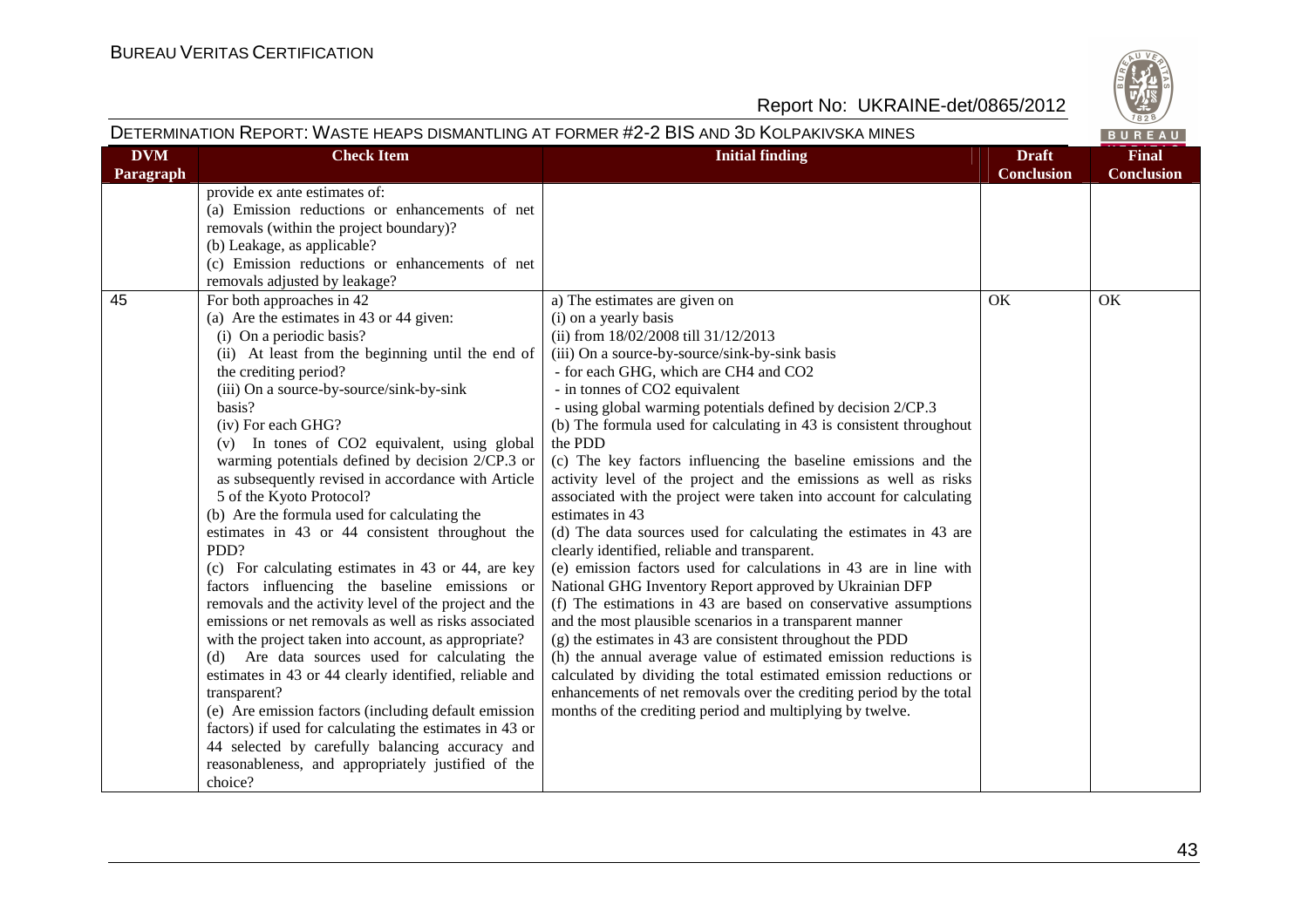

| DETERMINATION REPORT: WASTE HEAPS DISMANTLING AT FORMER #2-2 BIS AND 3D KOLPAKIVSKA MINES<br>BUREAU |                                                                                                                                                                                                                                                                                                                                                                                                                                                                                                                                                                                                                                                                                                                                                                                                                                                                                                                                                                                                                                                                                                                                                                                                                  |                                                                                                                                                                                                                                                                                                                                                                                                                                                                                                                                                                                                                                                                                                                                                                                                                                                                                                                                                                                                                                                                                                                                                                                                                                                                                                                                                 |                                   |                                   |
|-----------------------------------------------------------------------------------------------------|------------------------------------------------------------------------------------------------------------------------------------------------------------------------------------------------------------------------------------------------------------------------------------------------------------------------------------------------------------------------------------------------------------------------------------------------------------------------------------------------------------------------------------------------------------------------------------------------------------------------------------------------------------------------------------------------------------------------------------------------------------------------------------------------------------------------------------------------------------------------------------------------------------------------------------------------------------------------------------------------------------------------------------------------------------------------------------------------------------------------------------------------------------------------------------------------------------------|-------------------------------------------------------------------------------------------------------------------------------------------------------------------------------------------------------------------------------------------------------------------------------------------------------------------------------------------------------------------------------------------------------------------------------------------------------------------------------------------------------------------------------------------------------------------------------------------------------------------------------------------------------------------------------------------------------------------------------------------------------------------------------------------------------------------------------------------------------------------------------------------------------------------------------------------------------------------------------------------------------------------------------------------------------------------------------------------------------------------------------------------------------------------------------------------------------------------------------------------------------------------------------------------------------------------------------------------------|-----------------------------------|-----------------------------------|
| <b>DVM</b><br>Paragraph                                                                             | <b>Check Item</b>                                                                                                                                                                                                                                                                                                                                                                                                                                                                                                                                                                                                                                                                                                                                                                                                                                                                                                                                                                                                                                                                                                                                                                                                | <b>Initial finding</b>                                                                                                                                                                                                                                                                                                                                                                                                                                                                                                                                                                                                                                                                                                                                                                                                                                                                                                                                                                                                                                                                                                                                                                                                                                                                                                                          | <b>Draft</b><br><b>Conclusion</b> | <b>Final</b><br><b>Conclusion</b> |
|                                                                                                     | provide ex ante estimates of:<br>(a) Emission reductions or enhancements of net<br>removals (within the project boundary)?<br>(b) Leakage, as applicable?<br>(c) Emission reductions or enhancements of net<br>removals adjusted by leakage?                                                                                                                                                                                                                                                                                                                                                                                                                                                                                                                                                                                                                                                                                                                                                                                                                                                                                                                                                                     |                                                                                                                                                                                                                                                                                                                                                                                                                                                                                                                                                                                                                                                                                                                                                                                                                                                                                                                                                                                                                                                                                                                                                                                                                                                                                                                                                 |                                   |                                   |
| 45                                                                                                  | For both approaches in 42<br>(a) Are the estimates in 43 or 44 given:<br>(i) On a periodic basis?<br>(ii) At least from the beginning until the end of<br>the crediting period?<br>(iii) On a source-by-source/sink-by-sink<br>basis?<br>(iv) For each GHG?<br>(v) In tones of CO2 equivalent, using global<br>warming potentials defined by decision 2/CP.3 or<br>as subsequently revised in accordance with Article<br>5 of the Kyoto Protocol?<br>(b) Are the formula used for calculating the<br>estimates in 43 or 44 consistent throughout the<br>PDD?<br>(c) For calculating estimates in 43 or 44, are key<br>factors influencing the baseline emissions or<br>removals and the activity level of the project and the<br>emissions or net removals as well as risks associated<br>with the project taken into account, as appropriate?<br>(d) Are data sources used for calculating the<br>estimates in 43 or 44 clearly identified, reliable and<br>transparent?<br>(e) Are emission factors (including default emission<br>factors) if used for calculating the estimates in 43 or<br>44 selected by carefully balancing accuracy and<br>reasonableness, and appropriately justified of the<br>choice? | a) The estimates are given on<br>(i) on a yearly basis<br>(ii) from $18/02/2008$ till $31/12/2013$<br>(iii) On a source-by-source/sink-by-sink basis<br>- for each GHG, which are CH4 and CO2<br>- in tonnes of CO2 equivalent<br>- using global warming potentials defined by decision 2/CP.3<br>(b) The formula used for calculating in 43 is consistent throughout<br>the PDD<br>(c) The key factors influencing the baseline emissions and the<br>activity level of the project and the emissions as well as risks<br>associated with the project were taken into account for calculating<br>estimates in 43<br>(d) The data sources used for calculating the estimates in 43 are<br>clearly identified, reliable and transparent.<br>(e) emission factors used for calculations in 43 are in line with<br>National GHG Inventory Report approved by Ukrainian DFP<br>(f) The estimations in 43 are based on conservative assumptions<br>and the most plausible scenarios in a transparent manner<br>(g) the estimates in 43 are consistent throughout the PDD<br>(h) the annual average value of estimated emission reductions is<br>calculated by dividing the total estimated emission reductions or<br>enhancements of net removals over the crediting period by the total<br>months of the crediting period and multiplying by twelve. | OK                                | OK                                |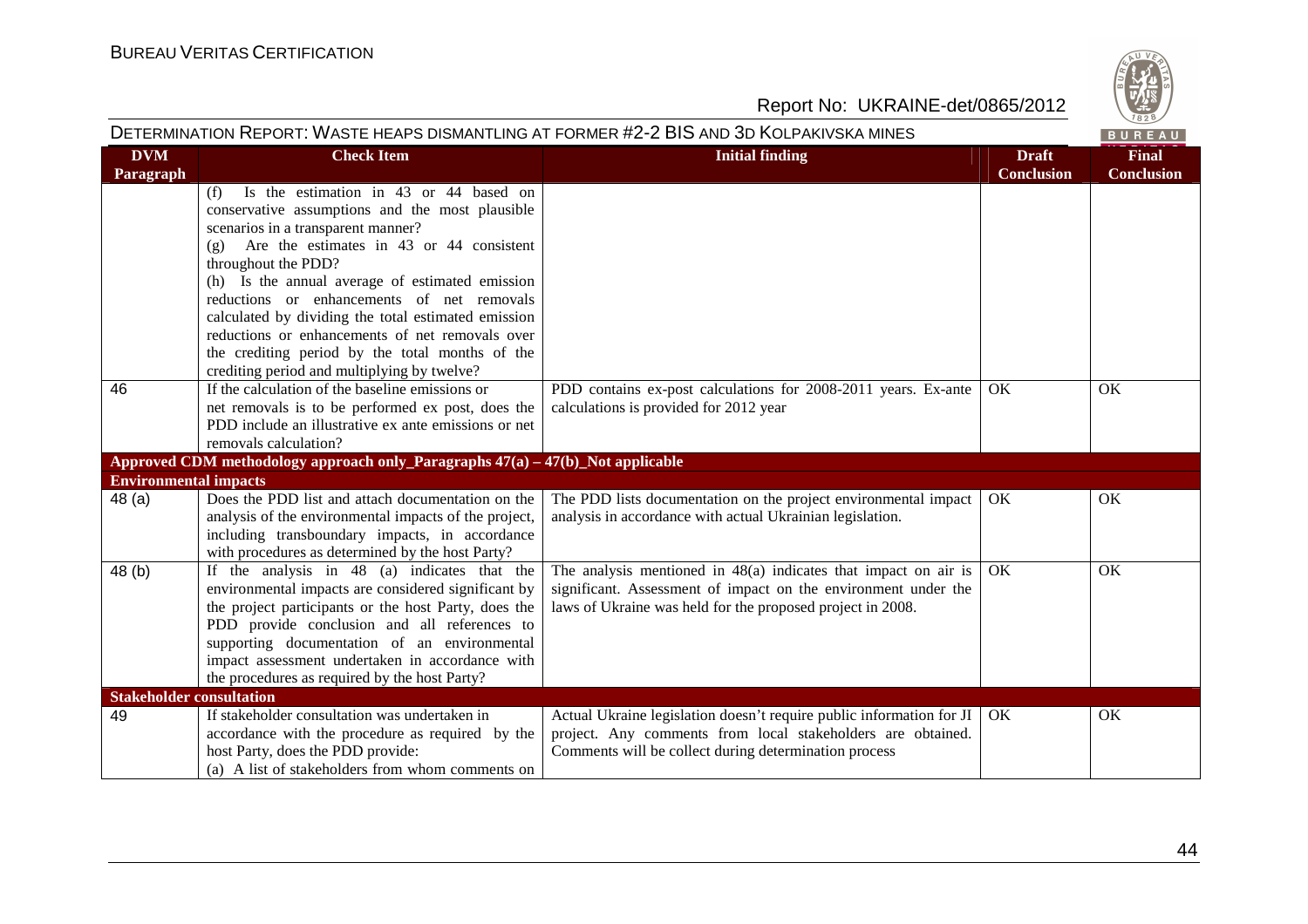

| DETERMINATION REPORT: WASTE HEAPS DISMANTLING AT FORMER #2-2 BIS AND 3D KOLPAKIVSKA MINES<br>BUREAU |                                                                                                                                                                                                                                                                                                                                                                         |                                                                                                                                                                                                   |                                   |                                   |
|-----------------------------------------------------------------------------------------------------|-------------------------------------------------------------------------------------------------------------------------------------------------------------------------------------------------------------------------------------------------------------------------------------------------------------------------------------------------------------------------|---------------------------------------------------------------------------------------------------------------------------------------------------------------------------------------------------|-----------------------------------|-----------------------------------|
| <b>DVM</b><br>Paragraph                                                                             | <b>Check Item</b>                                                                                                                                                                                                                                                                                                                                                       | <b>Initial finding</b>                                                                                                                                                                            | <b>Draft</b><br><b>Conclusion</b> | <b>Final</b><br><b>Conclusion</b> |
|                                                                                                     | Is the estimation in 43 or 44 based on<br>(f)<br>conservative assumptions and the most plausible<br>scenarios in a transparent manner?<br>$(g)$ Are the estimates in 43 or 44 consistent<br>throughout the PDD?<br>(h) Is the annual average of estimated emission<br>reductions or enhancements of net removals<br>calculated by dividing the total estimated emission |                                                                                                                                                                                                   |                                   |                                   |
|                                                                                                     | reductions or enhancements of net removals over<br>the crediting period by the total months of the<br>crediting period and multiplying by twelve?                                                                                                                                                                                                                       |                                                                                                                                                                                                   |                                   |                                   |
| 46                                                                                                  | If the calculation of the baseline emissions or<br>net removals is to be performed ex post, does the<br>PDD include an illustrative ex ante emissions or net<br>removals calculation?                                                                                                                                                                                   | PDD contains ex-post calculations for 2008-2011 years. Ex-ante<br>calculations is provided for 2012 year                                                                                          | OK                                | OK                                |
|                                                                                                     | Approved CDM methodology approach only_Paragraphs $47(a) - 47(b)$ _Not applicable                                                                                                                                                                                                                                                                                       |                                                                                                                                                                                                   |                                   |                                   |
| <b>Environmental impacts</b>                                                                        |                                                                                                                                                                                                                                                                                                                                                                         |                                                                                                                                                                                                   |                                   |                                   |
| 48 (a)                                                                                              | Does the PDD list and attach documentation on the<br>analysis of the environmental impacts of the project,<br>including transboundary impacts, in accordance<br>with procedures as determined by the host Party?                                                                                                                                                        | The PDD lists documentation on the project environmental impact<br>analysis in accordance with actual Ukrainian legislation.                                                                      | OK                                | OK                                |
| 48 (b)                                                                                              | If the analysis in 48 (a) indicates that the<br>environmental impacts are considered significant by<br>the project participants or the host Party, does the<br>PDD provide conclusion and all references to<br>supporting documentation of an environmental<br>impact assessment undertaken in accordance with<br>the procedures as required by the host Party?         | The analysis mentioned in $48(a)$ indicates that impact on air is<br>significant. Assessment of impact on the environment under the<br>laws of Ukraine was held for the proposed project in 2008. | OK                                | OK                                |
| <b>Stakeholder consultation</b>                                                                     |                                                                                                                                                                                                                                                                                                                                                                         |                                                                                                                                                                                                   |                                   |                                   |
| 49                                                                                                  | If stakeholder consultation was undertaken in<br>accordance with the procedure as required by the<br>host Party, does the PDD provide:<br>(a) A list of stakeholders from whom comments on                                                                                                                                                                              | Actual Ukraine legislation doesn't require public information for JI<br>project. Any comments from local stakeholders are obtained.<br>Comments will be collect during determination process      | OK.                               | OK                                |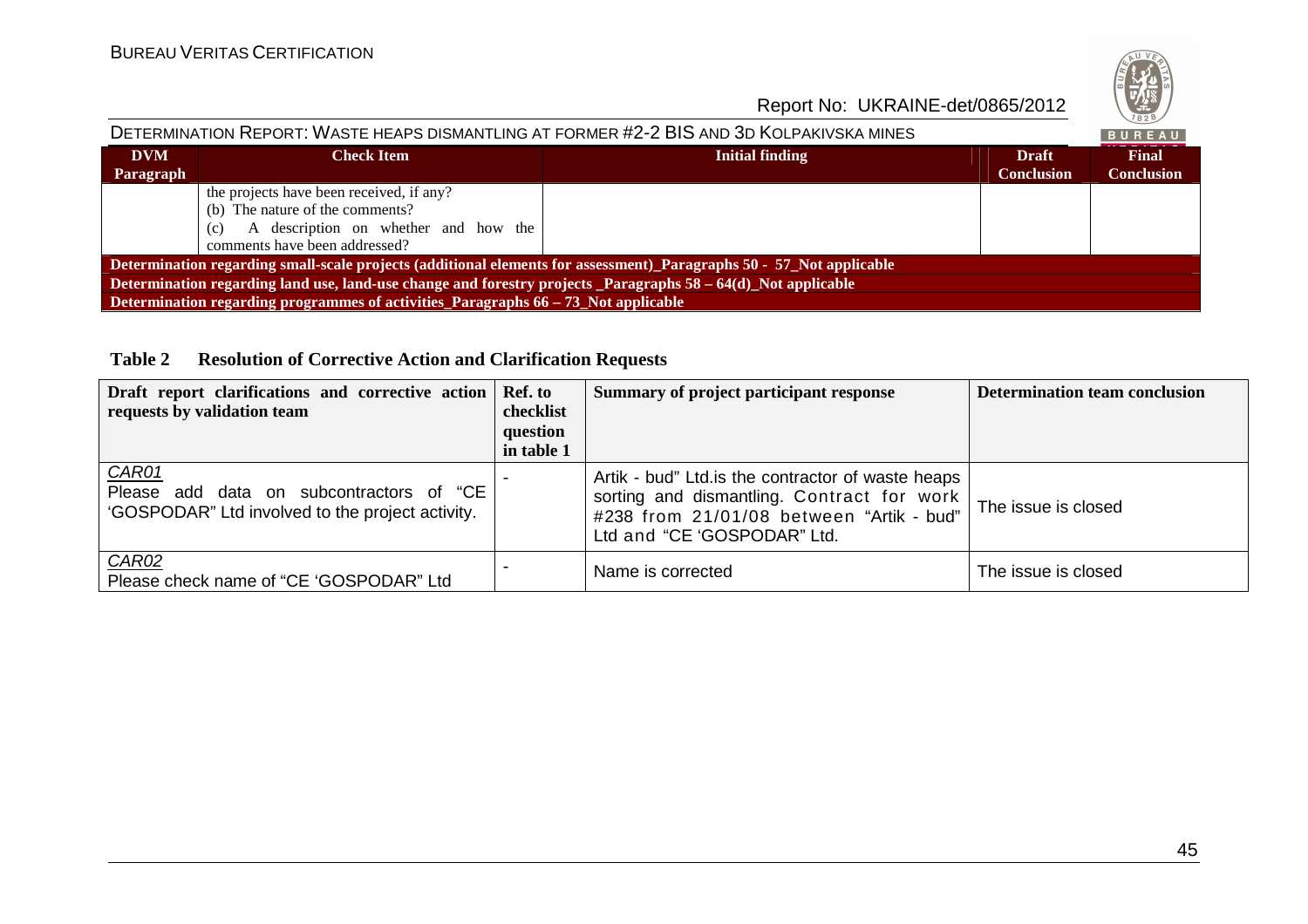

#### DETERMINATION REPORT: WASTE HEAPS DISMANTLING AT FORMER #2-2 BIS AND 3D KOLPAKIVSKA MINES BUREAU **DVMCheck ItemFinal Initial finding Draft Conclusion Conclusion Paragraph**the projects have been received, if any? (b) The nature of the comments? (c) A description on whether and how the comments have been addressed? **Determination regarding small-scale projects (additional elements for assessment)\_Paragraphs 50 - 57\_Not applicableDetermination regarding land use, land-use change and forestry projects \_Paragraphs 58 – 64(d)\_Not applicable Determination regarding programmes of activities Paragraphs 66 – 73 Not applicable**

#### **Table 2 Resolution of Corrective Action and Clarification Requests**

| Draft report clarifications and corrective action Ref. to<br>requests by validation team                     | checklist<br>question<br>in table 1 | Summary of project participant response                                                                                                                                    | <b>Determination team conclusion</b> |
|--------------------------------------------------------------------------------------------------------------|-------------------------------------|----------------------------------------------------------------------------------------------------------------------------------------------------------------------------|--------------------------------------|
| <b>CAR01</b><br>Please add data on subcontractors of "CE<br>'GOSPODAR" Ltd involved to the project activity. |                                     | Artik - bud" Ltd.is the contractor of waste heaps<br>sorting and dismantling. Contract for work<br>#238 from 21/01/08 between "Artik - bud"<br>Ltd and "CE 'GOSPODAR" Ltd. | The issue is closed                  |
| CAR02<br>Please check name of "CE 'GOSPODAR" Ltd                                                             |                                     | Name is corrected                                                                                                                                                          | The issue is closed                  |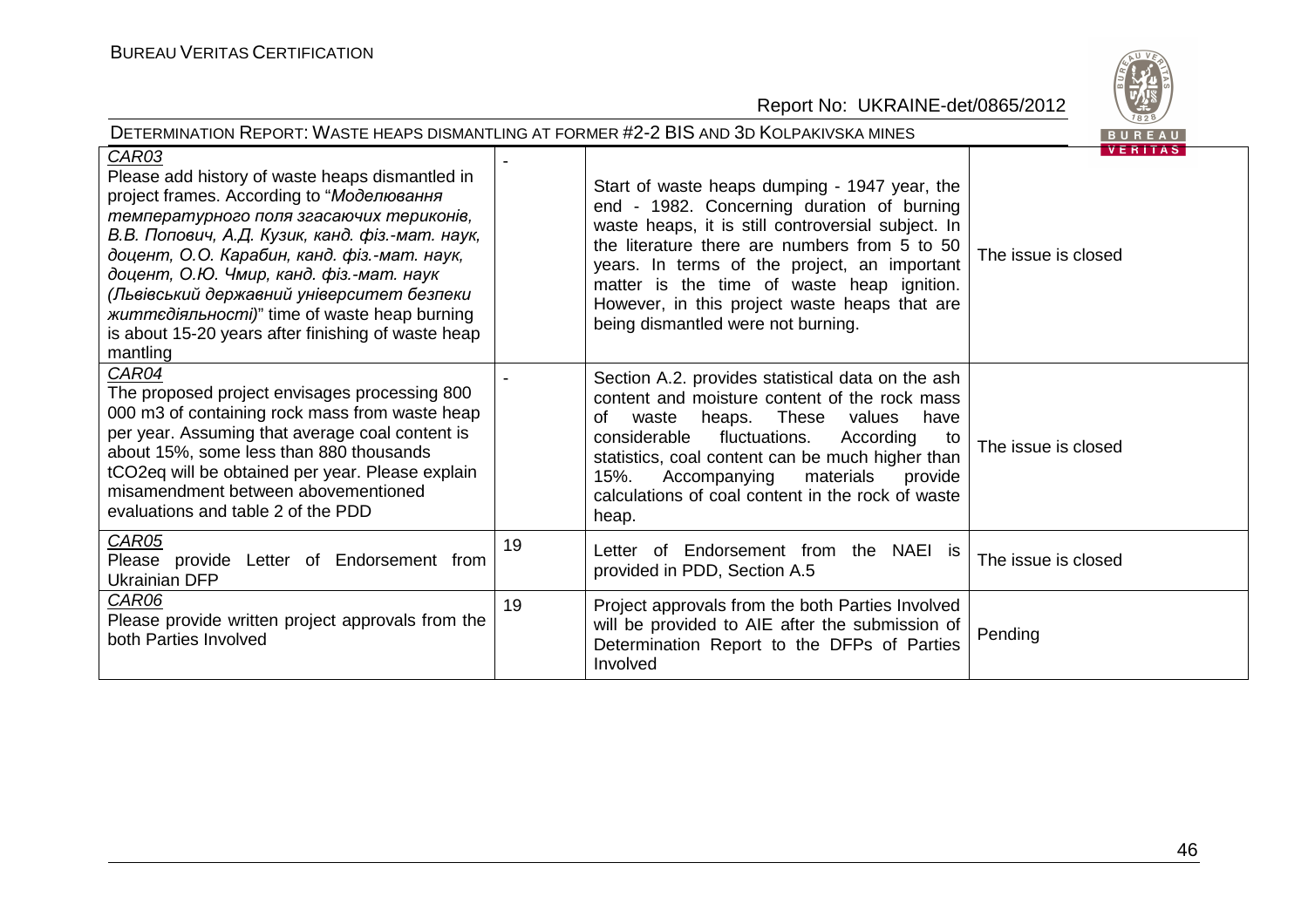

| DETERMINATION REPORT: WASTE HEAPS DISMANTLING AT FORMER #2-2 BIS AND 3D KOLPAKIVSKA MINES<br>BUREAU                                                                                                                                                                                                                                                                                                                                                                   |    |                                                                                                                                                                                                                                                                                                                                                                                         |                                       |  |  |
|-----------------------------------------------------------------------------------------------------------------------------------------------------------------------------------------------------------------------------------------------------------------------------------------------------------------------------------------------------------------------------------------------------------------------------------------------------------------------|----|-----------------------------------------------------------------------------------------------------------------------------------------------------------------------------------------------------------------------------------------------------------------------------------------------------------------------------------------------------------------------------------------|---------------------------------------|--|--|
| CAR03<br>Please add history of waste heaps dismantled in<br>project frames. According to "Моделювання<br>температурного поля згасаючих териконів,<br>В.В. Попович, А.Д. Кузик, канд. фіз.-мат. наук,<br>доцент, О.О. Карабин, канд. фіз.-мат. наук,<br>доцент, О.Ю. Чмир, канд. фіз.-мат. наук<br>(Львівський державний університет безпеки<br><i>життедіяльності)</i> " time of waste heap burning<br>is about 15-20 years after finishing of waste heap<br>mantling |    | Start of waste heaps dumping - 1947 year, the<br>end - 1982. Concerning duration of burning<br>waste heaps, it is still controversial subject. In<br>the literature there are numbers from 5 to 50<br>years. In terms of the project, an important<br>matter is the time of waste heap ignition.<br>However, in this project waste heaps that are<br>being dismantled were not burning. | <b>VERITAS</b><br>The issue is closed |  |  |
| CAR04<br>The proposed project envisages processing 800<br>000 m3 of containing rock mass from waste heap<br>per year. Assuming that average coal content is<br>about 15%, some less than 880 thousands<br>tCO2eq will be obtained per year. Please explain<br>misamendment between abovementioned<br>evaluations and table 2 of the PDD                                                                                                                               |    | Section A.2. provides statistical data on the ash<br>content and moisture content of the rock mass<br>heaps. These values<br>have<br>οf<br>waste<br>considerable<br>fluctuations.<br>According<br>to<br>statistics, coal content can be much higher than<br>Accompanying<br>materials<br>15%.<br>provide<br>calculations of coal content in the rock of waste<br>heap.                  | The issue is closed                   |  |  |
| CAR05<br>Please provide Letter of Endorsement from<br>Ukrainian DFP                                                                                                                                                                                                                                                                                                                                                                                                   | 19 | Letter of Endorsement from the NAEI is<br>provided in PDD, Section A.5                                                                                                                                                                                                                                                                                                                  | The issue is closed                   |  |  |
| CAR06<br>Please provide written project approvals from the<br>both Parties Involved                                                                                                                                                                                                                                                                                                                                                                                   | 19 | Project approvals from the both Parties Involved<br>will be provided to AIE after the submission of<br>Determination Report to the DFPs of Parties<br>Involved                                                                                                                                                                                                                          | Pending                               |  |  |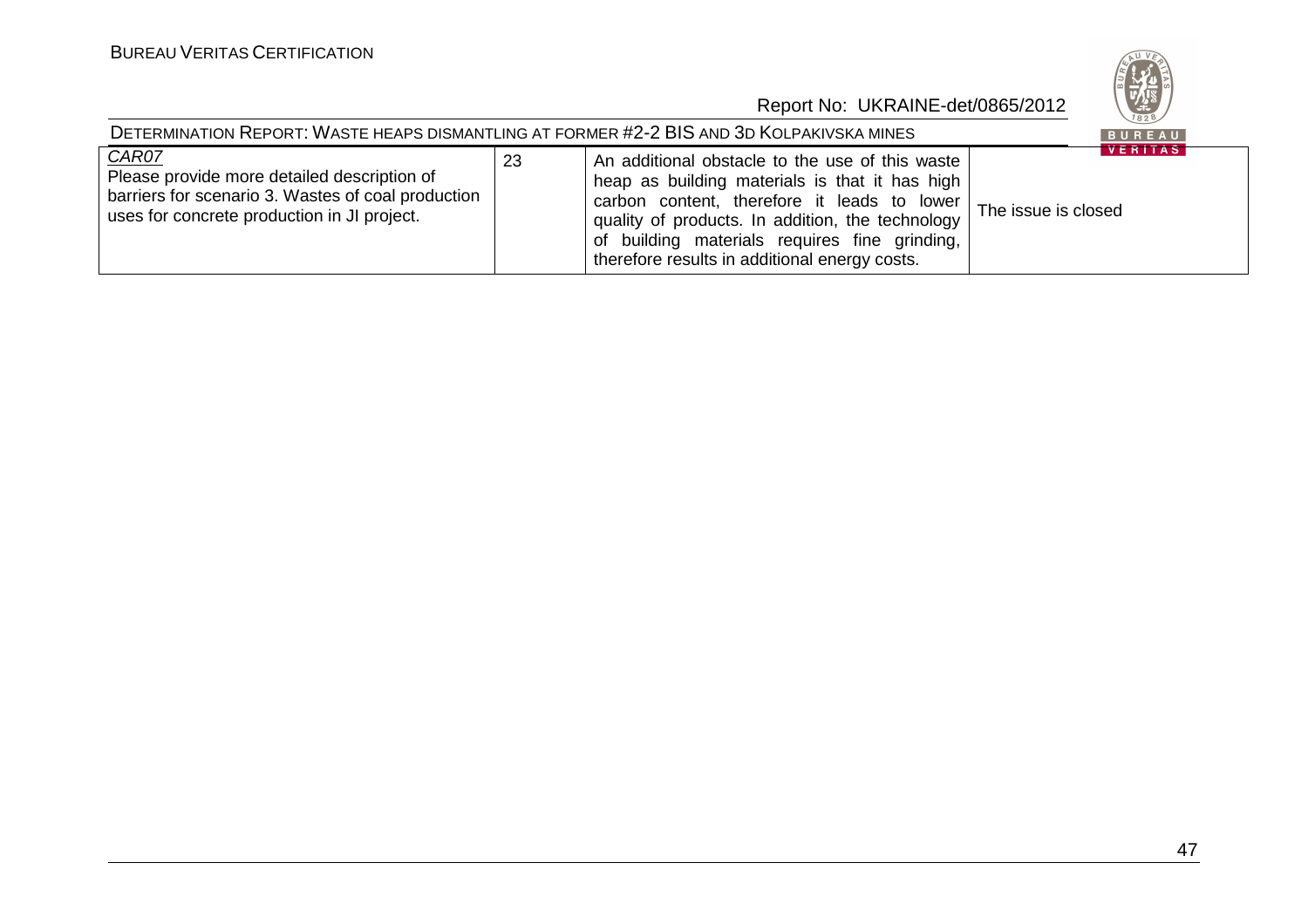

| DETERMINATION REPORT: WASTE HEAPS DISMANTLING AT FORMER #2-2 BIS AND 3D KOLPAKIVSKA MINES                                                                 |    |                                                                                                                                                                                                                                                                                                        |                                       |  |  |
|-----------------------------------------------------------------------------------------------------------------------------------------------------------|----|--------------------------------------------------------------------------------------------------------------------------------------------------------------------------------------------------------------------------------------------------------------------------------------------------------|---------------------------------------|--|--|
| CAR07<br>Please provide more detailed description of<br>barriers for scenario 3. Wastes of coal production<br>uses for concrete production in JI project. | 23 | An additional obstacle to the use of this waste<br>heap as building materials is that it has high<br>carbon content, therefore it leads to lower<br>quality of products. In addition, the technology<br>of building materials requires fine grinding,<br>therefore results in additional energy costs. | <b>VERITAS</b><br>The issue is closed |  |  |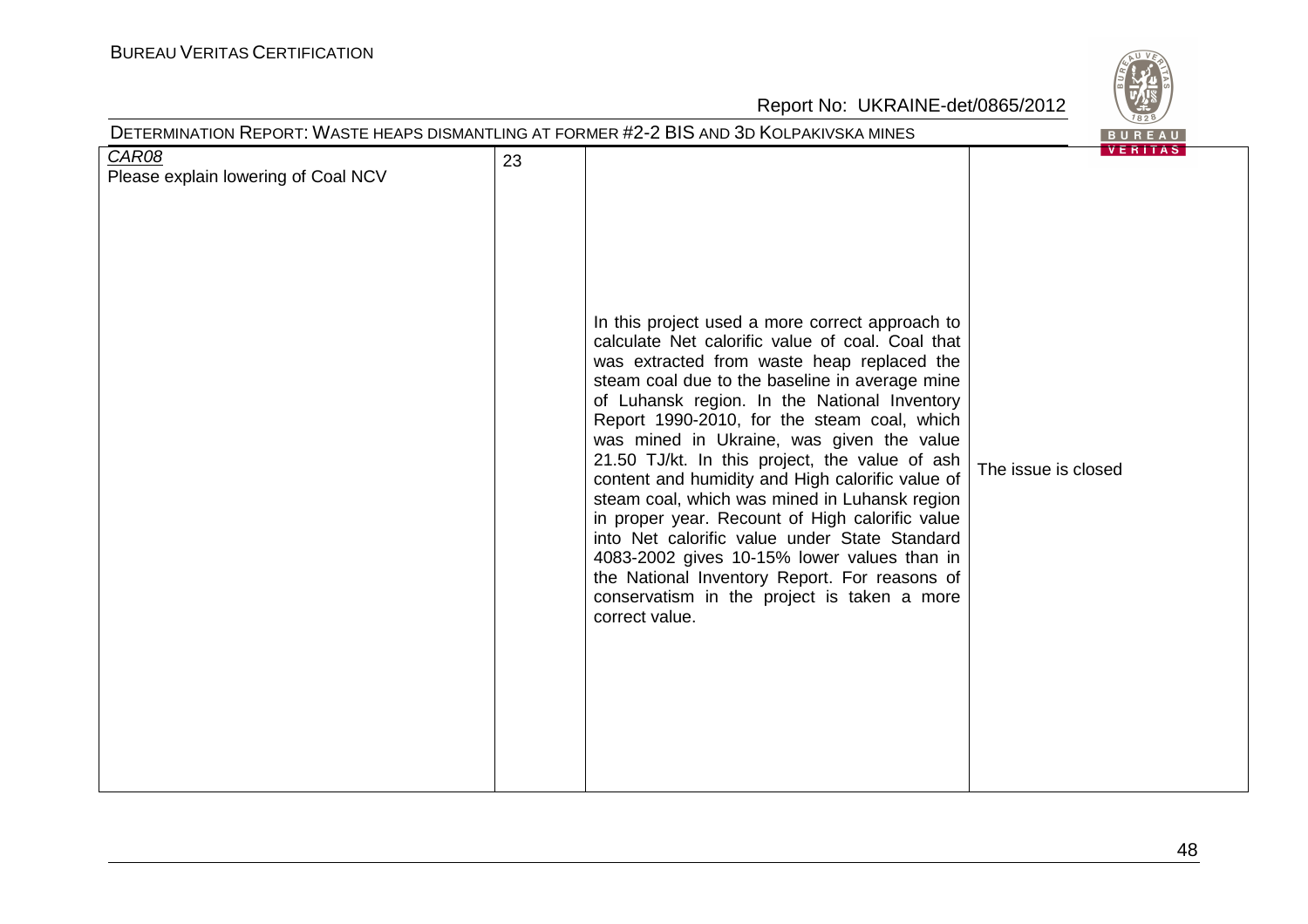# BUREAU <sup>V</sup>ERITAS <sup>C</sup>ERTIFICATION



| DETERMINATION REPORT: WASTE HEAPS DISMANTLING AT FORMER #2-2 BIS AND 3D KOLPAKIVSKA MINES |    |                                                                                                                                                                                                                                                                                                                                                                                                                                                                                                                                                                                                                                                                                                                                                                             | BUREAU                                |
|-------------------------------------------------------------------------------------------|----|-----------------------------------------------------------------------------------------------------------------------------------------------------------------------------------------------------------------------------------------------------------------------------------------------------------------------------------------------------------------------------------------------------------------------------------------------------------------------------------------------------------------------------------------------------------------------------------------------------------------------------------------------------------------------------------------------------------------------------------------------------------------------------|---------------------------------------|
| <b>CAR08</b><br>Please explain lowering of Coal NCV                                       | 23 | In this project used a more correct approach to<br>calculate Net calorific value of coal. Coal that<br>was extracted from waste heap replaced the<br>steam coal due to the baseline in average mine<br>of Luhansk region. In the National Inventory<br>Report 1990-2010, for the steam coal, which<br>was mined in Ukraine, was given the value<br>21.50 TJ/kt. In this project, the value of ash<br>content and humidity and High calorific value of<br>steam coal, which was mined in Luhansk region<br>in proper year. Recount of High calorific value<br>into Net calorific value under State Standard<br>4083-2002 gives 10-15% lower values than in<br>the National Inventory Report. For reasons of<br>conservatism in the project is taken a more<br>correct value. | <b>VERIIAS</b><br>The issue is closed |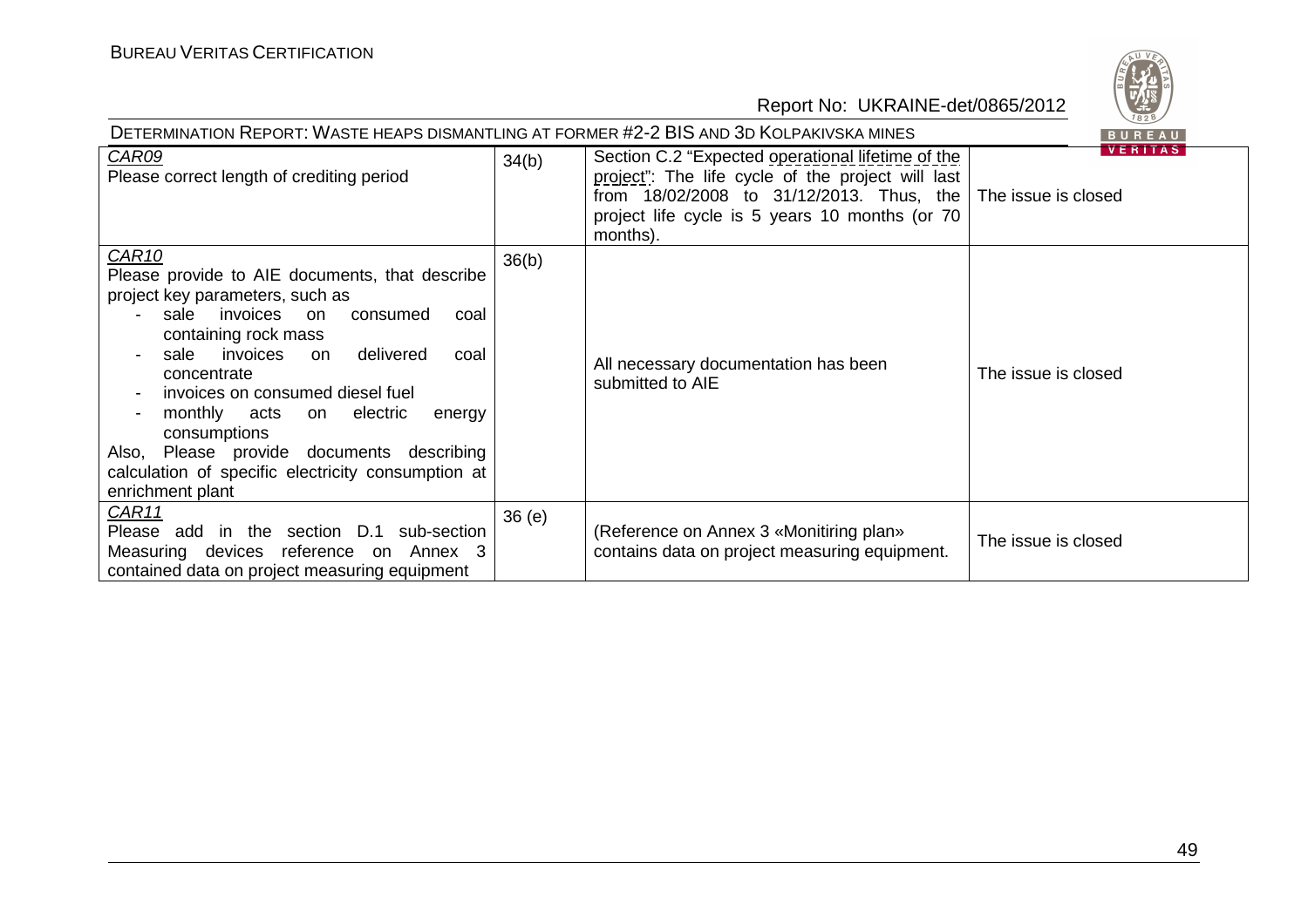

| DETERMINATION REPORT: WASTE HEAPS DISMANTLING AT FORMER #2-2 BIS AND 3D KOLPAKIVSKA MINES<br>BUREAU                                                                                                                                                                                                                                                                                                                                                 |       |                                                                                                                                                                                                                  |                                       |  |
|-----------------------------------------------------------------------------------------------------------------------------------------------------------------------------------------------------------------------------------------------------------------------------------------------------------------------------------------------------------------------------------------------------------------------------------------------------|-------|------------------------------------------------------------------------------------------------------------------------------------------------------------------------------------------------------------------|---------------------------------------|--|
| CAR09<br>Please correct length of crediting period                                                                                                                                                                                                                                                                                                                                                                                                  | 34(b) | Section C.2 "Expected operational lifetime of the<br>project": The life cycle of the project will last<br>from 18/02/2008 to 31/12/2013. Thus, the<br>project life cycle is 5 years 10 months (or 70<br>months). | <b>VERITAS</b><br>The issue is closed |  |
| CAR10<br>Please provide to AIE documents, that describe<br>project key parameters, such as<br>sale invoices<br>consumed<br>on.<br>coal<br>containing rock mass<br>invoices<br>delivered<br>sale<br>coal<br>on<br>concentrate<br>invoices on consumed diesel fuel<br>monthly acts<br>electric<br>on<br>energy<br>consumptions<br>Also, Please provide documents describing<br>calculation of specific electricity consumption at<br>enrichment plant | 36(b) | All necessary documentation has been<br>submitted to AIE                                                                                                                                                         | The issue is closed                   |  |
| CAR11<br>Please add in the section D.1 sub-section<br>Measuring devices reference on Annex 3<br>contained data on project measuring equipment                                                                                                                                                                                                                                                                                                       | 36(e) | (Reference on Annex 3 «Monitiring plan»<br>contains data on project measuring equipment.                                                                                                                         | The issue is closed                   |  |